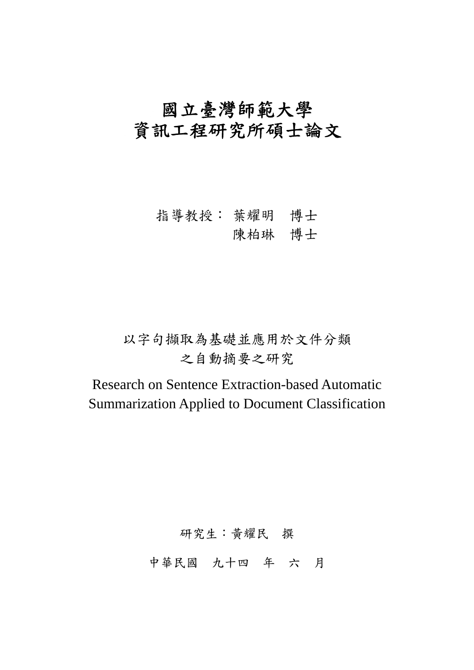# 國立臺灣師範大學 資訊工程研究所碩士論文

# 指導教授: 葉耀明 博士

# 陳柏琳 博士

# 以字句擷取為基礎並應用於文件分類 之自動摘要之研究

Research on Sentence Extraction-based Automatic Summarization Applied to Document Classification

研究生:黃耀民 撰

中華民國 九十四 年 六 月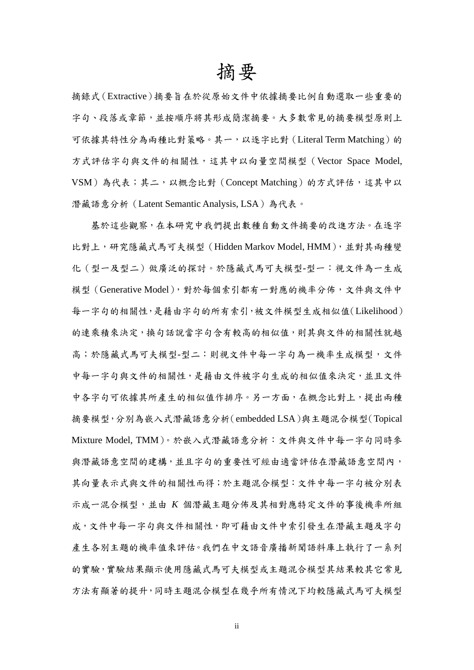# 摘要

摘錄式(Extractive)摘要旨在於從原始文件中依據摘要比例自動選取一些重要的 字句、段落或章節,並按順序將其形成簡潔摘要。大多數常見的摘要模型原則上 可依據其特性分為兩種比對策略。其一,以逐字比對(Literal Term Matching)的 方式評估字句與文件的相關性,這其中以向量空間模型(Vector Space Model, VSM)為代表;其二,以概念比對(Concept Matching)的方式評估,這其中以 潛藏語意分析(Latent Semantic Analysis, LSA)為代表。

基於這些觀察,在本研究中我們提出數種自動文件摘要的改進方法。在逐字 比對上,研究隱藏式馬可夫模型(Hidden Markov Model, HMM),並對其兩種變 化(型一及型二)做廣泛的探討。於隱藏式馬可夫模型-型一:視文件為一生成 模型(Generative Model),對於每個索引都有一對應的機率分佈,文件與文件中 每一字句的相關性,是藉由字句的所有索引,被文件模型生成相似值(Likelihood) 的連乘積來決定,換句話說當字句含有較高的相似值,則其與文件的相關性就越 高;於隱藏式馬可夫模型-型二:則視文件中每一字句為一機率生成模型,文件 中每一字句與文件的相關性,是藉由文件被字句生成的相似值來決定,並且文件 中各字句可依據其所產生的相似值作排序。另一方面,在概念比對上,提出兩種 摘要模型,分別為嵌入式潛藏語意分析(embedded LSA)與主題混合模型(Topical Mixture Model, TMM)。於嵌入式潛藏語意分析:文件與文件中每一字句同時參 與潛藏語意空間的建構,並且字句的重要性可經由適當評估在潛藏語意空間內, 其向量表示式與文件的相關性而得;於主題混合模型:文件中每一字句被分別表 示成一混合模型,並由 *K* 個潛藏主題分佈及其相對應特定文件的事後機率所組 成,文件中每一字句與文件相關性,即可藉由文件中索引發生在潛藏主題及字句 產生各別主題的機率值來評估。我們在中文語音廣播新聞語料庫上執行了一系列 的實驗,實驗結果顯示使用隱藏式馬可夫模型或主題混合模型其結果較其它常見 方法有顯著的提升,同時主題混合模型在幾乎所有情況下均較隱藏式馬可夫模型

ii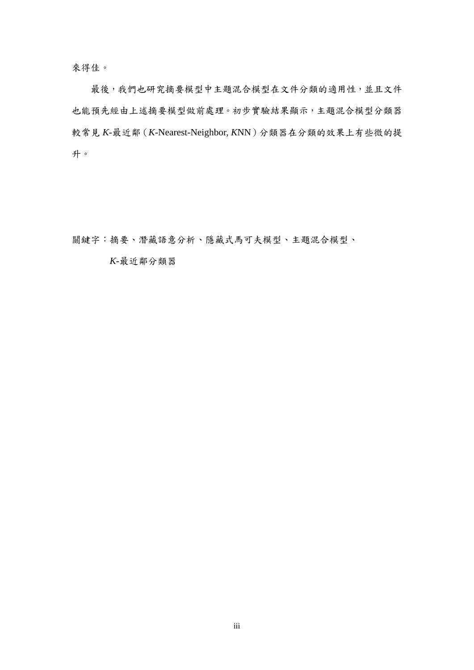來得佳。

最後,我們也研究摘要模型中主題混合模型在文件分類的適用性,並且文件 也能預先經由上述摘要模型做前處理。初步實驗結果顯示,主題混合模型分類器 較常見 *K*-最近鄰(*K*-Nearest-Neighbor, *K*NN)分類器在分類的效果上有些微的提 升。

關鍵字:摘要、潛藏語意分析、隱藏式馬可夫模型、主題混合模型、

*K*-最近鄰分類器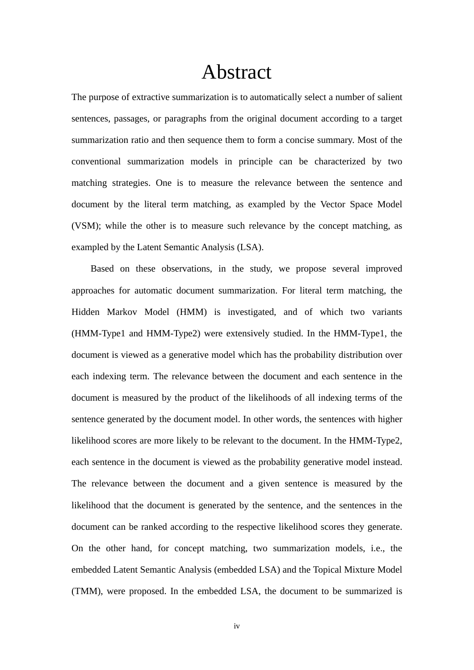# Abstract

The purpose of extractive summarization is to automatically select a number of salient sentences, passages, or paragraphs from the original document according to a target summarization ratio and then sequence them to form a concise summary. Most of the conventional summarization models in principle can be characterized by two matching strategies. One is to measure the relevance between the sentence and document by the literal term matching, as exampled by the Vector Space Model (VSM); while the other is to measure such relevance by the concept matching, as exampled by the Latent Semantic Analysis (LSA).

 Based on these observations, in the study, we propose several improved approaches for automatic document summarization. For literal term matching, the Hidden Markov Model (HMM) is investigated, and of which two variants (HMM-Type1 and HMM-Type2) were extensively studied. In the HMM-Type1, the document is viewed as a generative model which has the probability distribution over each indexing term. The relevance between the document and each sentence in the document is measured by the product of the likelihoods of all indexing terms of the sentence generated by the document model. In other words, the sentences with higher likelihood scores are more likely to be relevant to the document. In the HMM-Type2, each sentence in the document is viewed as the probability generative model instead. The relevance between the document and a given sentence is measured by the likelihood that the document is generated by the sentence, and the sentences in the document can be ranked according to the respective likelihood scores they generate. On the other hand, for concept matching, two summarization models, i.e., the embedded Latent Semantic Analysis (embedded LSA) and the Topical Mixture Model (TMM), were proposed. In the embedded LSA, the document to be summarized is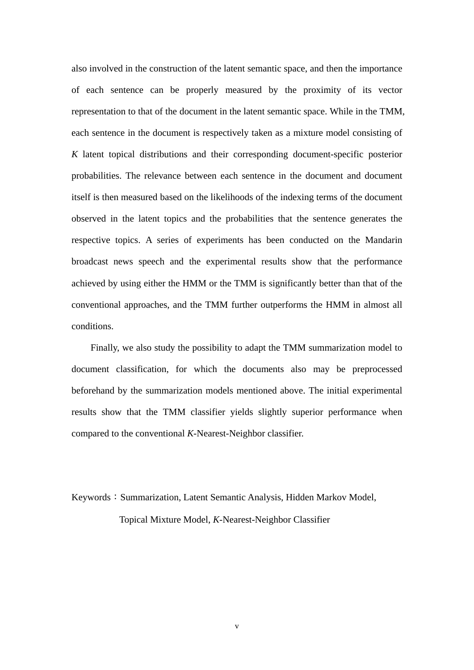also involved in the construction of the latent semantic space, and then the importance of each sentence can be properly measured by the proximity of its vector representation to that of the document in the latent semantic space. While in the TMM, each sentence in the document is respectively taken as a mixture model consisting of *K* latent topical distributions and their corresponding document-specific posterior probabilities. The relevance between each sentence in the document and document itself is then measured based on the likelihoods of the indexing terms of the document observed in the latent topics and the probabilities that the sentence generates the respective topics. A series of experiments has been conducted on the Mandarin broadcast news speech and the experimental results show that the performance achieved by using either the HMM or the TMM is significantly better than that of the conventional approaches, and the TMM further outperforms the HMM in almost all conditions.

 Finally, we also study the possibility to adapt the TMM summarization model to document classification, for which the documents also may be preprocessed beforehand by the summarization models mentioned above. The initial experimental results show that the TMM classifier yields slightly superior performance when compared to the conventional *K*-Nearest-Neighbor classifier.

Keywords: Summarization, Latent Semantic Analysis, Hidden Markov Model, Topical Mixture Model, *K*-Nearest-Neighbor Classifier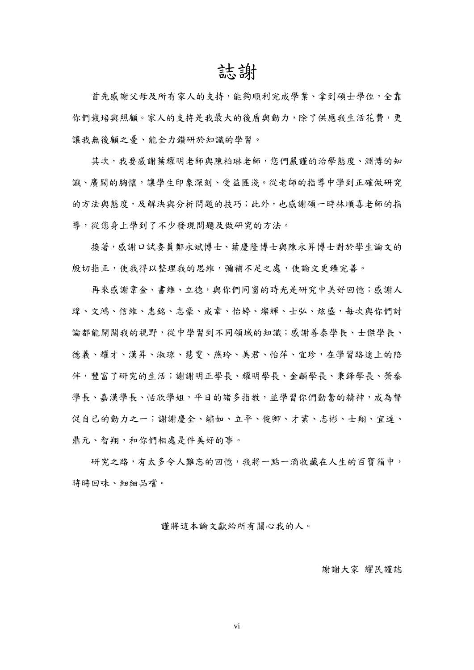# 誌謝

首先感謝父母及所有家人的支持,能夠順利完成學業、拿到碩士學位,全靠 你們栽培與照顧。家人的支持是我最大的後盾與動力,除了供應我生活花費,更 讓我無後顧之憂、能全力鑽研於知識的學習。

其次,我要感謝葉耀明老師與陳柏琳老師,您們嚴謹的治學態度、淵博的知 識、廣闊的胸懷,讓學生印象深刻、受益匪淺。從老師的指導中學到正確做研究 的方法與態度,及解決與分析問題的技巧;此外,也感謝碩一時林順喜老師的指 導,從您身上學到了不少發現問題及做研究的方法。

接著,感謝口試委員鄭永斌博士、葉慶隆博士與陳永昇博士對於學生論文的 殷切指正,使我得以整理我的思維,彌補不足之處,使論文更臻完善。

再來感謝韋金、書維、立德,與你們同窗的時光是研究中美好回憶;感謝人 瑋、文鴻、信維、惠銘、志豪、成韋、怡婷、燦輝、士弘、炫盛,每次與你們討 論都能開闊我的視野,從中學習到不同領域的知識;感謝善泰學長、士傑學長、 德義、耀才、漢昇、叔琼、慧雯、燕玲、美君、怡萍、宜珍,在學習路途上的陪 伴,豐富了研究的生活;謝謝明正學長、耀明學長、金麟學長、秉鋒學長、榮泰 學長、喜漢學長、恬欣學姐,平日的諸多指教,並學習你們勤奮的精神,成為督 促自己的動力之一;謝謝慶全、繡如、立平、俊卿、才業、志彬、士翔、宜達、 鼎元、智翔,和你們相處是件美好的事。

研究之路,有太多令人難忘的回憶,我將一點一滴收藏在人生的百寶箱中, 時時回味、細細品嚐。

謹將這本論文獻給所有關心我的人。

#### 謝謝大家 耀民謹誌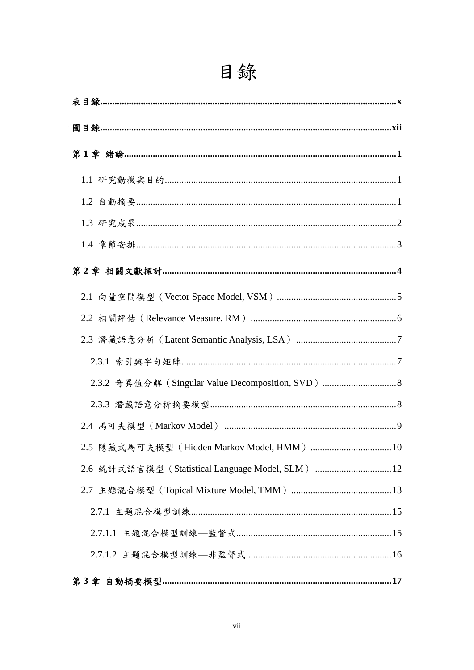| 2.3.2 奇異值分解 (Singular Value Decomposition, SVD)  8 |  |
|----------------------------------------------------|--|
|                                                    |  |
|                                                    |  |
|                                                    |  |
| 2.6 統計式語言模型 (Statistical Language Model, SLM) 12   |  |
|                                                    |  |
|                                                    |  |
|                                                    |  |
|                                                    |  |
|                                                    |  |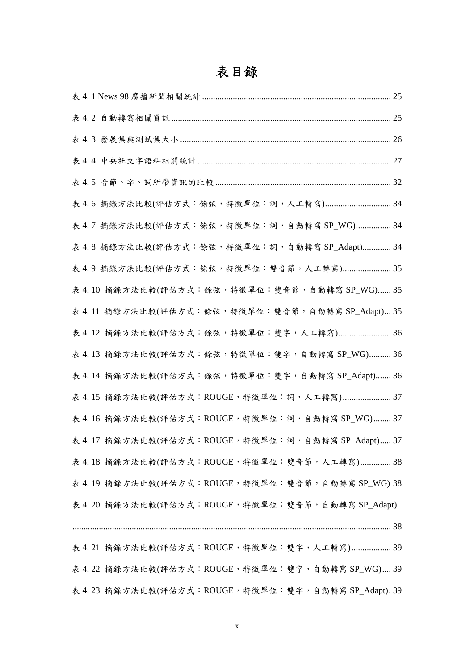# 表目錄

| 表 4.7 摘錄方法比較(評估方式: 餘弦, 特徵單位:詞, 自動轉寫 SP_WG)  34        |  |
|-------------------------------------------------------|--|
| 表 4.8 摘錄方法比較(評估方式: 餘弦, 特徵單位:詞, 自動轉寫 SP_Adapt)  34     |  |
| 表 4.9 摘錄方法比較(評估方式:餘弦,特徵單位:雙音節,人工轉寫) 35                |  |
| 表 4.10 摘錄方法比較(評估方式:餘弦,特徵單位:雙音節,自動轉寫 SP_WG)  35        |  |
| 表 4.11 摘錄方法比較(評估方式:餘弦,特徵單位:雙音節,自動轉寫 SP_Adapt) 35      |  |
| 表 4.12 摘錄方法比較(評估方式:餘弦,特徵單位:雙字,人工轉寫) 36                |  |
| 表 4.13 摘錄方法比較(評估方式:餘弦, 特徵單位:雙字, 自動轉寫 SP_WG)  36       |  |
| 表 4.14 摘錄方法比較(評估方式:餘弦,特徵單位:雙字,自動轉寫 SP_Adapt)  36      |  |
| 表 4.15 摘錄方法比較(評估方式:ROUGE, 特徵單位:詞, 人工轉寫) 37            |  |
| 表 4.16 摘錄方法比較(評估方式:ROUGE, 特徵單位:詞,自動轉寫 SP_WG)  37      |  |
| 表 4.17 摘錄方法比較(評估方式:ROUGE, 特徵單位:詞, 自動轉寫 SP_Adapt) 37   |  |
| 表 4.18 摘錄方法比較(評估方式:ROUGE, 特徵單位:雙音節, 人工轉寫)  38         |  |
| 表 4.19 摘錄方法比較(評估方式:ROUGE, 特徵單位:雙音節, 自動轉寫 SP_WG) 38    |  |
| 表 4.20 摘錄方法比較(評估方式: ROUGE, 特徵單位: 雙音節, 自動轉寫 SP_Adapt)  |  |
|                                                       |  |
| 表 4.21 摘錄方法比較(評估方式:ROUGE, 特徵單位:雙字, 人工轉寫) 39           |  |
| 表 4.22 摘錄方法比較(評估方式:ROUGE, 特徵單位:雙字, 自動轉寫 SP_WG) 39     |  |
| 表 4.23 摘錄方法比較(評估方式:ROUGE, 特徵單位:雙字, 自動轉寫 SP_Adapt). 39 |  |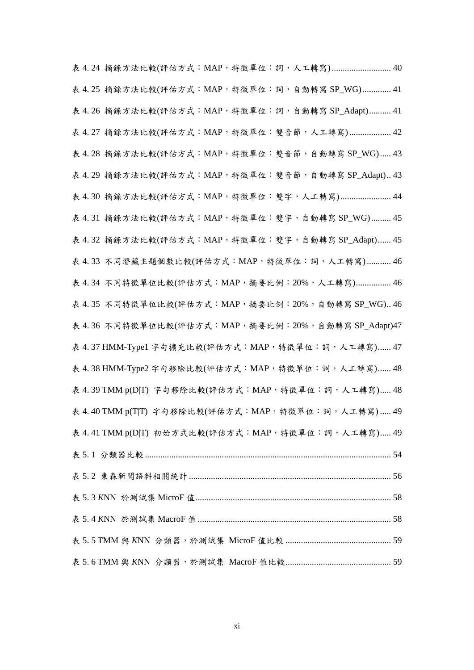表 4.24 摘錄方法比較(評估方式: MAP, 特徵單位: 詞, 人工轉寫)........................... 40 表 4.25 摘錄方法比較(評估方式: MAP, 特徵單位: 詞, 自動轉寫 SP\_WG)............. 41 表 4.26 摘錄方法比較(評估方式: MAP, 特徵單位:詞, 自動轉寫 SP\_Adapt).......... 41 表 4.27 摘錄方法比較(評估方式: MAP, 特徵單位:雙音節, 人工轉寫) .................. 42 表 4.28 摘錄方法比較(評估方式: MAP, 特徵單位: 雙音節, 自動轉寫 SP\_WG) ..... 43 表 4. 29 摘錄方法比較(評估方式:MAP,特徵單位:雙音節,自動轉寫 SP\_Adapt).. 43 表 4.30 摘錄方法比較(評估方式: MAP, 特徵單位:雙字, 人工轉寫)....................... 44 表 4. 31 摘錄方法比較(評估方式:MAP,特徵單位:雙字,自動轉寫 SP\_WG)......... 45 表 4.32 摘錄方法比較(評估方式: MAP, 特徵單位: 雙字, 自動轉寫 SP\_Adapt)...... 45 表 4.33 不同潛藏主題個數比較(評估方式: MAP, 特徵單位:詞,人工轉寫) ........... 46 表 4.34 不同特徵單位比較(評估方式:MAP, 摘要比例: 20%, 人工轉寫)............... 46 表 4.35 不同特徵單位比較(評估方式: MAP, 摘要比例: 20%, 自動轉寫 SP\_WG).. 46 表 4.36 不同特徵單位比較(評估方式: MAP, 摘要比例: 20%, 自動轉寫 SP\_Adapt)47 表 4.37 HMM-Type1 字句擴充比較(評估方式: MAP, 特徵單位:詞, 人工轉寫) ...... 47 表 4.38 HMM-Type2 字句移除比較(評估方式: MAP, 特徵單位:詞, 人工轉寫) ...... 48 表 4.39 TMM p(D T) 字句移除比較(評估方式: MAP, 特徵單位:詞, 人工轉寫)..... 48 表 4.40 TMM p(T|T) 字句移除比較(評估方式: MAP, 特徵單位:詞, 人工轉寫) ..... 49 表 4.41 TMM p(D|T) 初始方式比較(評估方式:MAP, 特徵單位:詞,人工轉寫)..... 49 表 5. 1 分類器比較................................................................................................................ 54 表 5. 2 東森新聞語料相關統計............................................................................................ 56 表 5. 3 *K*NN 於測試集 MicroF 值......................................................................................... 58 表 5. 4 *K*NN 於測試集 MacroF 值........................................................................................ 58 表 5. 5 TMM 與 *K*NN 分類器,於測試集 MicroF 值比較 ................................................ 59 表 5. 6 TMM 與 *K*NN 分類器,於測試集 MacroF 值比較................................................ 59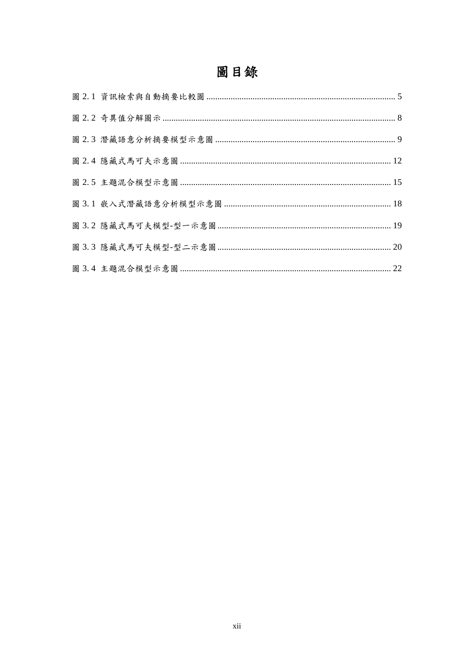# 圖目錄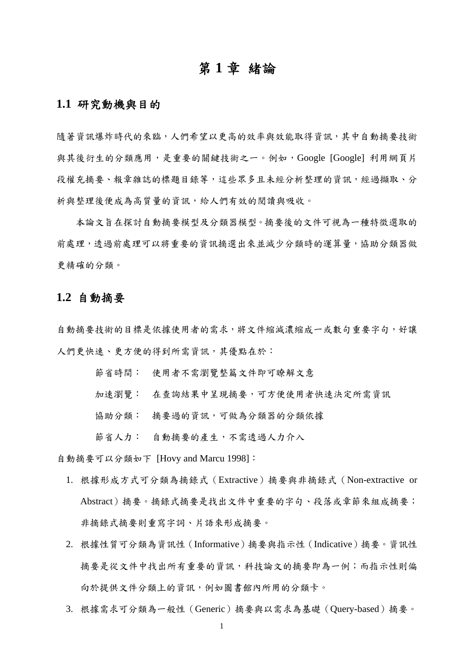## 第 **1** 章 緒論

#### **1.1** 研究動機與目的

隨著資訊爆炸時代的來臨,人們希望以更高的效率與效能取得資訊,其中自動摘要技術 與其後衍生的分類應用,是重要的關鍵技術之一。例如,Google [Google] 利用網頁片 段權充摘要、報章雜誌的標題目錄等,這些眾多且未經分析整理的資訊,經過擷取、分 析與整理後便成為高質量的資訊,給人們有效的閱讀與吸收。

本論文旨在探討自動摘要模型及分類器模型。摘要後的文件可視為一種特徵選取的 前處理,透過前處理可以將重要的資訊摘選出來並減少分類時的運算量,協助分類器做 更精確的分類。

#### **1.2** 自動摘要

自動摘要技術的目標是依據使用者的需求,將文件縮減濃縮成一或數句重要字句,好讓 人們更快速、更方便的得到所需資訊,其優點在於:

- 節省時間: 使用者不需瀏覽整篇文件即可瞭解文意
- 加速瀏覽: 在查詢結果中呈現摘要,可方便使用者快速決定所需資訊
- 協助分類: 摘要過的資訊,可做為分類器的分類依據
- 節省人力: 自動摘要的產生,不需透過人力介入

自動摘要可以分類如下 [Hovy and Marcu 1998]:

- 1. 根據形成方式可分類為摘錄式(Extractive)摘要與非摘錄式(Non-extractive or Abstract)摘要。摘錄式摘要是找出文件中重要的字句、段落或章節來組成摘要; 非摘錄式摘要則重寫字詞、片語來形成摘要。
- 2. 根據性質可分類為資訊性(Informative)摘要與指示性(Indicative)摘要。資訊性 摘要是從文件中找出所有重要的資訊,科技論文的摘要即為一例;而指示性則偏 向於提供文件分類上的資訊,例如圖書館內所用的分類卡。
- 3. 根據需求可分類為一般性(Generic)摘要與以需求為基礎(Query-based)摘要。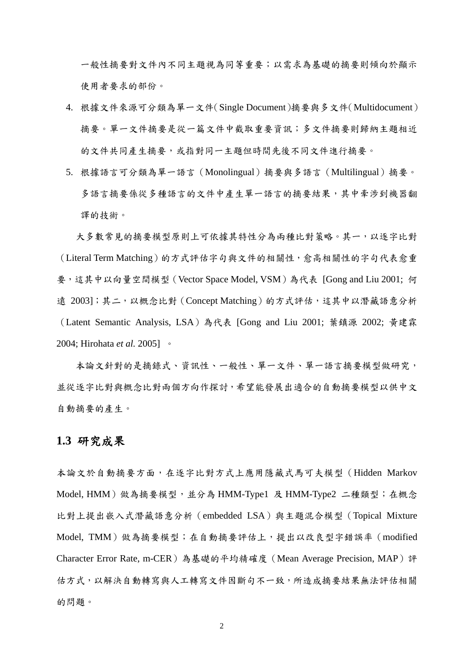一般性摘要對文件內不同主題視為同等重要;以需求為基礎的摘要則傾向於顯示 使用者要求的部份。

- 4. 根據文件來源可分類為單一文件(Single Document)摘要與多文件(Multidocument) 摘要。單一文件摘要是從一篇文件中截取重要資訊;多文件摘要則歸納主題相近 的文件共同產生摘要,或指對同一主題但時間先後不同文件進行摘要。
- 5. 根據語言可分類為單一語言(Monolingual)摘要與多語言(Multilingual)摘要。 多語言摘要係從多種語言的文件中產生單一語言的摘要結果,其中牽涉到機器翻 譯的技術。

大多數常見的摘要模型原則上可依據其特性分為兩種比對策略。其一,以逐字比對 (Literal Term Matching)的方式評估字句與文件的相關性,愈高相關性的字句代表愈重 要,這其中以向量空間模型(Vector Space Model, VSM)為代表 [Gong and Liu 2001; 何 遠 2003];其二,以概念比對 (Concept Matching) 的方式評估,這其中以潛藏語意分析 (Latent Semantic Analysis, LSA)為代表 [Gong and Liu 2001; 葉鎮源 2002; 黃建霖 2004; Hirohata *et al.* 2005] 。

本論文針對的是摘錄式、資訊性、一般性、單一文件、單一語言摘要模型做研究, 並從逐字比對與概念比對兩個方向作探討,希望能發展出適合的自動摘要模型以供中文 自動摘要的產生。

### **1.3** 研究成果

本論文於自動摘要方面,在逐字比對方式上應用隱藏式馬可夫模型(Hidden Markov Model, HMM)做為摘要模型,並分為 HMM-Type1 及 HMM-Type2 二種類型;在概念 比對上提出嵌入式潛藏語意分析(embedded LSA)與主題混合模型(Topical Mixture Model, TMM)做為摘要模型;在自動摘要評估上,提出以改良型字錯誤率(modified Character Error Rate, m-CER)為基礎的平均精確度 (Mean Average Precision, MAP)評 估方式,以解決自動轉寫與人工轉寫文件因斷句不一致,所造成摘要結果無法評估相關 的問題。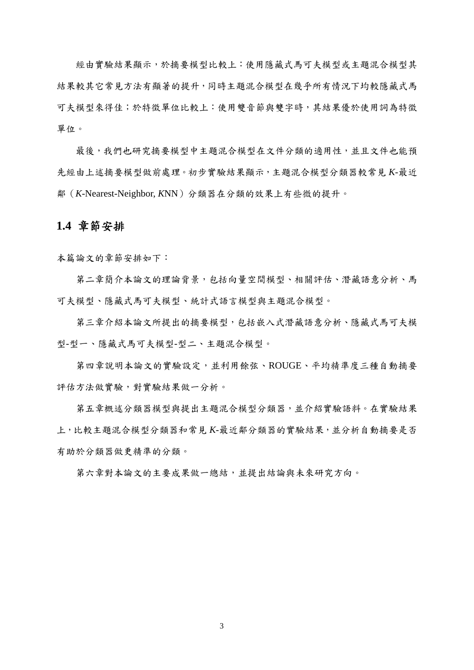經由實驗結果顯示,於摘要模型比較上:使用隱藏式馬可夫模型或主題混合模型其 結果較其它常見方法有顯著的提升,同時主題混合模型在幾乎所有情況下均較隱藏式馬 可夫模型來得佳;於特徵單位比較上:使用雙音節與雙字時,其結果優於使用詞為特徵 單位。

最後,我們也研究摘要模型中主題混合模型在文件分類的適用性,並且文件也能預 先經由上述摘要模型做前處理。初步實驗結果顯示,主題混合模型分類器較常見 *K*-最近 鄰(*K*-Nearest-Neighbor, *K*NN)分類器在分類的效果上有些微的提升。

#### **1.4** 章節安排

本篇論文的章節安排如下:

第二章簡介本論文的理論背景,包括向量空間模型、相關評估、潛藏語意分析、馬 可夫模型、隱藏式馬可夫模型、統計式語言模型與主題混合模型。

第三章介紹本論文所提出的摘要模型,包括嵌入式潛藏語意分析、隱藏式馬可夫模 型-型一、隱藏式馬可夫模型-型二、主題混合模型。

第四章說明本論文的實驗設定,並利用餘弦、ROUGE、平均精準度三種自動摘要 評估方法做實驗,對實驗結果做一分析。

第五章概述分類器模型與提出主題混合模型分類器,並介紹實驗語料。在實驗結果 上,比較主題混合模型分類器和常見 *K*-最近鄰分類器的實驗結果,並分析自動摘要是否 有助於分類器做更精準的分類。

第六章對本論文的主要成果做一總結,並提出結論與未來研究方向。

3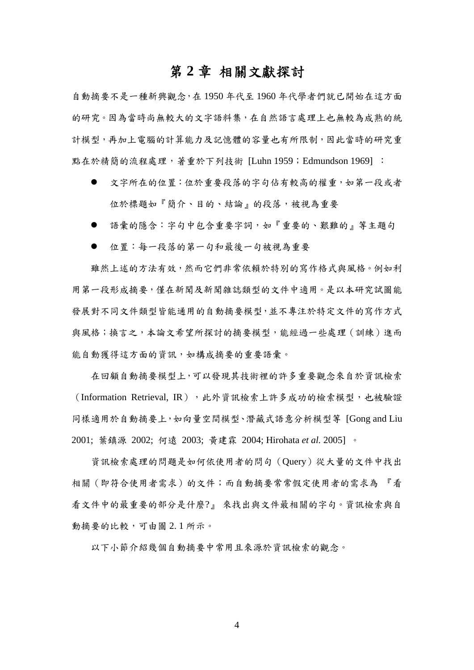## 第 **2** 章 相關文獻探討

自動摘要不是一種新興觀念,在 1950 年代至 1960 年代學者們就已開始在這方面 的研究。因為當時尚無較大的文字語料集,在自然語言處理上也無較為成熟的統 計模型,再加上電腦的計算能力及記憶體的容量也有所限制,因此當時的研究重 點在於精簡的流程處理,著重於下列技術 [Luhn 1959; Edmundson 1969] :

- 文字所在的位置:位於重要段落的字句佔有較高的權重,如第一段或者 位於標題如『簡介、目的、結論』的段落,被視為重要
- 語彙的隱含:字句中包含重要字詞,如『重要的、艱難的』等主題句
- 位置:每一段落的第一句和最後一句被視為重要

雖然上述的方法有效,然而它們非常依賴於特別的寫作格式與風格。例如利 用第一段形成摘要,僅在新聞及新聞雜誌類型的文件中適用。是以本研究試圖能 發展對不同文件類型皆能通用的自動摘要模型,並不專注於特定文件的寫作方式 與風格;換言之,本論文希望所探討的摘要模型,能經過一些處理(訓練)進而 能自動獲得這方面的資訊,如構成摘要的重要語彙。

在回顧自動摘要模型上,可以發現其技術裡的許多重要觀念來自於資訊檢索 (Information Retrieval, IR),此外資訊檢索上許多成功的檢索模型,也被驗證 同樣適用於自動摘要上,如向量空間模型、潛藏式語意分析模型等 [Gong and Liu 2001; 葉鎮源 2002; 何遠 2003; 黃建霖 2004; Hirohata *et al.* 2005] 。

資訊檢索處理的問題是如何依使用者的問句(Query)從大量的文件中找出 相關(即符合使用者需求)的文件;而自動摘要常常假定使用者的需求為 『看 看文件中的最重要的部分是什麼?』 來找出與文件最相關的字句。資訊檢索與自 動摘要的比較,可由圖 2.1 所示。

以下小節介紹幾個自動摘要中常用且來源於資訊檢索的觀念。

4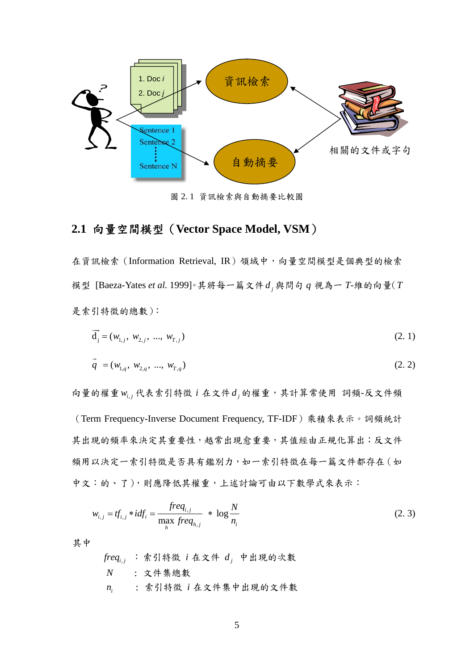

圖 2. 1 資訊檢索與自動摘要比較圖

## **2.1** 向量空間模型(**Vector Space Model, VSM**)

在資訊檢索 (Information Retrieval, IR)領域中,向量空間模型是個典型的檢索 模型 [Baeza-Yates *et al.* 1999]。其將每一篇文件 *<sup>j</sup> d* 與問句 *q* 視為一 *T*-維的向量(*T* 是索引特徵的總數):

$$
\vec{d}_j = (w_{1,j}, w_{2,j}, ..., w_{T,j})
$$
\n(2.1)

$$
\vec{q} = (w_{1,q}, w_{2,q}, ..., w_{T,q})
$$
\n(2.2)

向量的權重 w<sub>i,j</sub> 代表索引特徵 i 在文件 d<sub>j</sub> 的權重,其計算常使用 詞頻-反文件頻 (Term Frequency-Inverse Document Frequency, TF-IDF)乘積來表示。詞頻統計 其出現的頻率來決定其重要性,越常出現愈重要,其值經由正規化算出;反文件 頻用以決定一索引特徵是否具有鑑別力,如一索引特徵在每一篇文件都存在(如 中文:的、了),則應降低其權重,上述討論可由以下數學式來表示:

$$
w_{i,j} = tf_{i,j} * idf_i = \frac{freq_{i,j}}{\max_{h} freq_{h,j}} * \log \frac{N}{n_i}
$$
 (2.3)

其中

$$
freq_{i,j} \; : \; \n\hat{\mathbf{x}}\, \vec{\mathbf{y}}\, \vec{\mathbf{x}}\, \vec{\mathbf{x}}\, \vec{\mathbf{x}}\, \vec{\mathbf{x}}\, \vec{\mathbf{x}}\, \vec{\mathbf{y}}\, \vec{\mathbf{y}}\, \vec{\mathbf{x}}\, \vec{\mathbf{x}}\, \vec{\mathbf{y}}\, \vec{\mathbf{y}}\, \vec{\mathbf{x}}\, \vec{\mathbf{y}}\, \vec{\mathbf{y}}\, \vec{\mathbf{y}}\, \vec{\mathbf{y}}\, \vec{\mathbf{y}}\, \vec{\mathbf{y}}\, \vec{\mathbf{y}}\, \vec{\mathbf{y}}\, \vec{\mathbf{y}}\, \vec{\mathbf{y}}\, \vec{\mathbf{y}}\, \vec{\mathbf{y}}\, \vec{\mathbf{y}}\, \vec{\mathbf{y}}\, \vec{\mathbf{y}}\, \vec{\mathbf{y}}\, \vec{\mathbf{y}}\, \vec{\mathbf{y}}\, \vec{\mathbf{y}}\, \vec{\mathbf{y}}\, \vec{\mathbf{y}}\, \vec{\mathbf{y}}\, \vec{\mathbf{y}}\, \vec{\mathbf{y}}\, \vec{\mathbf{y}}\, \vec{\mathbf{y}}\, \vec{\mathbf{y}}\, \vec{\mathbf{y}}\, \vec{\mathbf{y}}\, \vec{\mathbf{y}}\, \vec{\mathbf{y}}\, \vec{\mathbf{y}}\, \vec{\mathbf{y}}\, \vec{\mathbf{y}}\, \vec{\mathbf{y}}\, \vec{\mathbf{y}}\, \vec{\mathbf{y}}\, \vec{\mathbf{y}}\, \vec{\mathbf{y}}\, \vec{\mathbf{y}}\, \vec{\mathbf{y}}\, \vec{\mathbf{y}}\, \vec{\mathbf{y}}\, \vec{\mathbf{y}}\, \vec{\mathbf{y}}\, \vec{\mathbf{y}}\, \vec{\mathbf{y}}\, \vec{\mathbf{y}}\, \vec{\mathbf{y}}\, \vec{\mathbf{y}}\, \vec{\mathbf{y}}\, \vec{\mathbf{y}}\, \vec{\mathbf{y}}\, \vec{\mathbf{y}}\, \vec{\mathbf{y}}\, \vec{\mathbf{y}}\, \vec{\mathbf{y}}\, \vec{\mathbf{y}}\, \vec{\mathbf{y}}\, \vec{\mathbf{y}}\, \vec{\mathbf{y}}\, \vec{\mathbf
$$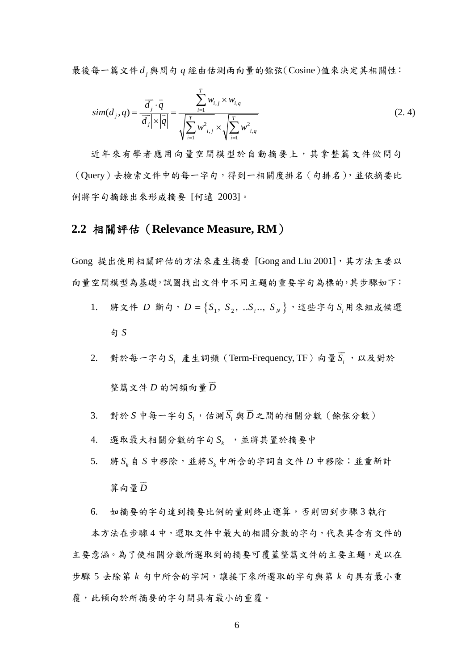最後每一篇文件 *<sup>j</sup> d* 與問句 *q* 經由估測兩向量的餘弦(Cosine)值來決定其相關性:

$$
sim(d_j, q) = \frac{\overrightarrow{d_j} \cdot \overrightarrow{q}}{|\overrightarrow{d_j}| \times |\overrightarrow{q}|} = \frac{\sum_{i=1}^{T} w_{i,j} \times w_{i,q}}{\sqrt{\sum_{i=1}^{T} w_{i,j}^2} \times \sqrt{\sum_{i=1}^{T} w_{i,q}^2}}
$$
\n(2.4)

近年來有學者應用向量空間模型於自動摘要上,其拿整篇文件做問句 (Query)去檢索文件中的每一字句,得到一相關度排名(句排名),並依摘要比 例將字句摘錄出來形成摘要 [何遠 2003]。

### **2.2** 相關評估(**Relevance Measure, RM**)

Gong 提出使用相關評估的方法來產生摘要 [Gong and Liu 2001],其方法主要以 向量空間模型為基礎,試圖找出文件中不同主題的重要字句為標的,其步驟如下:

- 1. 將文件  $D$  斷句,  $D = \{S_1, S_2, \ldots, S_j, \ldots, S_N\}$ , 這些字句  $S_i$ 用來組成候選 句 *S*
- $2.$  對於每一字句  $S_i$  產生詞頻 (Term-Frequency, TF) 向量 $S_i$  $\overline{\phantom{a}}$ ,以及對於 整篇文件 *D* 的詞頻向量 *D*  $\overline{\phantom{a}}$
- 3. 對於 S 中每一字句  $S_i$ ,估測  $S_i$  $\overline{\phantom{a}}$ 與 *D*  $\overline{\phantom{a}}$ 之間的相關分數(餘弦分數)
- 4. 選取最大相關分數的字句 *<sup>k</sup> S* ,並將其置於摘要中
- 5. 將  $S_k$ 自  $S$  中移除, 並將  $S_k$  中所含的字詞自文件  $D$  中移除; 並重新計 算向量 *D*  $\overline{\phantom{a}}$
- 6. 如摘要的字句達到摘要比例的量則終止運算,否則回到步驟 3 執行

本方法在步驟 4 中,選取文件中最大的相關分數的字句,代表其含有文件的 主要意涵。為了使相關分數所選取到的摘要可覆蓋整篇文件的主要主題,是以在 步驟 5 去除第 *k* 句中所含的字詞,讓接下來所選取的字句與第 *k* 句具有最小重 覆,此傾向於所摘要的字句間具有最小的重覆。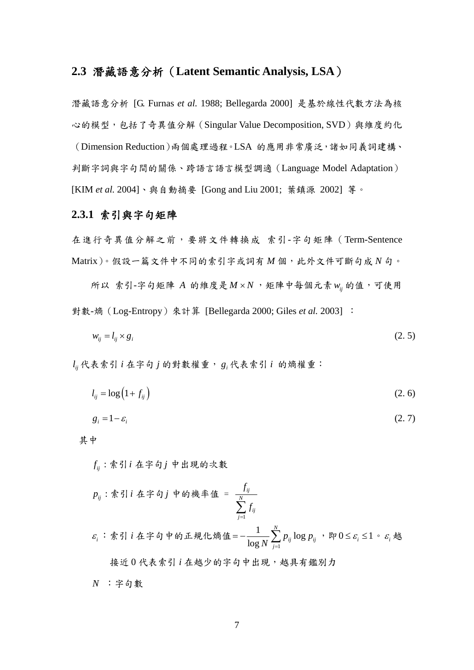### **2.3** 潛藏語意分析(**Latent Semantic Analysis, LSA**)

潛藏語意分析 [G. Furnas *et al.* 1988; Bellegarda 2000] 是基於線性代數方法為核 心的模型,包括了奇異值分解 (Singular Value Decomposition, SVD)與維度約化 (Dimension Reduction)兩個處理過程。LSA 的應用非常廣泛,諸如同義詞建構、 判斷字詞與字句間的關係、跨語言語言模型調適(Language Model Adaptation) [KIM *et al.* 2004]、與自動摘要 [Gong and Liu 2001; 葉鎮源 2002] 等。

#### **2.3.1** 索引與字句矩陣

在進行奇異值分解之前,要將文件轉換成 索引-字句矩陣(Term-Sentence Matrix)。假設一篇文件中不同的索引字或詞有 *M* 個,此外文件可斷句成 *N* 句。

 $m \times \hat{p}$  ,  $m \times \hat{p}$  ,  $\hat{p}$  and  $\hat{p}$  and  $\hat{p}$  and  $\hat{p}$  and  $\hat{p}$  and  $\hat{p}$  and  $\hat{p}$  and  $\hat{p}$  and  $\hat{p}$  and  $\hat{p}$  and  $\hat{p}$  and  $\hat{p}$  and  $\hat{p}$  and  $\hat{p}$  and  $\hat{p}$  and  $\hat{p}$  and  $\$ 對數-熵(Log-Entropy)來計算 [Bellegarda 2000; Giles *et al.* 2003] :

$$
w_{ij} = l_{ij} \times g_i \tag{2.5}
$$

*ij l* 代表索引 *i* 在字句 *j* 的對數權重, *<sup>i</sup> g* 代表索引 *i* 的熵權重:

 $l_{ii} = \log(1 + f_{ii})$  (2. 6)

$$
g_i = 1 - \varepsilon_i \tag{2.7}
$$

其中

: *ij fij* 索引 在字句 中出現的次數

1 : *ij ij N ij j <sup>f</sup> pij f* = ∑ 索引 在字句 中的機率值 = *<sup>i</sup>* <sup>ε</sup> :索引 *i* 在字句中的正規化熵值 1 <sup>1</sup> log log *N ij ij j <sup>p</sup> <sup>p</sup> <sup>N</sup>* <sup>=</sup> = − ∑ ,即0 1 *<sup>i</sup>* ≤ ≤ <sup>ε</sup> 。 *<sup>i</sup>* <sup>ε</sup> <sup>越</sup> 接近 0 代表索引 *i* 在越少的字句中出現,越具有鑑別力 *N* :字句數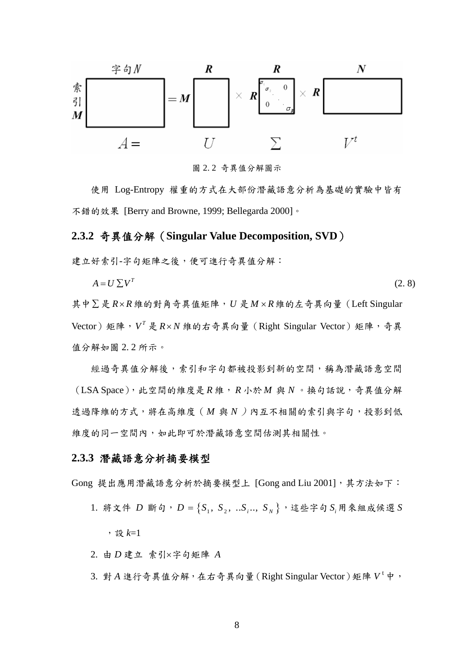

圖 2. 2 奇異值分解圖示

使用 Log-Entropy 權重的方式在大部份潛藏語意分析為基礎的實驗中皆有 不錯的效果 [Berry and Browne, 1999; Bellegarda 2000]。

#### **2.3.2** 奇異值分解(**Singular Value Decomposition, SVD**)

建立好索引-字句矩陣之後,便可進行奇異值分解:

 $A = U \sum V^{T}$  (2. 8)

其中∑ 是 *R*× *R*維的對角奇異值矩陣,*U* 是*M* × *R*維的左奇異向量(Left Singular Vector)矩陣, *<sup>T</sup> V* 是 *R*× *N* 維的右奇異向量(Right Singular Vector)矩陣,奇異 值分解如圖 2. 2 所示。

經過奇異值分解後,索引和字句都被投影到新的空間,稱為潛藏語意空間  $(LSA Space)$ , 此空間的維度是  $R$ 維,  $R \rightarrow M$  與  $N \circ 4$  的話說, 奇異值分解 透過降維的方式,將在高維度(M與N)內互不相關的索引與字句,投影到低 維度的同一空間內,如此即可於潛藏語意空間估測其相關性。

#### **2.3.3** 潛藏語意分析摘要模型

Gong 提出應用潛藏語意分析於摘要模型上 [Gong and Liu 2001],其方法如下:

1. 將文件  $D$  斷句,  $D = \{S_1, S_2, ... S_i, S_N\}$ , 這些字句  $S_i$ 用來組成候選  $S$ 

,設 *k*=1

2. 由 *D* 建立 索引×字句矩陣 *A*

3. 對 A 進行奇異值分解,在右奇異向量 (Right Singular Vector)矩陣  $V^{\dagger}$ 中,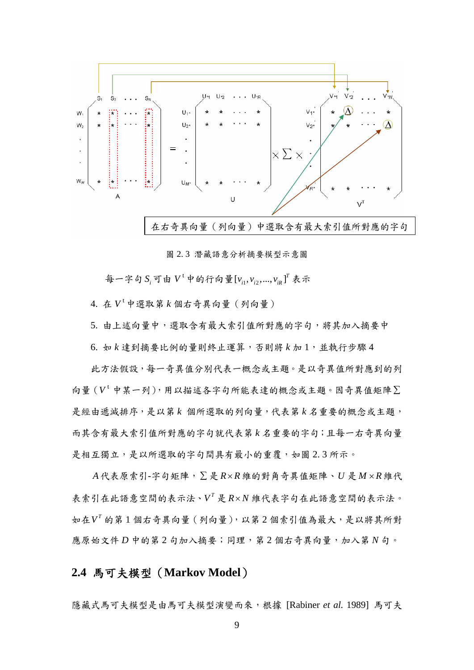

圖 2. 3 潛藏語意分析摘要模型示意圖

每一字句 S<sub>i</sub> 可由 V<sup>t</sup> 中的行向量 [v<sub>i1</sub>, v<sub>i2</sub>, ..., v<sub>iR</sub>]<sup>T</sup> 表示

4. 在 *V* <sup>t</sup> 中選取第 *k* 個右奇異向量(列向量)

5. 由上述向量中,選取含有最大索引值所對應的字句,將其加入摘要中

6. 如 *k* 達到摘要比例的量則終止運算,否則將 *k* 加 1,並執行步驟 4

此方法假設,每一奇異值分別代表一概念或主題。是以奇異值所對應到的列 向量(*V* <sup>t</sup>中某一列),用以描述各字句所能表達的概念或主題。因奇異值矩陣∑ 是經由遞減排序,是以第 k 個所選取的列向量,代表第 k 名重要的概念或主題, 而其含有最大索引值所對應的字句就代表第 *k* 名重要的字句;且每一右奇異向量 是相互獨立,是以所選取的字句間具有最小的重覆,如圖 2.3 所示。

*A*代表原索引-字句矩陣,∑ 是 *R*× *R* 維的對角奇異值矩陣、*U* 是*M* × *R*維代 表索引在此語意空間的表示法、 *<sup>T</sup> V* 是 *R*× *N* 維代表字句在此語意空間的表示法。 如在 *<sup>T</sup> V* 的第 1 個右奇異向量(列向量),以第 2 個索引值為最大,是以將其所對 應原始文件 *D* 中的第2句加入摘要;同理,第2個右奇異向量,加入第 N 句。

### **2.4** 馬可夫模型(**Markov Model**)

隱藏式馬可夫模型是由馬可夫模型演變而來,根據 [Rabiner *et al.* 1989] 馬可夫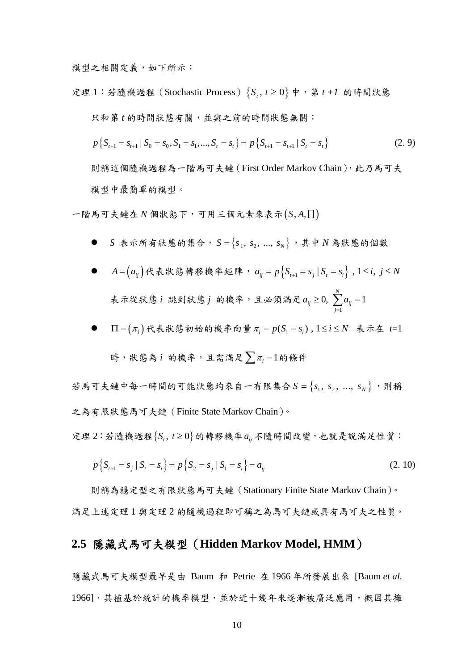模型之相關定義,如下所示:

定理 1: 若隨機過程 (Stochastic Process)  $\{S_t, t \geq 0\}$  中, 第  $t+1$  的時間狀態 只和第 *t* 的時間狀態有關,並與之前的時間狀態無關:

$$
p\left\{S_{t+1}=S_{t+1}\mid S_0=s_0, S_1=s_1, ..., S_t=s_t\right\}=p\left\{S_{t+1}=S_{t+1}\mid S_t=s_t\right\}
$$
(2.9)

則稱這個隨機過程為一階馬可夫鏈(First Order Markov Chain),此乃馬可夫 模型中最簡單的模型。

 $-\mathbb{E}$ 馬可夫鏈在  $N$  個狀態下,可用三個元素來表示 $(S, A, \Pi)$ 

● S 表示所有狀態的集合,  $S = \{S_1, S_2, ..., S_N\}$ , 其中  $N$ 為狀態的個數

\n- • 
$$
A = (a_{ij})
$$
代表状態韓移機率短中, $a_{ij} = p\{S_{t+1} = s_j | S_t = s_i\}$ , 1 ≤ *i*, *j* ≤ *N*
\n- 表示從状態*i* 郸到状態*j* 的機率,且公領満是  $a_{ij} \geq 0$ ,  $\sum_{j=1}^{N} a_{ij} = 1$
\n

\n- ■ 
$$
\Pi = (\pi_i) \land \forall
$$
 雷
\n- h
\n- h
\n- h
\n- h
\n- h
\n- h
\n- h
\n- h
\n- h
\n- h
\n- h
\n- h
\n- h
\n- h
\n- h
\n- h
\n- h
\n- h
\n- h
\n- h
\n- h
\n- h
\n- h
\n- h
\n- h
\n- h
\n- h
\n- h
\n- h
\n- h
\n- h
\n- h
\n- h
\n- h
\n- h
\n- h
\n- h
\n- h
\n- h
\n- h
\n- h
\n- h
\n- h
\n- h
\n- h
\n- h
\n- h
\n- h
\n- h
\n- h
\n- h
\n- h
\n- h
\n- h
\n- h
\n- h
\n- h
\n- h
\n- h
\n- h
\n- h
\n- h
\n- h
\n- h
\n- h
\n- h
\n- h
\n- h
\n- h
\n- h
\n- h
\n- h
\n- h
\n- h
\n- h
\n- h
\n- h
\n- h
\n- h
\n- h
\n- h
\n- h
\n- h
\n- h
\n- h
\n- h
\n- h
\n- h
\n- h
\n- h
\n- h
\n- h
\n- h
\n- h
\n- h
\n- h
\n- h
\n- h
\n- h
\n- h
\n- h
\n- h
\n- h
\n- h
\n- 

時,状態為
$$
i
$$
的機率,且需要入 $\pi_i = 1$ 的條体

若馬可夫鏈中每一時間的可能狀態均來自一有限集合  $S = \{s_1, s_2, ..., s_N\}$ ,則稱 之為有限狀態馬可夫鏈(Finite State Markov Chain)。

定理 2:若隨機過程 {S,, t≥0} 的轉移機率 a<sub>ii</sub> 不隨時間改變, 也就是說滿足性質:

$$
p\left\{S_{t+1} = s_j \mid S_t = s_i\right\} = p\left\{S_2 = s_j \mid S_1 = s_i\right\} = a_{ij}
$$
\n(2.10)

則稱為穩定型之有限狀態馬可夫鏈(Stationary Finite State Markov Chain)。 滿足上述定理 1 與定理 2 的隨機過程即可稱之為馬可夫鏈或具有馬可夫之性質。

### **2.5** 隱藏式馬可夫模型(**Hidden Markov Model, HMM**)

隱藏式馬可夫模型最早是由 Baum 和 Petrie 在 1966 年所發展出來 [Baum *et al.* 1966], 其植基於統計的機率模型, 並於近十幾年來逐漸被廣泛應用, 概因其擁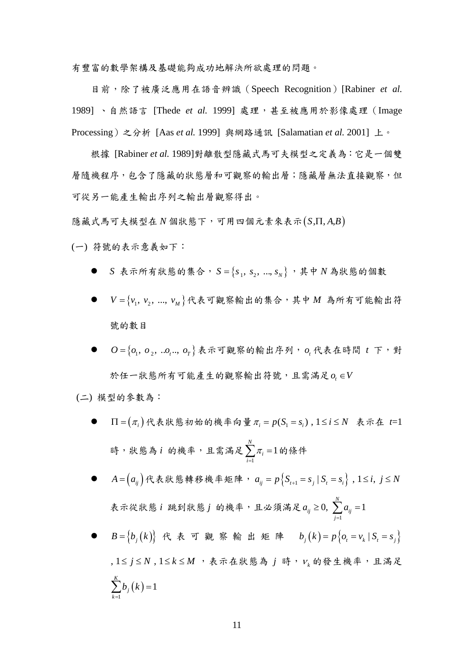有豐富的數學架構及基礎能夠成功地解決所欲處理的問題。

目前,除了被廣泛應用在語音辨識(Speech Recognition)[Rabiner *et al.* 1989] 、自然語言 [Thede *et al.* 1999] 處理,甚至被應用於影像處理(Image Processing)之分析 [Aas *et al.* 1999] 與網路通訊 [Salamatian *et al.* 2001] 上。

根據 [Rabiner *et al.* 1989]對離散型隱藏式馬可夫模型之定義為:它是一個雙 層隨機程序,包含了隱藏的狀態層和可觀察的輸出層;隱藏層無法直接觀察,但 可從另一能產生輸出序列之輸出層觀察得出。

 $R$  藏式馬可夫模型在  $N$  個狀態下,可用四個元素來表示 $(S,\Pi,A,B)$ 

(一) 符號的表示意義如下:

- S 表示所有狀態的集合,  $S = \{S_1, S_2, ..., S_N\}$ , 其中 N 為狀態的個數
- $V = \{v_1, v_2, ..., v_M\}$ 代表可觀察輸出的集合,其中 *M* 為所有可能輸出符 號的數目
- $O = \{O_1, O_2, ... O_r, o_r\}$ 表示可觀察的輸出序列,  $O_r$ 代表在時間  $t \in \mathcal{F}$ , 對 於任一狀態所有可能產生的觀察輸出符號,且需滿足  $o$  ∈ *V*

(二) 模型的參數為:

 $\Pi = (\pi_i)$ 代表狀態初始的機率向量 $\pi_i = p(S_i = s_i)$ ,  $1 \le i \le N$  表示在 t=1 時,狀態為 i 的機率,且需滿足 1 1 *N i i* π  $\sum_{i=1}$   $\pi$ <sub>i</sub> = 1 的條件

●  $A = (a_{ij})$ 代表狀態轉移機率矩陣,  $a_{ij} = p\{S_{i+1} = s_j | S_i = s_i\}$ ,  $1 \le i, j \le N$ 表示從狀態 *i* 跳到狀態 *j* 的機率,且必須滿足 1 0,  $\sum a_{ii} = 1$ *N*  $\alpha_{ij}$   $\leq$  0,  $\angle$   $\omega_{ij}$ *j*  $a_{ii} \geq 0$ ,  $\sum a$  $\geq 0, \sum_{j=1}^{\ } a_{ij} =$ 

 $B = \{b_i(k)\}\nmid k$  表 可 觀 察 輸 出 矩 陣  $b_i(k) = p\{o_i = v_k | S_i = s_j\}$ , 1≤ *j* ≤ N, 1 ≤ k ≤ M, 表示在狀態為 j 時, v<sub>k</sub> 的發生機率,且滿足  $(k) = 1$ 1 *K*  $\sum b_j(k) =$ *k* =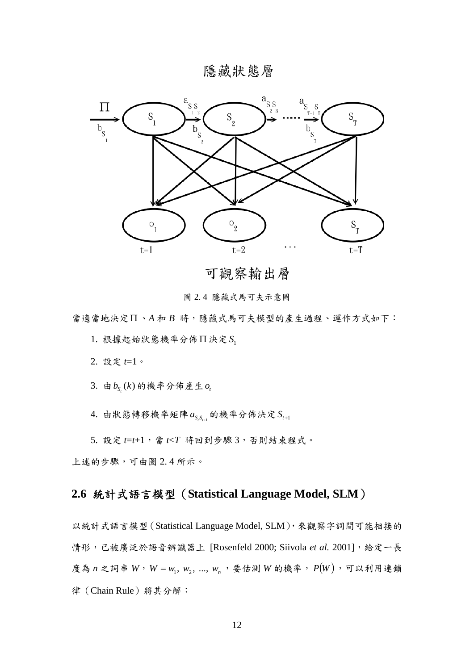隱藏狀態層



可觀察輸出層

圖 2. 4 隱藏式馬可夫示意圖

當適當地決定Π 、*A* 和 *B* 時,隱藏式馬可夫模型的產生過程、運作方式如下:

 $1.$  根據起始狀態機率分佈 $\Pi$  決定  $S_1$ 

2. 設定 *t*=1。

 $3.$ 由 $b_{\scriptscriptstyle S_i}(k)$ 的機率分佈產生 $o_i$ 

4. 由狀態轉移機率矩陣  $a_{S, S_{t+1}}$  的機率分佈決定  $S_{t+1}$ 

 $5.$  設定  $t=t+1$ , 當  $t$ / $T$  時回到步驟  $3$ , 否則結束程式。

上述的步驟,可由圖 2. 4 所示。

# **2.6** 統計式語言模型(**Statistical Language Model, SLM**)

以統計式語言模型(Statistical Language Model, SLM),來觀察字詞間可能相接的 情形,已被廣泛於語音辨識器上 [Rosenfeld 2000; Siivola et al. 2001], 給定一長 度為  $n$  之詞串  $W$ ,  $W = w_1, w_2, ..., w_n$ , 要估測  $W$  的機率,  $P(W)$ , 可以利用連鎖 律(Chain Rule)將其分解: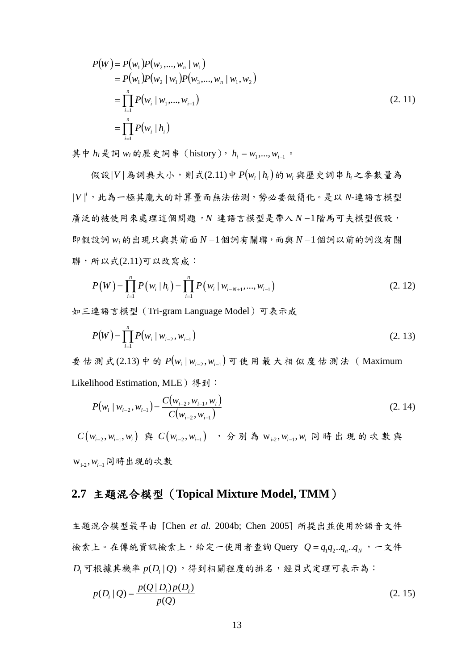$$
P(W) = P(w_1)P(w_2,..., w_n | w_1)
$$
  
=  $P(w_1)P(w_2 | w_1)P(w_3,..., w_n | w_1, w_2)$   
=  $\prod_{i=1}^n P(w_i | w_1,..., w_{i-1})$   
=  $\prod_{i=1}^n P(w_i | h_i)$  (2. 11)

其中  $h_i$ 是詞  $w_i$ 的歷史詞串 (history),  $h_i = w_1, \ldots, w_{i-1}$ 。

假設|*V* | 為詞典大小,則式(2.11)中 ( ) *P wi hi* | 的 *wi* 與歷史詞串 *<sup>i</sup> h* 之參數量為 | |*<sup>i</sup> V* ,此為一極其龐大的計算量而無法估測,勢必要做簡化。是以 *N-*連語言模型 廣泛的被使用來處理這個問題,*N* 連語言模型是帶入 *N* −1階馬可夫模型假設, 即假設詞 *wi*的出現只與其前面 *N* −1個詞有關聯,而與 *N* −1個詞以前的詞沒有關 聯,所以式(2.11)可以改寫成:

$$
P(W) = \prod_{i=1}^{n} P(w_i | h_i) = \prod_{i=1}^{n} P(w_i | w_{i-N+1}, ..., w_{i-1})
$$
\n(2.12)

如三連語言模型(Tri-gram Language Model)可表示成

$$
P(W) = \prod_{i=1}^{n} P(w_i \mid w_{i-2}, w_{i-1})
$$
\n(2.13)

要估測式(2.13) 中的  $P(w_i | w_{i-2}, w_{i-1})$  可使用最大相似度估測法(Maximum Likelihood Estimation, MLE) 得到:

$$
P(w_i | w_{i-2}, w_{i-1}) = \frac{C(w_{i-2}, w_{i-1}, w_i)}{C(w_{i-2}, w_{i-1})}
$$
\n(2.14)

 $C(w_{i-2}, w_{i-1}, w_i)$  與  $C(w_{i-2}, w_{i-1})$ , 分別為  $w_{i-2}, w_{i-1}, w_i$  同時出現的次數與 **w**<sub>i-2</sub>, w<sub>i-1</sub>同時出現的次數

## **2.7** 主題混合模型(**Topical Mixture Model, TMM**)

主題混合模型最早由 [Chen *et al.* 2004b; Chen 2005] 所提出並使用於語音文件 檢索上。在傳統資訊檢索上,給定一使用者查詢 Query  $Q = q_1 q_2... q_n... q_N$ , 一文件  $D_i$  可根據其機率  $p(D_i | Q)$ , 得到相關程度的排名,經貝式定理可表示為:

$$
p(D_i | Q) = \frac{p(Q | D_i) p(D_i)}{p(Q)}
$$
\n(2.15)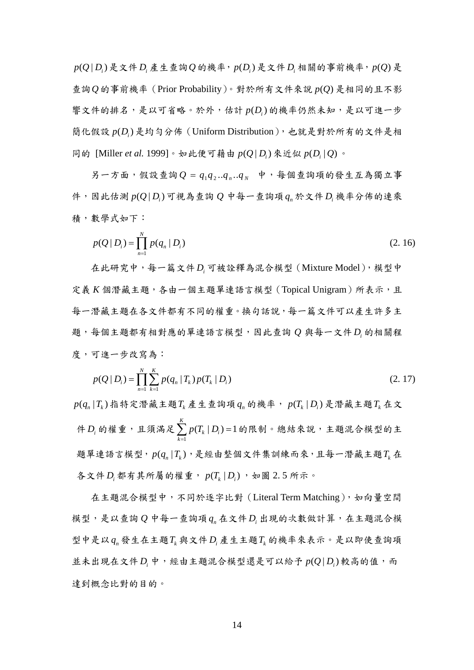$p(Q | D_i)$ 是文件 $D_i$ 產生查詢 $Q$ 的機率,  $p(D_i)$ 是文件 $D_i$ 相關的事前機率,  $p(Q)$ 是 查詢 $Q$ 的事前機率 (Prior Probability)。對於所有文件來說  $p(Q)$ 是相同的且不影 響文件的排名,是以可省略。於外,估計  $p(D_i)$ 的機率仍然未知,是以可進一步 簡化假設  $p(D_i)$ 是均勻分佈 (Uniform Distribution), 也就是對於所有的文件是相 同的 [Miller *et al.* 1999]。如此便可藉由  $p(Q|D_i)$ 來近似  $p(D_i|Q)$ 。

 $\overline{B}$ 一方面,假設查詢 $Q = q_1 q_2... q_n... q_N$ 中,每個查詢項的發生互為獨立事 件,因此估測 (| )*<sup>i</sup> p Q D* 可視為查詢 *Q* 中每一查詢項 *<sup>n</sup> q* 於文件 *Di* 機率分佈的連乘 積,數學式如下:

$$
p(Q | D_i) = \prod_{n=1}^{N} p(q_n | D_i)
$$
 (2. 16)

在此研究中,每一篇文件 *Di* 可被詮釋為混合模型(Mixture Model),模型中 定義 *K* 個潛藏主題,各由一個主題單連語言模型 (Topical Unigram) 所表示,且 每一潛藏主題在各文件都有不同的權重。換句話說,每一篇文件可以產生許多主 題,每個主題都有相對應的單連語言模型,因此查詢 *Q* 與每一文件 *Di* 的相關程 度,可進一步改寫為:

$$
p(Q \mid D_i) = \prod_{n=1}^{N} \sum_{k=1}^{K} p(q_n \mid T_k) p(T_k \mid D_i)
$$
 (2. 17)

 $p(q_n|T_k)$ 指特定潛藏主題 $T_k$ 產生查詢項  $q_n$  的機率,  $p(T_k|D_i)$ 是潛藏主題 $T_k$ 在文 件 *Di* 的權重,且須滿足 1  $(T_k | D_i)=1$ *K*  $k \mid \boldsymbol{\nu}_i$ *k*  $p(T_k | D)$  $\sum_{k=1}$   $p(T_k \mid D_i)$ =1的限制。總結來說,主題混合模型的主 題單連語言模型,  $p(q_n | T_i)$ , 是經由整個文件集訓練而來, 且每一潛藏主題 $T_k$ 在 各文件 *D*. 都有其所屬的權重,  $p(T_L | D_i)$ , 如圖 2.5 所示。

在主題混合模型中,不同於逐字比對 (Literal Term Matching), 如向量空間 模型,是以查詢 *Q* 中每一查詢項 *<sup>n</sup> q* 在文件 *Di* 出現的次數做計算,在主題混合模 型中是以 *<sup>n</sup> q* 發生在主題*Tk* 與文件 *Di* 產生主題*Tk* 的機率來表示。是以即使查詢項 並未出現在文件D<sub>.</sub>中,經由主題混合模型還是可以給予  $p(O|D)$ 較高的值,而 達到概念比對的目的。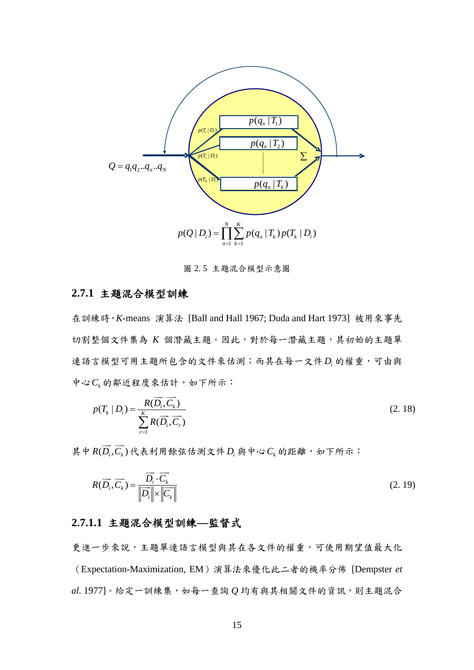

圖 2. 5 主題混合模型示意圖

#### **2.7.1** 主題混合模型訓練

在訓練時,*K*-means 演算法 [Ball and Hall 1967; Duda and Hart 1973] 被用來事先 切割整個文件集為 *K* 個潛藏主題。因此,對於每一潛藏主題,其初始的主題單 連語言模型可用主題所包含的文件來估測;而其在每一文件 *D*. 的權重,可由與 中心 $C_k$ 的鄰近程度來估計,如下所示:

$$
p(T_k | D_i) = \frac{R(\overrightarrow{D_i}, \overrightarrow{C_k})}{\sum_{r=1}^{K} R(\overrightarrow{D_i}, \overrightarrow{C_r})}
$$
\n(2.18)

其中 $R(\overrightarrow{D_i},\overrightarrow{C_k})$ 代表利用餘弦估測文件 $D_i$ 與中心 $C_k$ 的距離,如下所示:

$$
R(\overrightarrow{D_i}, \overrightarrow{C_k}) = \frac{\overrightarrow{D_i} \cdot \overrightarrow{C_k}}{\left\|\overrightarrow{D_i}\right\| \times \left\|\overrightarrow{C_k}\right\|} \tag{2.19}
$$

#### **2.7.1.1** 主題混合模型訓練**—**監督式

更進一步來說,主題單連語言模型與其在各文件的權重,可使用期望值最大化 (Expectation-Maximization, EM)演算法來優化此二者的機率分佈 [Dempster *et al.* 1977]。給定一訓練集,如每一查詢 *Q* 均有與其相關文件的資訊,則主題混合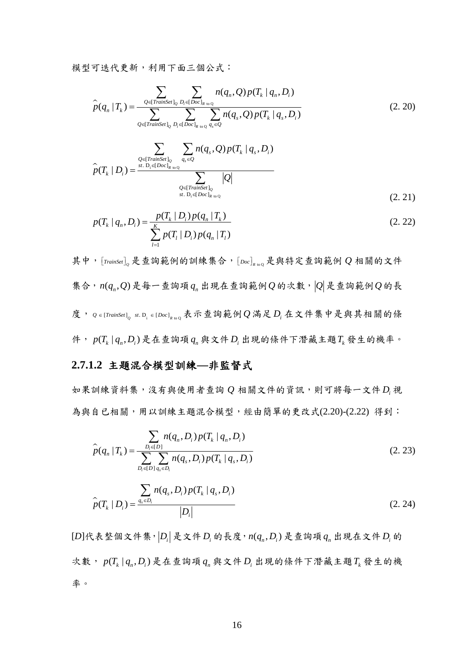模型可迭代更新,利用下面三個公式:

$$
\hat{p}(q_n | T_k) = \frac{\sum_{Q \in [TrainSet]_Q} \sum_{D_i \in [Doc]_R} n(q_n, Q) p(T_k | q_n, D_i)}{\sum_{Q \in [TrainSet]_Q} \sum_{D_i \in [Doc]_R} \sum_{w_Q} q_s \in Q} n(q_s, Q) p(T_k | q_s, D_i)}
$$
(2. 20)

$$
\hat{p}(T_k | D_i) = \frac{\sum_{Q \in [TrainSet]_Q} \sum_{q_s \in Q} n(q_s, Q) p(T_k | q_s, D_i)}{\sum_{Q \in [TrainSet]_Q} |Q|}
$$
\n
$$
\hat{p}(T_k | D_i) = \frac{\sum_{q_s \in [Doc]_R} n(q_s, Q) p(T_k | q_s, D_i)}{\sum_{q_s \in [Doc]_R} |Q|}
$$
\n
$$
(2.21)
$$

$$
p(T_k | q_n, D_i) = \frac{p(T_k | D_i) p(q_n | T_k)}{\sum_{l=1}^{K} p(T_l | D_i) p(q_n | T_l)}
$$
(2. 22)

其中,  $[$ *TrainSet*] $_0$ 是查詢範例的訓練集合,  $[$ *Doc* $]$ <sub>R to</sub> 是與特定查詢範例  $Q$  相關的文件 集合,  $n(q_n, Q)$ 是每一查詢項  $q_n$ 出現在查詢範例  $Q$  的次數,  $|Q|$ 是查詢範例  $Q$  的長 度,  $Q \in [TrainSet]$ <sub>o</sub> st. D<sub>i</sub> ∈ [Doc]<sub>R vo</sub> 表示查詢範例 Q 滿足 D<sub>i</sub> 在文件集中是與其相關的條 件,  $p(T_k | q_n, D_i)$ 是在查詢項  $q_n$ 與文件  $D_i$  出現的條件下潛藏主題  $T_k$  發生的機率。

#### **2.7.1.2** 主題混合模型訓練**—**非監督式

如果訓練資料集,沒有與使用者查詢 *Q* 相關文件的資訊,則可將每一文件 *Di* 視 為與自己相關,用以訓練主題混合模型,經由簡單的更改式(2.20)-(2.22) 得到:

$$
\hat{p}(q_n | T_k) = \frac{\sum_{D_i \in [D]} n(q_n, D_i) p(T_k | q_n, D_i)}{\sum_{D_i \in [D]} \sum_{q_s \in D_i} n(q_s, D_i) p(T_k | q_s, D_i)}
$$
(2.23)

$$
\hat{p}(T_k | D_i) = \frac{\sum_{q_s \in D_i} n(q_s, D_i) p(T_k | q_s, D_i)}{|D_i|}
$$
\n(2.24)

 $[D]$ 代表整個文件集, $[D]$ 是文件 $D_i$ 的長度, $n(q_n, D_i)$ 是查詢項  $q_n$ 出現在文件 $D_i$ 的  $x \nless y$ ,  $p(T_k | q_n, D_k)$ 是在查詢項  $q_k$ 與文件  $D_k$ 出現的條件下潛藏主題  $T_k$ 發生的機 率。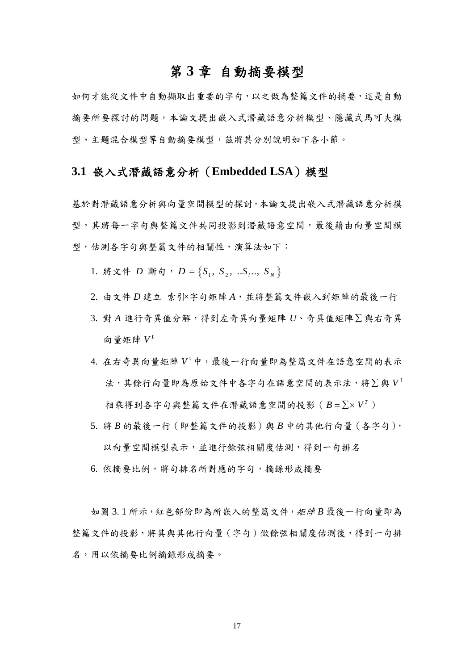## 第 **3** 章 自動摘要模型

如何才能從文件中自動擷取出重要的字句,以之做為整篇文件的摘要,這是自動 摘要所要探討的問題,本論文提出嵌入式潛藏語意分析模型、隱藏式馬可夫模 型、主題混合模型等自動摘要模型,茲將其分別說明如下各小節。

## **3.1** 嵌入式潛藏語意分析(**Embedded LSA**)模型

基於對潛藏語意分析與向量空間模型的探討,本論文提出嵌入式潛藏語意分析模 型,其將每一字句與整篇文件共同投影到潛藏語意空間,最後藉由向量空間模 型,估測各字句與整篇文件的相關性,演算法如下:

- 1. 將文件 *D* 斷句,  $D = \{S_1, S_2, \ldots, S_k\}$
- 2. 由文件 *D* 建立 索引×字句矩陣 A, 並將整篇文件嵌入到矩陣的最後一行
- 3. 對 *A* 進行奇異值分解,得到左奇異向量矩陣 *U*、奇異值矩陣∑ 與右奇異 向量矩陣 *V* <sup>t</sup>
- 4. 在右奇異向量矩陣 V<sup>t</sup>中,最後一行向量即為整篇文件在語意空間的表示 法,其餘行向量即為原始文件中各字句在語意空間的表示法,將∑ 與 *V* <sup>t</sup> 相乘得到各字句與整篇文件在潛藏語意空間的投影( *<sup>T</sup> B* = ∑× *V* )
- 5. 將 *B* 的最後一行(即整篇文件的投影)與 *B* 中的其他行向量(各字句), 以向量空間模型表示,並進行餘弦相關度估測,得到一句排名
- 6. 依摘要比例,將句排名所對應的字句,摘錄形成摘要

如圖 3. 1 所示,紅色部份即為所嵌入的整篇文件,矩陣 *B* 最後一行向量即為 整篇文件的投影,將其與其他行向量(字句)做餘弦相關度估測後,得到一句排 名,用以依摘要比例摘錄形成摘要。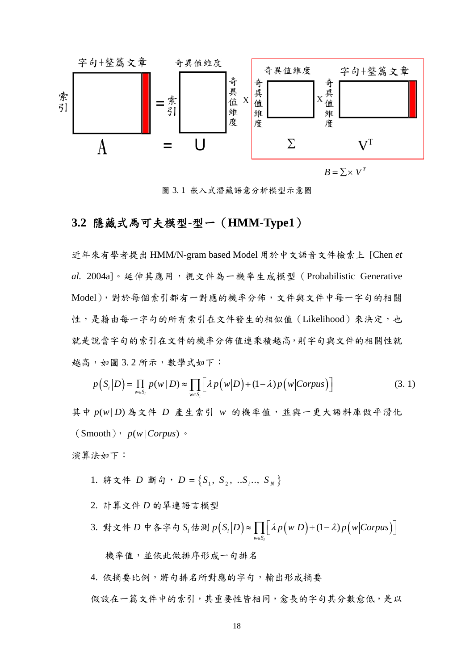

圖 3. 1 嵌入式潛藏語意分析模型示意圖

### **3.2** 隱藏式馬可夫模型**-**型一(**HMM-Type1**)

近年來有學者提出 HMM/N-gram based Model 用於中文語音文件檢索上 [Chen *et al.* 2004a]。延伸其應用,視文件為一機率生成模型(Probabilistic Generative Model),對於每個索引都有一對應的機率分佈,文件與文件中每一字句的相關 性,是藉由每一字句的所有索引在文件發生的相似值(Likelihood)來決定,也 就是說當字句的索引在文件的機率分佈值連乘積越高,則字句與文件的相關性就 越高,如圖 3. 2 所示,數學式如下:

$$
p(S_i|D) = \prod_{w \in S_i} p(w|D) \approx \prod_{w \in S_i} \left[ \lambda p(w|D) + (1-\lambda)p(w|Corpus) \right]
$$
 (3.1)

其中  $p(w|D)$ 為文件  $D$  產生索引 w 的機率值,並與一更大語料庫做平滑化  $(Smooth)$ ,  $p(w | Corpus)$ 

演算法如下:

- 1. 將文件 *D* 斷句,  $D = \{S_1, S_2, ... S_i, S_N\}$
- 2. 計算文件 *D* 的單連語言模型
- 3. 對文件 D 中各字句 S<sub>i</sub> 估測 p(S<sub>i</sub>|D)≈ ∏ | λp(w|D)+(1-λ)p(w|Corpus) | *i i*  $w \in S$  $p(S_i|D) \approx \prod \left( \lambda p(w|D) + (1-\lambda)p(w|Corpus) \right)$  $\approx \prod_{w \in S_i} \left[ \lambda p(w|D) + (1-\lambda) p(w|Corpus) \right]$

機率值,並依此做排序形成一句排名

4. 依摘要比例,將句排名所對應的字句,輸出形成摘要

假設在一篇文件中的索引,其重要性皆相同,愈長的字句其分數愈低,是以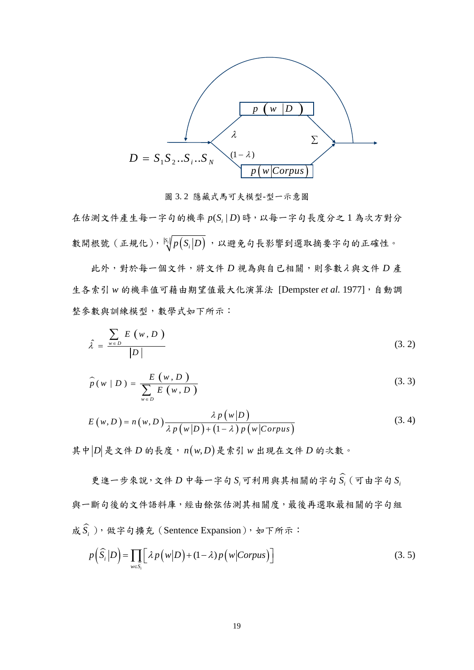

圖 3. 2 隱藏式馬可夫模型-型一示意圖

在估測文件產生每一字句的機率 p(S, |D)時, 以每一字句長度分之1為次方對分 數開根號 (正規化),  $\frac{|S_i|}{\sqrt[3]{p(S_i|D)}}$ , 以避免句長影響到選取摘要字句的正確性。

此外,對於每一個文件,將文件 *D* 視為與自已相關,則參數λ 與文件 *D* 產 生各索引 *w* 的機率值可藉由期望值最大化演算法 [Dempster *et al.* 1977],自動調 整參數與訓練模型,數學式如下所示:

$$
\hat{\lambda} = \frac{\sum_{w \in D} E(w, D)}{|D|} \tag{3.2}
$$

$$
\widehat{p}(w \mid D) = \frac{E(w, D)}{\sum_{w \in D} E(w, D)}
$$
\n(3.3)

$$
E(w, D) = n(w, D) \frac{\lambda p(w|D)}{\lambda p(w|D) + (1 - \lambda) p(w|Corpus)}
$$
(3.4)

其中 $|D|$ 是文件 $D$  的長度, $n(w,D)$ 是索引  $w$  出現在文件 $D$  的次數。

更進一步來說,文件 $D$  中每一字句  $S_i$ 可利用與其相關的字句 $\widehat{S_i}$  (可由字句 $S_i$ 與一斷句後的文件語料庫,經由餘弦估測其相關度,最後再選取最相關的字句組  $\hat{K} \, \widehat{S_i}$ ), 做字句擴充(Sentence Expansion), 如下所示:

$$
p\left(\widehat{S}_i|D\right) = \prod_{w \in \widehat{S}_i} \left[ \lambda p\left(w|D\right) + (1-\lambda)p\left(w|\text{Corpus}\right) \right] \tag{3.5}
$$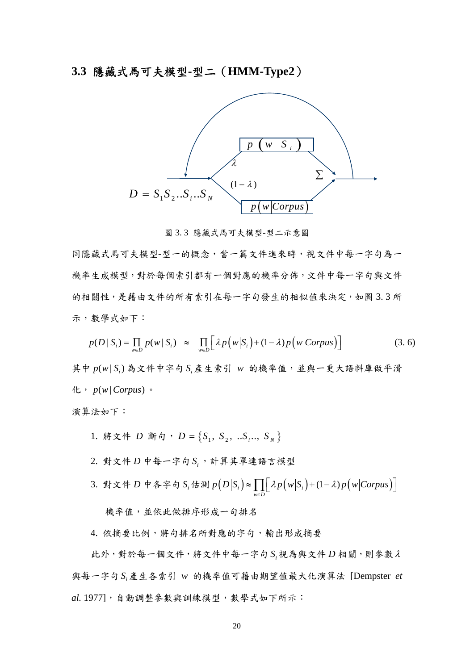### **3.3** 隱藏式馬可夫模型**-**型二(**HMM-Type2**)



圖 3. 3 隱藏式馬可夫模型-型二示意圖

同隱藏式馬可夫模型-型一的概念,當一篇文件進來時,視文件中每一字句為一 機率生成模型,對於每個索引都有一個對應的機率分佈,文件中每一字句與文件 的相關性,是藉由文件的所有索引在每一字句發生的相似值來決定,如圖 3.3 所 示,數學式如下:

$$
p(D \mid S_i) = \prod_{w \in D} p(w \mid S_i) \approx \prod_{w \in D} \left[ \lambda p(w \mid S_i) + (1 - \lambda) p(w \mid Corpus) \right]
$$
 (3.6)

其中  $p(w|S_i)$ 為文件中字句 S 產生索引 w 的機率值,並與一更大語料庫做平滑 化,  $p(w | Corpus)$ 。

演算法如下:

- 1. 將文件 *D* 斷句,  $D = \{S_1, S_2, ... S_i, S_N\}$
- 2. 對文件 *D* 中每一字句 *<sup>i</sup> S* ,計算其單連語言模型
- 3. 對文件 D 中各字句 S<sub>i</sub> 估測 p(D|S<sub>i</sub>)≈ ∏ | λp(w|S<sub>i</sub>)+(1-λ)p(w|Corpus) |  $w \in D$  $p(D|S_i) \approx \prod \lambda p(w|S_i) + (1-\lambda)p(w|Corpus)$  $\approx \prod_{w \in D} \left[ \lambda p(w|S_i) + (1-\lambda) p(w|Corpus) \right]$

機率值,並依此做排序形成一句排名

4. 依摘要比例,將句排名所對應的字句,輸出形成摘要

此外,對於每一個文件,將文件中每一字句 *<sup>i</sup> S* 視為與文件 *D* 相關,則參數<sup>λ</sup> 與每一字句 *<sup>i</sup> S* 產生各索引 *w* 的機率值可藉由期望值最大化演算法 [Dempster *et al.* 1977],自動調整參數與訓練模型,數學式如下所示: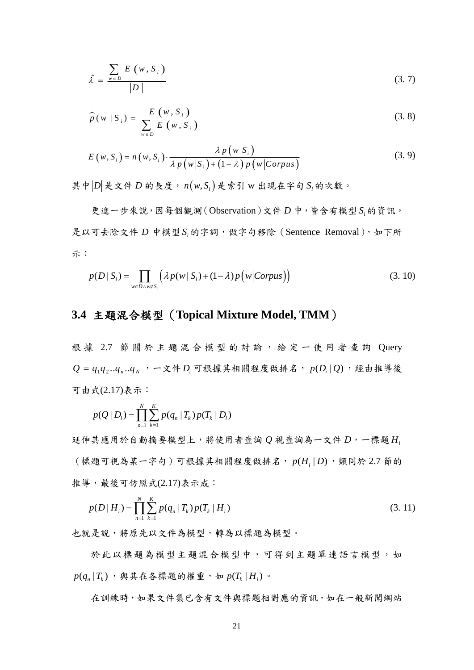$$
\hat{\lambda} = \frac{\sum_{w \in D} E(w, S_i)}{|D|} \tag{3.7}
$$

$$
\widehat{p}(w \mid S_i) = \frac{E(w, S_i)}{\sum_{w \in D} E(w, S_i)}
$$
\n(3.8)

$$
E(w, S_i) = n(w, S_i) \cdot \frac{\lambda p(w|S_i)}{\lambda p(w|S_i) + (1 - \lambda) p(w|Corpus)}
$$
(3.9)

其中 $|D|$ 是文件 $D$  的長度,  $n(w,S_i)$ 是索引 w 出現在字句  $S_i$ 的次數。

更進一步來說,因每個觀測(Observation)文件 *D* 中,皆含有模型 *<sup>i</sup> S* 的資訊, 是以可去除文件 *D* 中模型 S 的字詞,做字句移除(Sentence Removal),如下所 示:

$$
p(D \mid S_i) = \prod_{w \in D \land w \notin S_i} \left( \lambda p(w \mid S_i) + (1 - \lambda) p(w \mid Corpus) \right) \tag{3.10}
$$

### **3.4** 主題混合模型(**Topical Mixture Model, TMM**)

根據 2.7 節關於主題混合模型的討論,給定一使用者查詢 Query  $Q = q_1 q_2 \ldots q_n \ldots q_N$ , 一文件 $D_i$ 可根據其相關程度做排名,  $p(D_i | Q)$ , 經由推導後 可由式(2.17)表示:

$$
p(Q | D_i) = \prod_{n=1}^{N} \sum_{k=1}^{K} p(q_n | T_k) p(T_k | D_i)
$$

延伸其應用於自動摘要模型上,將使用者查詢 *Q* 視查詢為一文件 *D*,一標題 *Hi* (標題可視為某一字句)可根據其相關程度做排名,  $p(H_i|D)$ , 類同於 2.7 節的 推導,最後可仿照式(2.17)表示成:

$$
p(D \mid H_i) = \prod_{n=1}^{N} \sum_{k=1}^{K} p(q_n \mid T_k) p(T_k \mid H_i)
$$
\n(3.11)

也就是說,將原先以文件為模型,轉為以標題為模型。

於此以標題為模型主題混合模型中,可得到主題單連語言模型,如  $p(q_{n} | T_{k})$ , 與其在各標題的權重, 如  $p(T_{k} | H_{i})$ 。

在訓練時,如果文件集已含有文件與標題相對應的資訊,如在一般新聞網站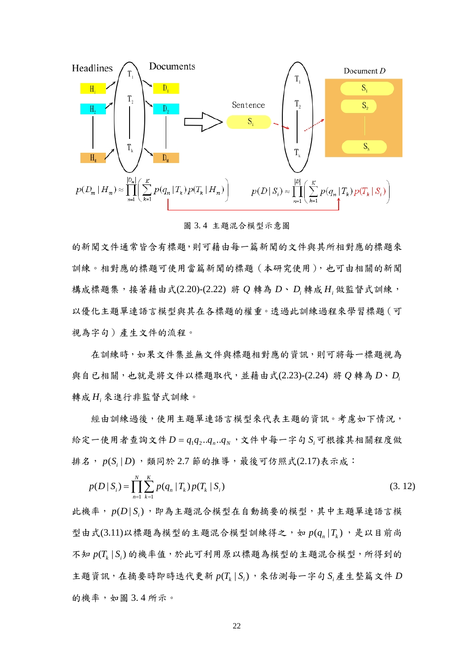

圖 3. 4 主題混合模型示意圖

的新聞文件通常皆含有標題,則可藉由每一篇新聞的文件與其所相對應的標題來 訓練。相對應的標題可使用當篇新聞的標題(本研究使用),也可由相關的新聞 構成標題集,接著藉由式(2.20)-(2.22) 將 *Q* 轉為 *D*、 *Di* 轉成 *Hi* 做監督式訓練, 以優化主題單連語言模型與其在各標題的權重。透過此訓練過程來學習標題(可 視為字句)產生文件的流程。

在訓練時,如果文件集並無文件與標題相對應的資訊,則可將每一標題視為 與自已相關,也就是將文件以標題取代,並藉由式(2.23)-(2.24) 將 *Q* 轉為 *D*、*Di* 轉成 *Hi* 來進行非監督式訓練。

經由訓練過後,使用主題單連語言模型來代表主題的資訊。考慮如下情況, 給定一使用者查詢文件 $D = q_1 q_2 \ldots q_M$ , 文件中每一字句 S 可根據其相關程度做 排名,  $p(S_i|D)$ , 類同於 2.7 節的推導, 最後可仿照式(2.17)表示成:

$$
p(D \mid S_i) = \prod_{n=1}^{N} \sum_{k=1}^{K} p(q_n \mid T_k) p(T_k \mid S_i)
$$
\n(3.12)

此機率, (|)*<sup>i</sup> p D S* ,即為主題混合模型在自動摘要的模型,其中主題單連語言模 型由式 $(3.11)$ 以標題為模型的主題混合模型訓練得之,如  $p(q_1|T_i)$ ,是以目前尚 不知 (|) *k i p T S* 的機率值,於此可利用原以標題為模型的主題混合模型,所得到的 主題資訊,在摘要時即時迭代更新  $p(T_k | S_i)$ ,來估測每一字句  $S_i$ 產生整篇文件  $D$ 的機率,如圖 3.4 所示。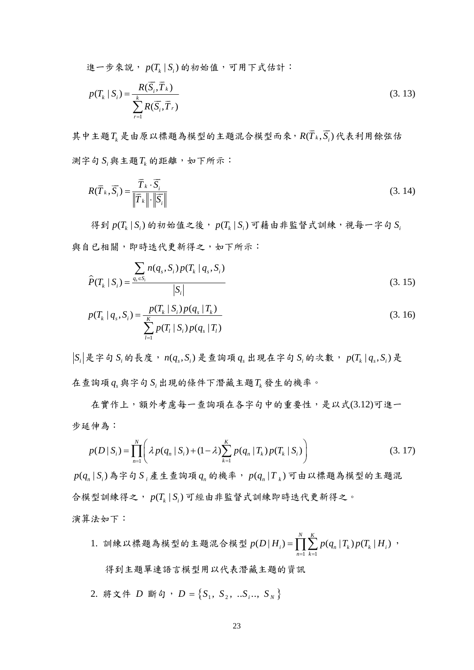進一步來說,  $p(T_k | S_i)$ 的初始值,可用下式估計:

$$
p(T_k | S_i) = \frac{R(\overline{S}_i, \overline{T}_k)}{\sum_{r=1}^k R(\overline{S}_i, \overline{T}_r)}
$$
(3.13)

其中主題 $T_k$ 是由原以標題為模型的主題混合模型而來,  $R(\overline T_k,\overline S_i)$ 代表利用餘弦估  $\mathfrak{M}$  字句  $S_i$  與主題 $T_k$  的距離, 如下所示:

$$
R(\overrightarrow{T}_{k}, \overrightarrow{S}_{i}) = \frac{\overrightarrow{T}_{k} \cdot \overrightarrow{S}_{i}}{\left\| \overrightarrow{T}_{k} \right\| \cdot \left\| \overrightarrow{S}_{i} \right\|}
$$
\n(3.14)

得到  $p(T_k | S_i)$ 的初始值之後,  $p(T_k | S_i)$ 可藉由非監督式訓練,視每一字句  $S_k$ 與自已相關,即時迭代更新得之,如下所示:

$$
\hat{P}(T_k | S_i) = \frac{\sum_{q_s \in S_i} n(q_s, S_i) p(T_k | q_s, S_i)}{|S_i|}
$$
\n(3.15)

$$
p(T_k | q_s, S_i) = \frac{p(T_k | S_i) p(q_s | T_k)}{\sum_{l=1}^{K} p(T_l | S_i) p(q_s | T_l)}
$$
(3. 16)

 $|S_i|$ 是字句 *S* 的長度,  $n(q_i, S_i)$ 是查詢項  $q_i$  出現在字句  $S_i$  的次數,  $p(T_i | q_i, S_i)$ 是 在查詢項 *<sup>s</sup> q* 與字句 *<sup>i</sup> S* 出現的條件下潛藏主題*Tk* 發生的機率。

在實作上,額外考慮每一查詢項在各字句中的重要性,是以式(3.12)可進一 步延伸為:

$$
p(D \mid S_i) = \prod_{n=1}^{N} \left( \lambda p(q_n \mid S_i) + (1 - \lambda) \sum_{k=1}^{K} p(q_n \mid T_k) p(T_k \mid S_i) \right)
$$
(3.17)

 $p(q_n|S_i)$ 為字句 $S_i$ 產生查詢項 $q_n$ 的機率,  $p(q_n|T_k)$ 可由以標題為模型的主題混 合模型訓練得之,  $p(T_L | S_i)$ 可經由非監督式訓練即時迭代更新得之。 演算法如下:

1. 訓練以標題為模型的主題混合模型 1 1 ( | ) ( | )( | ) *N K i nk k i n k p D H pq T pT H* = = =∏∑ ,

得到主題單連語言模型用以代表潛藏主題的資訊

2. 
$$
\mathbb{R} \times \mathbb{A} \times D \quad \mathbb{B} \times \mathbb{S} \times D = \{S_1, S_2, \ldots S_i, S_N\}
$$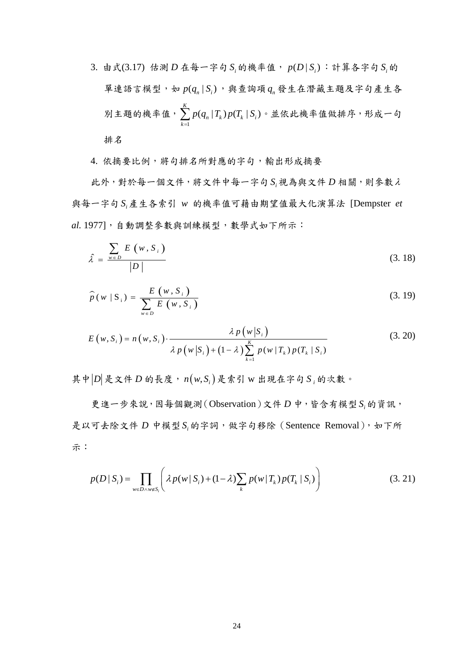3. 由式(3.17) 估測 *D* 在每一字句 S 的機率值,  $p(D|S_i)$ : 計算各字句 S 的 單連語言模型,如  $p(q_n | S_i)$ ,與查詢項  $q_n$ 發生在潛藏主題及字句產生各 別主題的機率值, 1  $(q_n | T_k) p(T_k | S_i)$ *K*  $n \mid \mathbf{1}_k$  *j*  $\mathbf{P}(\mathbf{1}_k \mid \mathbf{0}_i)$ *k*  $p(q_n | T_k) p(T_k | S)$  $\sum_{k=1} p(q_n | T_k) p(T_k | S_i) \cdot \text{#} \&$ 此機率值做排序,形成一句 排名

4. 依摘要比例,將句排名所對應的字句,輸出形成摘要

此外,對於每一個文件,將文件中每一字句 *<sup>i</sup> S* 視為與文件 *D* 相關,則參數<sup>λ</sup> 與每一字句 *<sup>i</sup> S* 產生各索引 *w* 的機率值可藉由期望值最大化演算法 [Dempster *et al.* 1977],自動調整參數與訓練模型,數學式如下所示:

$$
\hat{\lambda} = \frac{\sum_{w \in D} E(w, S_i)}{|D|}
$$
\n(3.18)

$$
\widehat{p}(w \mid S_i) = \frac{E(w, S_i)}{\sum_{w \in D} E(w, S_i)}
$$
\n(3.19)

$$
E(w, S_i) = n(w, S_i) \cdot \frac{\lambda p(w|S_i)}{\lambda p(w|S_i) + (1-\lambda) \sum_{k=1}^{K} p(w|T_k) p(T_k|S_i)}
$$
(3. 20)

其中 $|D|$ 是文件 $D$  的長度,  $n(w, S)$ , 是索引 w 出現在字句 $S$ , 的次數。

更進一步來說,因每個觀測(Observation)文件 *D* 中,皆含有模型 *<sup>i</sup> S* 的資訊, 是以可去除文件 *D* 中模型 S 的字詞,做字句移除(Sentence Removal),如下所 示:

$$
p(D \mid S_i) = \prod_{w \in D \land w \notin S_i} \left( \lambda p(w \mid S_i) + (1 - \lambda) \sum_k p(w \mid T_k) p(T_k \mid S_i) \right) \tag{3.21}
$$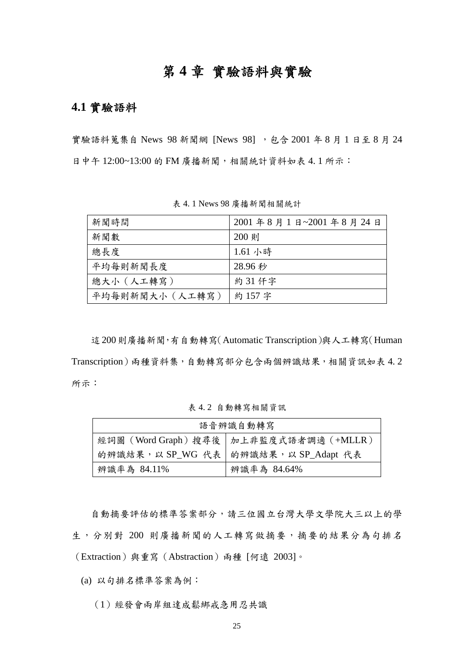# 第 **4** 章 實驗語料與實驗

## **4.1** 實驗語料

實驗語料蒐集自 News 98 新聞網 [News 98], 包含 2001 年 8 月 1 日至 8 月 24 日中午 12:00~13:00 的 FM 廣播新聞,相關統計資料如表 4.1 所示:

| 新聞時間            | 2001年8月1日~2001年8月24日 |
|-----------------|----------------------|
| 新聞數             | 200 則                |
| 總長度             | 1.61 小時              |
| 平均每則新聞長度        | 28.96 秒              |
| 總大小 (人工轉寫)      | 約31仟字                |
| 平均每則新聞大小 (人工轉寫) | 約157字                |

表 4. 1 News 98 廣播新聞相關統計

這200則廣播新聞,有自動轉寫(Automatic Transcription)與人工轉寫(Human Transcription)兩種資料集,自動轉寫部分包含兩個辨識結果,相關資訊如表 4.2 所示:

表 4. 2 自動轉寫相關資訊

| 語音辨識自動轉寫    |                                           |  |  |  |  |  |  |
|-------------|-------------------------------------------|--|--|--|--|--|--|
|             | 經詞圖 (Word Graph) 搜尋後   加上非監度式語者調適 (+MLLR) |  |  |  |  |  |  |
|             | 的辨識結果,以 SP_WG 代表   的辨識結果, 以 SP_Adapt 代表   |  |  |  |  |  |  |
| 辨識率為 84.11% | 辨識率為 84.64%                               |  |  |  |  |  |  |

自動摘要評估的標準答案部分,請三位國立台灣大學文學院大三以上的學 生,分別對 200 則廣播新聞的人工轉寫做摘要,摘要的結果分為句排名 (Extraction)與重寫(Abstraction)兩種 [何遠 2003]。

(a) 以句排名標準答案為例:

(1)經發會兩岸組達成鬆綁戒急用忍共識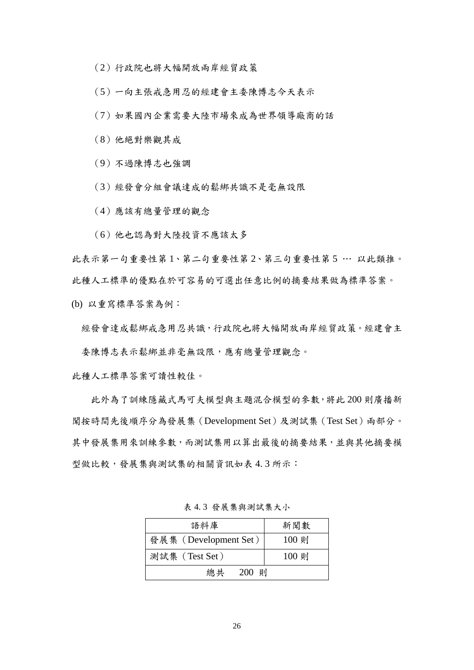(2)行政院也將大幅開放兩岸經貿政策

(5)一向主張戒急用忍的經建會主委陳博志今天表示

(7)如果國內企業需要大陸市場來成為世界領導廠商的話

(8)他絕對樂觀其成

(9)不過陳博志也強調

(3)經發會分組會議達成的鬆綁共識不是毫無設限

(4)應該有總量管理的觀念

(6)他也認為對大陸投資不應該太多

此表示第一句重要性第 1、第二句重要性第 2、第三句重要性第 5 … 以此類推。 此種人工標準的優點在於可容易的可選出任意比例的摘要結果做為標準答案。

(b) 以重寫標準答案為例:

經發會達成鬆綁戒急用忍共識,行政院也將大幅開放兩岸經貿政策。經建會主

委陳博志表示鬆綁並非毫無設限,應有總量管理觀念。

此種人工標準答案可讀性較佳。

此外為了訓練隱藏式馬可夫模型與主題混合模型的參數,將此 200 則廣播新 聞按時間先後順序分為發展集(Development Set)及測試集(Test Set)兩部分。 其中發展集用來訓練參數,而測試集用以算出最後的摘要結果,並與其他摘要模 型做比較,發展集與測試集的相關資訊如表 4.3 所示:

| 語料庫                   | 新聞數   |
|-----------------------|-------|
| 發展集 (Development Set) | 100 則 |
| 測試集 (Test Set)        | 100 則 |
| 總共<br>200 則           |       |

表 4. 3 發展集與測試集大小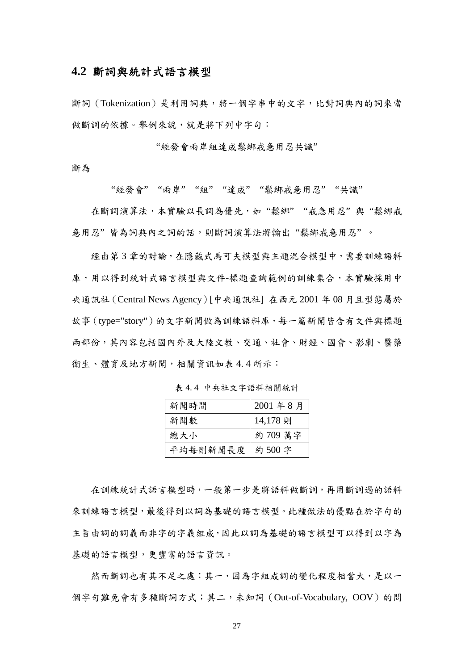### **4.2** 斷詞與統計式語言模型

斷詞(Tokenization)是利用詞典,將一個字串中的文字,比對詞典內的詞來當 做斷詞的依據。舉例來說,就是將下列中字句:

"經發會兩岸組達成鬆綁戒急用忍共識"

斷為

"經發會" "兩岸" "組" "達成" "鬆綁戒急用忍" "共識"

在斷詞演算法,本實驗以長詞為優先,如"鬆綁""戒急用忍"與"鬆綁戒 急用忍"皆為詞典內之詞的話,則斷詞演算法將輸出"鬆綁戒急用忍"。

經由第3章的討論,在隱藏式馬可夫模型與主題混合模型中,需要訓練語料 庫,用以得到統計式語言模型與文件-標題查詢範例的訓練集合,本實驗採用中 央通訊社(Central News Agency)[中央通訊社] 在西元 2001 年 08 月且型態屬於 故事(type="story")的文字新聞做為訓練語料庫,每一篇新聞皆含有文件與標題 兩部份,其內容包括國內外及大陸文教、交通、社會、財經、國會、影劇、醫藥 衛生、體育及地方新聞,相關資訊如表 4.4 所示:

| 新聞時間            | 2001年8月  |
|-----------------|----------|
| 新聞數             | 14,178 則 |
| 總大小             | 約 709 萬字 |
| 平均每則新聞長度  約500字 |          |

表 4. 4 中央社文字語料相關統計

在訓練統計式語言模型時,一般第一步是將語料做斷詞,再用斷詞過的語料 來訓練語言模型,最後得到以詞為基礎的語言模型。此種做法的優點在於字句的 主旨由詞的詞義而非字的字義組成,因此以詞為基礎的語言模型可以得到以字為 基礎的語言模型,更豐富的語言資訊。

然而斷詞也有其不足之處:其一,因為字組成詞的變化程度相當大,是以一 個字句難免會有多種斷詞方式;其二,未知詞(Out-of-Vocabulary, OOV)的問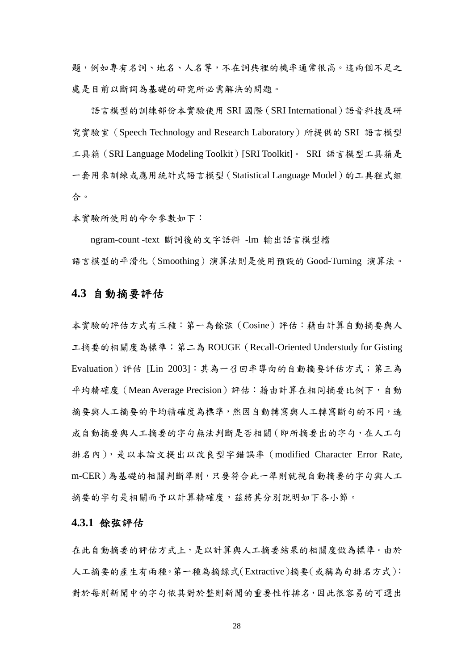題,例如專有名詞、地名、人名等,不在詞典裡的機率通常很高。這兩個不足之 處是目前以斷詞為基礎的研究所必需解決的問題。

語言模型的訓練部份本實驗使用 SRI 國際(SRI International)語音科技及研 究實驗室 (Speech Technology and Research Laboratory) 所提供的 SRI 語言模型 工具箱 (SRI Language Modeling Toolkit) [SRI Toolkit]。 SRI 語言模型工具箱是 一套用來訓練或應用統計式語言模型(Statistical Language Model)的工具程式組 合。

本實驗所使用的命令參數如下:

ngram-count -text 斷詞後的文字語料 -lm 輸出語言模型檔 語言模型的平滑化(Smoothing)演算法則是使用預設的 Good-Turning 演算法。

### **4.3** 自動摘要評估

本實驗的評估方式有三種:第一為餘弦(Cosine)評估:藉由計算自動摘要與人 工摘要的相關度為標準;第二為 ROUGE(Recall-Oriented Understudy for Gisting Evaluation)評估 [Lin 2003]:其為一召回率導向的自動摘要評估方式;第三為 平均精確度 (Mean Average Precision)評估: 藉由計算在相同摘要比例下, 自動 摘要與人工摘要的平均精確度為標準,然因自動轉寫與人工轉寫斷句的不同,造 成自動摘要與人工摘要的字句無法判斷是否相關(即所摘要出的字句,在人工句 排名內),是以本論文提出以改良型字錯誤率(modified Character Error Rate, m-CER)為基礎的相關判斷準則,只要符合此一準則就視自動摘要的字句與人工 摘要的字句是相關而予以計算精確度,茲將其分別說明如下各小節。

### **4.3.1** 餘弦評估

在此自動摘要的評估方式上,是以計算與人工摘要結果的相關度做為標準。由於 人工摘要的產生有兩種。第一種為摘錄式(Extractive)摘要(或稱為句排名方式): 對於每則新聞中的字句依其對於整則新聞的重要性作排名,因此很容易的可選出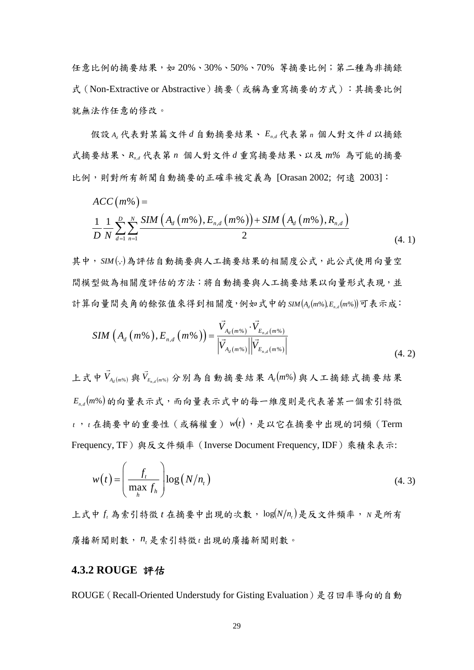任意比例的摘要結果,如 20%、30%、50%、70% 等摘要比例;第二種為非摘錄 式(Non-Extractive or Abstractive)摘要(或稱為重寫摘要的方式):其摘要比例 就無法作任意的修改。

假設 *Ad* 代表對某篇文件 *d* 自動摘要結果、 *En*,*<sup>d</sup>* 代表第 *<sup>n</sup>* 個人對文件 *d* 以摘錄 式摘要結果、*Rn*,*<sup>d</sup>* 代表第 *n* 個人對文件 *d* 重寫摘要結果、以及 *m%* 為可能的摘要 比例,則對所有新聞自動摘要的正確率被定義為 [Orasan 2002; 何遠 2003]:

$$
ACC(m\%) = \frac{1}{D} \frac{1}{N} \sum_{d=1}^{D} \sum_{n=1}^{N} \frac{SIM\left(A_d\left(m\%\right), E_{n,d}\left(m\%\right)\right) + SIM\left(A_d\left(m\%\right), R_{n,d}\right)}{2} \tag{4.1}
$$

其中, SIM ( .. )為評估自動摘要與人工摘要結果的相關度公式, 此公式使用向量空 間模型做為相關度評估的方法:將自動摘要與人工摘要結果以向量形式表現,並 計算向量間夾角的餘弦值來得到相關度,例如式中的 SIM(A,(m%),E,,(m%))可表示成:

$$
SIM\left(A_{d}\left(m\%^{*}\right),E_{n,d}\left(m\%^{*}\right)\right)=\frac{\vec{V}_{A_{d}\left(m\%\right)}\cdot\vec{V}_{E_{n,d}\left(m\%\right)}}{\left|\vec{V}_{A_{d}\left(m\%\right)}\right|\left|\vec{V}_{E_{n,d}\left(m\%\right)}\right|}\tag{4.2}
$$

上式中  $V_{A_d(m\%)}$  $\overline{\phantom{a}}$ 與  $V_{E_{n,d}(m\%)}$  $\overline{\phantom{a}}$ 分別為自動摘要結果 *A* (*m*%) *<sup>d</sup>* 與人工摘錄式摘要結果  $E_{n,d}(m\%)$ 的向量表示式,而向量表示式中的每一維度則是代表著某一個索引特徵 *<sup>t</sup>* ,*<sup>t</sup>* 在摘要中的重要性(或稱權重) *w*(*t*) ,是以它在摘要中出現的詞頻(Term Frequency, TF)與反文件頻率(Inverse Document Frequency, IDF)乘積來表示:

$$
w(t) = \left(\frac{f_t}{\max_{h} f_h}\right) \log(N/n_t)
$$
\n(4.3)

上式中 f<sub>i</sub> 為索引特徵 t 在摘要中出現的次數, log(N/n,)是反文件頻率, N 是所有 廣播新聞則數, *nt* 是索引特徵*<sup>t</sup>* 出現的廣播新聞則數。

### **4.3.2 ROUGE** 評估

ROUGE(Recall-Oriented Understudy for Gisting Evaluation)是召回率導向的自動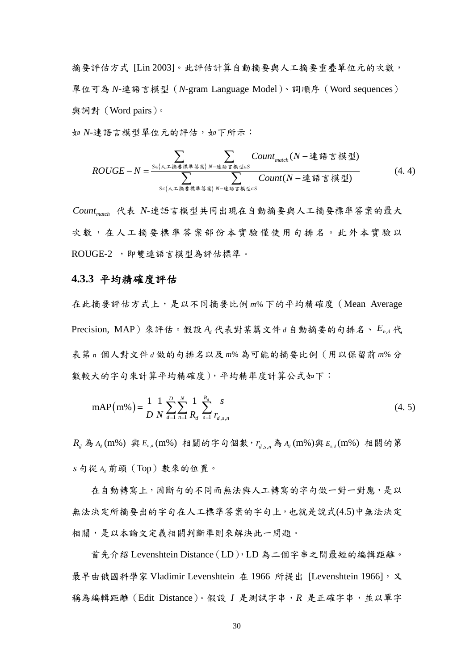摘要評估方式 [Lin 2003]。此評估計算自動摘要與人工摘要重疊單位元的次數, 單位可為 *N*-連語言模型(*N*-gram Language Model)、詞順序(Word sequences) 與詞對(Word pairs)。

如 N-連語言模型單位元的評估,如下所示:

$$
ROUGE-N = \frac{\sum\limits_{S \in \{\lambda \leq \frac{1}{3}, \frac{1}{3}, \frac{1}{3}\} \setminus N - \frac{1}{2}\}^{1}}{\sum\limits_{S \in \{\lambda \leq \frac{1}{3}, \frac{1}{3}, \frac{1}{3}\} \setminus N - \frac{1}{2}\}^{1}} \cdot \frac{Count_{match}(N - \frac{1}{2})^{1}}{\sum\limits_{S \in \{\lambda \leq \frac{1}{3}, \frac{1}{3}, \frac{1}{3}\} \setminus N - \frac{1}{2}\}^{1}}}
$$
(4.4)

*Countmatch* 代表 *N*-連語言模型共同出現在自動摘要與人工摘要標準答案的最大 次數,在人工摘要標準答案部份本實驗僅使用句排名。此外本實驗以 ROUGE-2 ,即雙連語言模型為評估標準。

#### **4.3.3** 平均精確度評估

在此摘要評估方式上,是以不同摘要比例 *m*% 下的平均精確度(Mean Average Precision, MAP)來評估。假設 *Ad* 代表對某篇文件*<sup>d</sup>* 自動摘要的句排名、 *En*,*<sup>d</sup>* 代 表第 *n* 個人對文件*d* 做的句排名以及 *m*% 為可能的摘要比例(用以保留前 *m*% 分 數較大的字句來計算平均精確度),平均精準度計算公式如下:

$$
mAP(m\%) = \frac{1}{D} \frac{1}{N} \sum_{d=1}^{D} \sum_{n=1}^{N} \frac{1}{R_d} \sum_{s=1}^{R_d} \frac{s}{r_{d,s,n}}
$$
(4.5)

*Rd* 為 *Ad* (m%) 與 *En*,*<sup>d</sup>* (m%) 相關的字句個數, *dsn* , , *r* 為 *Ad* (m%)與 *En*,*<sup>d</sup>* (m%) 相關的第 *s* 句從 *Ad* 前頭(Top)數來的位置。

在自動轉寫上,因斷句的不同而無法與人工轉寫的字句做一對一對應,是以 無法決定所摘要出的字句在人工標準答案的字句上,也就是說式(4.5)中無法決定 相關,是以本論文定義相關判斷準則來解決此一問題。

首先介紹 Levenshtein Distance(LD),LD 為二個字串之間最短的編輯距離。 最早由俄國科學家 Vladimir Levenshtein 在 1966 所提出 [Levenshtein 1966], 又 稱為編輯距離(Edit Distance)。假設 *I* 是測試字串,*R* 是正確字串,並以單字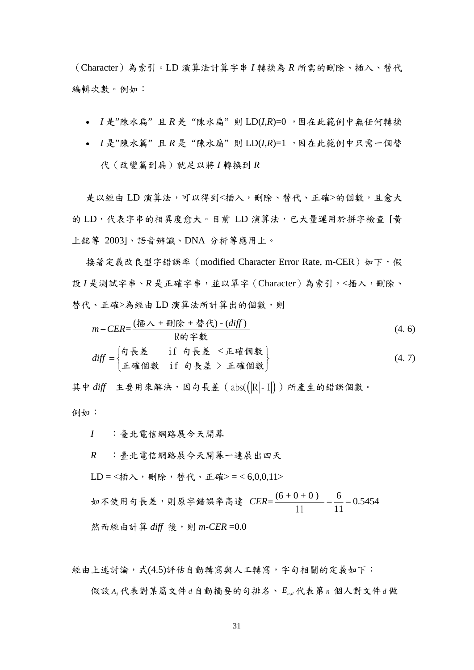(Character)為索引。LD 演算法計算字串 *I* 轉換為 *R* 所需的刪除、插入、替代 編輯次數。例如:

- *I* 是"陳水扁" 且 *R* 是 "陳水扁" 則 LD(*I*,*R*)=0 ,因在此範例中無任何轉換
- *I* 是"陳水篇" 且 *R* 是 "陳水扁" 則 LD(*I*,*R*)=1 ,因在此範例中只需一個替 代(改變篇到扁)就足以將 *I* 轉換到 *R*

是以經由 LD 演算法,可以得到<插入,刪除、替代、正確>的個數,且愈大 的 LD,代表字串的相異度愈大。目前 LD 演算法,已大量運用於拼字檢查 [黃 上銘等 2003]、語音辨識、DNA 分析等應用上。

接著定義改良型字錯誤率 (modified Character Error Rate, m-CER)如下,假 設 I 是測試字串、R 是正確字串,並以單字 (Character)為索引,<插入,刪除、 替代、正確>為經由 LD 演算法所計算出的個數,則

$$
m-CER = \frac{(\overline{m} \lambda + m\overline{m} + \overline{m} \overline{m}) - (diff)}{\text{R\'i} \overline{m} \overline{m}}
$$
\n
$$
diff = \begin{cases} \text{6} \overline{m} & \text{6} \overline{m} \\ \overline{m} & \text{7} \overline{m} \end{cases}
$$
\n
$$
diff = \begin{cases} \text{7} \overline{m} & \text{8} \overline{m} \\ \text{8} \overline{m} & \text{9} \overline{m} \end{cases}
$$
\n
$$
diff = \begin{cases} 0 & \text{9} \overline{m} \overline{m} \\ \text{1} \overline{m} & \text{1} \overline{m} \end{cases}
$$
\n
$$
diff = \begin{cases} 0 & \text{1} \overline{m} \end{cases}
$$
\n
$$
diff = \begin{cases} 0 & \text{1} \overline{m} \end{cases}
$$
\n
$$
diff = \begin{cases} 0 & \text{1} \overline{m} \end{cases}
$$
\n
$$
diff = \begin{cases} 0 & \text{1} \overline{m} \end{cases}
$$
\n
$$
diff = \begin{cases} 0 & \text{1} \overline{m} \end{cases}
$$
\n
$$
diff = \begin{cases} 0 & \text{1} \overline{m} \end{cases}
$$
\n
$$
diff = \begin{cases} 0 & \text{1} \overline{m} \end{cases}
$$
\n
$$
diff = \begin{cases} 0 & \text{1} \overline{m} \end{cases}
$$
\n
$$
diff = \begin{cases} 0 & \text{1} \overline{m} \end{cases}
$$
\n
$$
diff = \begin{cases} 0 & \text{1} \overline{m} \end{cases}
$$
\n
$$
diff = \begin{cases} 0 & \text{1} \overline{m} \end{cases}
$$
\n
$$
diff = \begin{cases} 0 & \text{1} \overline{m} \end{cases}
$$
\n
$$
diff = \begin{cases} 0 & \text{1} \overline{m} \end{cases}
$$
\n
$$
diff = \begin{cases} 0 & \text{1} \overline{m} \end{cases}
$$
\n
$$
diff = \begin{
$$

其中 diff 主要用來解決,因句長差 (abs(( R - II ) ) 所產生的錯誤個數。 例如:

*I* :臺北電信網路展今天開幕

*R* :臺北電信網路展今天開幕一連展出四天

 $LD = <\!\!$  插入, 刪除, 替代、正確> = < 6,0,0,11>

如不使用句長差,則原字錯誤率高達  $CER = \frac{(6+0+0)}{1} = \frac{6}{11} = 0.5454$  $CER = \frac{(0+0+0)}{11} = \frac{0}{11} =$ 然而經由計算 *diff* 後,則 *m-CER* =0.0

經由上述討論,式(4.5)評估自動轉寫與人工轉寫,字句相關的定義如下: 假設 *Ad* 代表對某篇文件*d* 自動摘要的句排名、 *En*,*<sup>d</sup>* 代表第 *<sup>n</sup>* 個人對文件*d* 做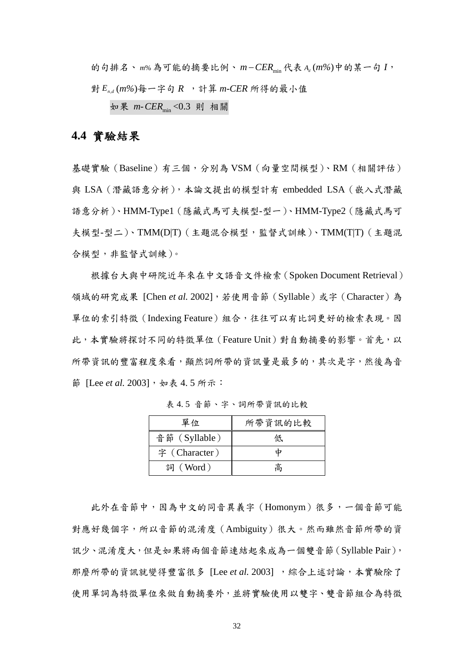的句排名、m%為可能的摘要比例、 $m$ −CER<sub>min</sub>代表  $A_d$ (m%)中的某一句  $I$ , 對 *En*,*<sup>d</sup>* (*m%*)每一字句 *R* ,計算 *m-CER* 所得的最小值

如果 *m-CER*min <0.3 則 相關

### **4.4** 實驗結果

基礎實驗(Baseline)有三個,分別為 VSM (向量空間模型)、RM (相關評估) 與 LSA(潛藏語意分析),本論文提出的模型計有 embedded LSA(嵌入式潛藏 語意分析)、HMM-Type1(隱藏式馬可夫模型-型一)、HMM-Type2(隱藏式馬可 夫模型-型二)、TMM(D|T)(主題混合模型,監督式訓練)、TMM(T|T)(主題混 合模型,非監督式訓練)。

根據台大與中研院近年來在中文語音文件檢索(Spoken Document Retrieval) 領域的研究成果 [Chen et al. 2002],若使用音節 (Syllable)或字 (Character)為 單位的索引特徵(Indexing Feature)組合,往往可以有比詞更好的檢索表現。因 此,本實驗將探討不同的特徵單位 (Feature Unit)對自動摘要的影響。首先,以 所帶資訊的豐富程度來看,顯然詞所帶的資訊量是最多的,其次是字,然後為音 節 [Lee *et al.* 2003], 如表 4. 5 所示:

| 單位            | 所帶資訊的比較 |
|---------------|---------|
| 音節 (Syllable) | 低       |
| 字 (Character) |         |
| 詞 (Word)      | 高       |

表 4. 5 音節、字、詞所帶資訊的比較

此外在音節中,因為中文的同音異義字(Homonym)很多,一個音節可能 對應好幾個字,所以音節的混淆度(Ambiguity)很大。然而雖然音節所帶的資 訊少、混淆度大,但是如果將兩個音節連結起來成為一個雙音節(Syllable Pair), 那麼所帶的資訊就變得豐富很多 [Lee *et al.* 2003] ,綜合上述討論,本實驗除了 使用單詞為特徵單位來做自動摘要外,並將實驗使用以雙字、雙音節組合為特徵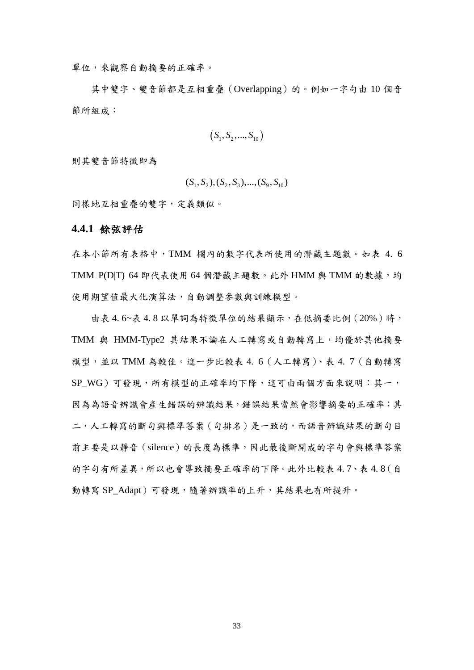單位,來觀察自動摘要的正確率。

其中雙字、雙音節都是互相重疊(Overlapping)的。例如一字句由 10 個音 節所組成:

$$
(S_1, S_2, ..., S_{10})
$$

則其雙音節特徵即為

$$
(S_1, S_2), (S_2, S_3), ..., (S_9, S_{10})
$$

同樣地互相重疊的雙字,定義類似。

#### **4.4.1** 餘弦評估

在本小節所有表格中,TMM 欄內的數字代表所使用的潛藏主題數。如表 4. 6 TMM  $P(D|T)$  64 即代表使用 64 個潛藏主題數。此外 HMM 與 TMM 的數據, 均 使用期望值最大化演算法,自動調整參數與訓練模型。

由表 4. 6~表 4. 8 以單詞為特徵單位的結果顯示,在低摘要比例(20%)時, TMM 與 HMM-Type2 其結果不論在人工轉寫或自動轉寫上,均優於其他摘要 模型,並以 TMM 為較佳。進一步比較表 4. 6(人工轉寫)、表 4. 7(自動轉寫 SP WG)可發現,所有模型的正確率均下降,這可由兩個方面來說明:其一, 因為為語音辨識會產生錯誤的辨識結果,錯誤結果當然會影響摘要的正確率;其 二,人工轉寫的斷句與標準答案(句排名)是一致的,而語音辨識結果的斷句目 前主要是以靜音(silence)的長度為標準,因此最後斷開成的字句會與標準答案 的字句有所差異,所以也會導致摘要正確率的下降。此外比較表 4. 7、表 4. 8(自 動轉寫 SP\_Adapt)可發現,隨著辨識率的上升,其結果也有所提升。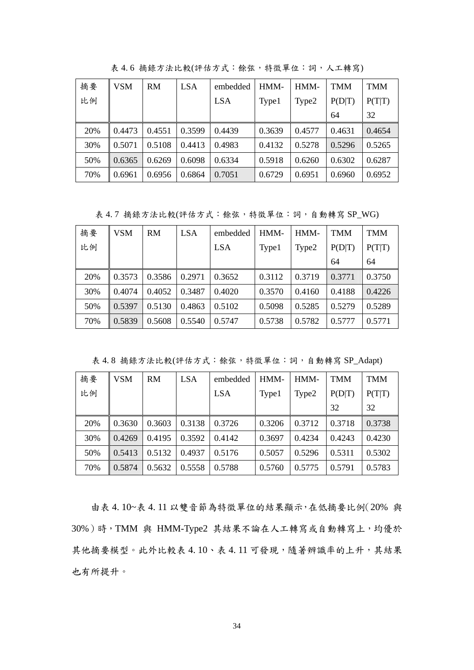| 摘要  | <b>VSM</b> | <b>RM</b> | LSA    | embedded   | HMM-   | HMM-   | <b>TMM</b> | <b>TMM</b> |
|-----|------------|-----------|--------|------------|--------|--------|------------|------------|
| 比例  |            |           |        | <b>LSA</b> | Type1  | Type2  | P(D T)     | P(T T)     |
|     |            |           |        |            |        |        | 64         | 32         |
| 20% | 0.4473     | 0.4551    | 0.3599 | 0.4439     | 0.3639 | 0.4577 | 0.4631     | 0.4654     |
| 30% | 0.5071     | 0.5108    | 0.4413 | 0.4983     | 0.4132 | 0.5278 | 0.5296     | 0.5265     |
| 50% | 0.6365     | 0.6269    | 0.6098 | 0.6334     | 0.5918 | 0.6260 | 0.6302     | 0.6287     |
| 70% | 0.6961     | 0.6956    | 0.6864 | 0.7051     | 0.6729 | 0.6951 | 0.6960     | 0.6952     |

表 4.6 摘錄方法比較(評估方式:餘弦,特徵單位:詞,人工轉寫)

表 4.7 摘錄方法比較(評估方式:餘弦,特徵單位:詞,自動轉寫 SP\_WG)

| 摘要  | VSM    | RM     | LSA    | embedded   | HMM-   | HMM-   | <b>TMM</b> | <b>TMM</b> |
|-----|--------|--------|--------|------------|--------|--------|------------|------------|
| 比例  |        |        |        | <b>LSA</b> | Type1  | Type2  | P(D T)     | P(T T)     |
|     |        |        |        |            |        |        | 64         | 64         |
| 20% | 0.3573 | 0.3586 | 0.2971 | 0.3652     | 0.3112 | 0.3719 | 0.3771     | 0.3750     |
| 30% | 0.4074 | 0.4052 | 0.3487 | 0.4020     | 0.3570 | 0.4160 | 0.4188     | 0.4226     |
| 50% | 0.5397 | 0.5130 | 0.4863 | 0.5102     | 0.5098 | 0.5285 | 0.5279     | 0.5289     |
| 70% | 0.5839 | 0.5608 | 0.5540 | 0.5747     | 0.5738 | 0.5782 | 0.5777     | 0.5771     |

表 4.8 摘錄方法比較(評估方式:餘弦,特徵單位:詞,自動轉寫 SP\_Adapt)

| 摘要  | <b>VSM</b> | RM     | <b>LSA</b> | embedded   | HMM-   | HMM-   | <b>TMM</b> | TMM    |
|-----|------------|--------|------------|------------|--------|--------|------------|--------|
| 比例  |            |        |            | <b>LSA</b> | Type1  | Type2  | P(D T)     | P(T T) |
|     |            |        |            |            |        |        | 32         | 32     |
| 20% | 0.3630     | 0.3603 | 0.3138     | 0.3726     | 0.3206 | 0.3712 | 0.3718     | 0.3738 |
| 30% | 0.4269     | 0.4195 | 0.3592     | 0.4142     | 0.3697 | 0.4234 | 0.4243     | 0.4230 |
| 50% | 0.5413     | 0.5132 | 0.4937     | 0.5176     | 0.5057 | 0.5296 | 0.5311     | 0.5302 |
| 70% | 0.5874     | 0.5632 | 0.5558     | 0.5788     | 0.5760 | 0.5775 | 0.5791     | 0.5783 |

由表 4. 10~表 4. 11 以雙音節為特徵單位的結果顯示,在低摘要比例(20% 與 30%)時,TMM 與 HMM-Type2 其結果不論在人工轉寫或自動轉寫上,均優於 其他摘要模型。此外比較表 4.10、表 4.11 可發現,隨著辨識率的上升,其結果 也有所提升。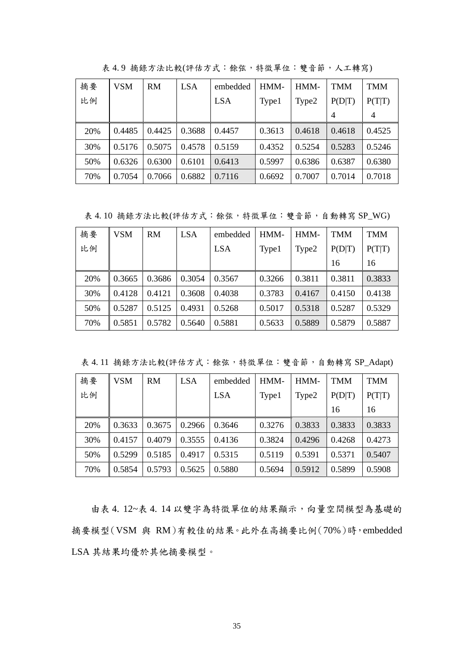| 摘要  | VSM    | <b>RM</b> | <b>LSA</b> | embedded   | HMM-   | HMM-   | <b>TMM</b> | <b>TMM</b>     |
|-----|--------|-----------|------------|------------|--------|--------|------------|----------------|
| 比例  |        |           |            | <b>LSA</b> | Type1  | Type2  | P(D T)     | P(T T)         |
|     |        |           |            |            |        |        | 4          | $\overline{4}$ |
| 20% | 0.4485 | 0.4425    | 0.3688     | 0.4457     | 0.3613 | 0.4618 | 0.4618     | 0.4525         |
| 30% | 0.5176 | 0.5075    | 0.4578     | 0.5159     | 0.4352 | 0.5254 | 0.5283     | 0.5246         |
| 50% | 0.6326 | 0.6300    | 0.6101     | 0.6413     | 0.5997 | 0.6386 | 0.6387     | 0.6380         |
| 70% | 0.7054 | 0.7066    | 0.6882     | 0.7116     | 0.6692 | 0.7007 | 0.7014     | 0.7018         |

表 4.9 摘錄方法比較(評估方式:餘弦,特徵單位:雙音節,人工轉寫)

表 4.10 摘錄方法比較(評估方式:餘弦,特徵單位:雙音節,自動轉寫 SP\_WG)

| 摘要  | VSM    | <b>RM</b> | LSA.   | embedded   | HMM-   | HMM-   | TMM    | <b>TMM</b> |
|-----|--------|-----------|--------|------------|--------|--------|--------|------------|
| 比例  |        |           |        | <b>LSA</b> | Type1  | Type2  | P(D T) | P(T T)     |
|     |        |           |        |            |        |        | 16     | 16         |
| 20% | 0.3665 | 0.3686    | 0.3054 | 0.3567     | 0.3266 | 0.3811 | 0.3811 | 0.3833     |
| 30% | 0.4128 | 0.4121    | 0.3608 | 0.4038     | 0.3783 | 0.4167 | 0.4150 | 0.4138     |
| 50% | 0.5287 | 0.5125    | 0.4931 | 0.5268     | 0.5017 | 0.5318 | 0.5287 | 0.5329     |
| 70% | 0.5851 | 0.5782    | 0.5640 | 0.5881     | 0.5633 | 0.5889 | 0.5879 | 0.5887     |

表 4.11 摘錄方法比較(評估方式:餘弦,特徵單位:雙音節,自動轉寫 SP\_Adapt)

| 摘要  | <b>VSM</b> | <b>RM</b> | <b>LSA</b> | embedded   | HMM-   | HMM-   | <b>TMM</b> | <b>TMM</b> |
|-----|------------|-----------|------------|------------|--------|--------|------------|------------|
| 比例  |            |           |            | <b>LSA</b> | Type1  | Type2  | P(D T)     | P(T T)     |
|     |            |           |            |            |        |        | 16         | 16         |
| 20% | 0.3633     | 0.3675    | 0.2966     | 0.3646     | 0.3276 | 0.3833 | 0.3833     | 0.3833     |
| 30% | 0.4157     | 0.4079    | 0.3555     | 0.4136     | 0.3824 | 0.4296 | 0.4268     | 0.4273     |
| 50% | 0.5299     | 0.5185    | 0.4917     | 0.5315     | 0.5119 | 0.5391 | 0.5371     | 0.5407     |
| 70% | 0.5854     | 0.5793    | 0.5625     | 0.5880     | 0.5694 | 0.5912 | 0.5899     | 0.5908     |

由表 4. 12~表 4. 14 以雙字為特徵單位的結果顯示,向量空間模型為基礎的 摘要模型(VSM 與 RM)有較佳的結果。此外在高摘要比例(70%)時,embedded LSA 其結果均優於其他摘要模型。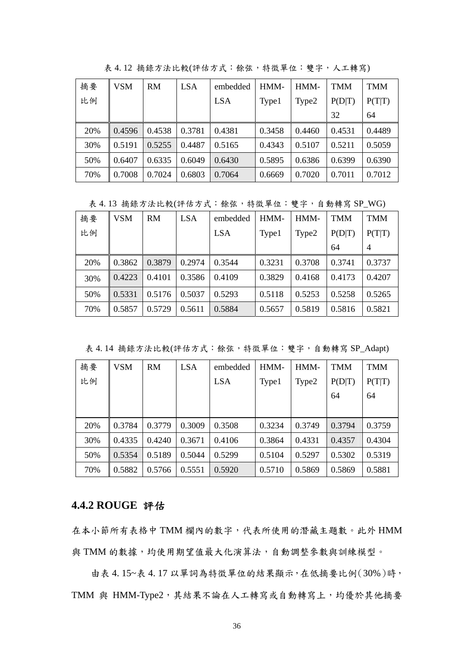| 摘要  | VSM    | RM     | LSA    | embedded   | HMM-   | HMM-   | <b>TMM</b> | <b>TMM</b> |
|-----|--------|--------|--------|------------|--------|--------|------------|------------|
| 比例  |        |        |        | <b>LSA</b> | Type1  | Type2  | P(D T)     | P(T T)     |
|     |        |        |        |            |        |        | 32         | 64         |
| 20% | 0.4596 | 0.4538 | 0.3781 | 0.4381     | 0.3458 | 0.4460 | 0.4531     | 0.4489     |
| 30% | 0.5191 | 0.5255 | 0.4487 | 0.5165     | 0.4343 | 0.5107 | 0.5211     | 0.5059     |
| 50% | 0.6407 | 0.6335 | 0.6049 | 0.6430     | 0.5895 | 0.6386 | 0.6399     | 0.6390     |
| 70% | 0.7008 | 0.7024 | 0.6803 | 0.7064     | 0.6669 | 0.7020 | 0.7011     | 0.7012     |

表 4. 12 摘錄方法比較(評估方式:餘弦,特徵單位:雙字,人工轉寫)

表 4.13 摘錄方法比較(評估方式:餘弦,特徵單位:雙字,自動轉寫 SP\_WG)

| 摘要  | VSM    | RM     | <b>LSA</b> | embedded   | HMM-   | HMM-   | <b>TMM</b> | <b>TMM</b>     |
|-----|--------|--------|------------|------------|--------|--------|------------|----------------|
| 比例  |        |        |            | <b>LSA</b> | Type1  | Type2  | P(D T)     | P(T T)         |
|     |        |        |            |            |        |        | 64         | $\overline{4}$ |
| 20% | 0.3862 | 0.3879 | 0.2974     | 0.3544     | 0.3231 | 0.3708 | 0.3741     | 0.3737         |
| 30% | 0.4223 | 0.4101 | 0.3586     | 0.4109     | 0.3829 | 0.4168 | 0.4173     | 0.4207         |
| 50% | 0.5331 | 0.5176 | 0.5037     | 0.5293     | 0.5118 | 0.5253 | 0.5258     | 0.5265         |
| 70% | 0.5857 | 0.5729 | 0.5611     | 0.5884     | 0.5657 | 0.5819 | 0.5816     | 0.5821         |

表 4.14 摘錄方法比較(評估方式:餘弦,特徵單位:雙字,自動轉寫 SP\_Adapt)

| 摘要  | <b>VSM</b> | RM     | <b>LSA</b> | embedded   | HMM-   | HMM-   | <b>TMM</b> | <b>TMM</b> |
|-----|------------|--------|------------|------------|--------|--------|------------|------------|
| 比例  |            |        |            | <b>LSA</b> | Type1  | Type2  | P(D T)     | P(T T)     |
|     |            |        |            |            |        |        | 64         | 64         |
|     |            |        |            |            |        |        |            |            |
| 20% | 0.3784     | 0.3779 | 0.3009     | 0.3508     | 0.3234 | 0.3749 | 0.3794     | 0.3759     |
| 30% | 0.4335     | 0.4240 | 0.3671     | 0.4106     | 0.3864 | 0.4331 | 0.4357     | 0.4304     |
| 50% | 0.5354     | 0.5189 | 0.5044     | 0.5299     | 0.5104 | 0.5297 | 0.5302     | 0.5319     |
| 70% | 0.5882     | 0.5766 | 0.5551     | 0.5920     | 0.5710 | 0.5869 | 0.5869     | 0.5881     |

## **4.4.2 ROUGE** 評估

在本小節所有表格中 TMM 欄內的數字,代表所使用的潛藏主題數。此外 HMM 與 TMM 的數據,均使用期望值最大化演算法,自動調整參數與訓練模型。

由表 4. 15~表 4. 17 以單詞為特徵單位的結果顯示,在低摘要比例(30%)時, TMM 與 HMM-Type2, 其結果不論在人工轉寫或自動轉寫上,均優於其他摘要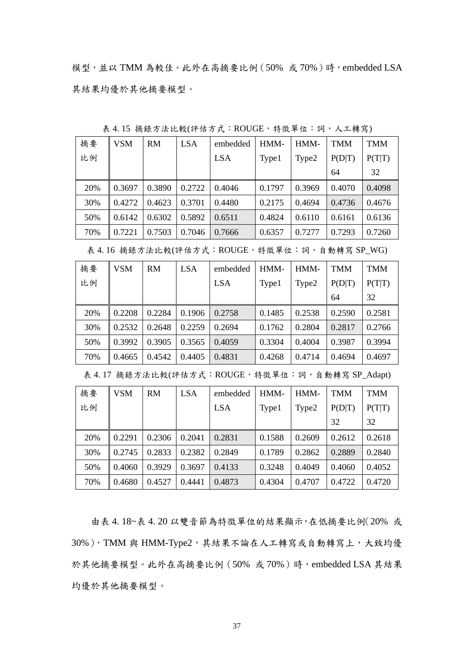模型,並以 TMM 為較佳。此外在高摘要比例 $(50\%$ 或70%)時,embedded LSA 其結果均優於其他摘要模型。

| 摘要  | <b>VSM</b> | RM     | LSA    | embedded   | HMM-   | HMM-   | <b>TMM</b> | <b>TMM</b> |
|-----|------------|--------|--------|------------|--------|--------|------------|------------|
| 比例  |            |        |        | <b>LSA</b> | Type1  | Type2  | P(D T)     | P(T T)     |
|     |            |        |        |            |        |        | 64         | 32         |
| 20% | 0.3697     | 0.3890 | 0.2722 | 0.4046     | 0.1797 | 0.3969 | 0.4070     | 0.4098     |
| 30% | 0.4272     | 0.4623 | 0.3701 | 0.4480     | 0.2175 | 0.4694 | 0.4736     | 0.4676     |
| 50% | 0.6142     | 0.6302 | 0.5892 | 0.6511     | 0.4824 | 0.6110 | 0.6161     | 0.6136     |
| 70% | 0.7221     | 0.7503 | 0.7046 | 0.7666     | 0.6357 | 0.7277 | 0.7293     | 0.7260     |

表 4.15 摘錄方法比較(評估方式:ROUGE,特徵單位:詞,人工轉寫)

表 4.16 摘錄方法比較(評估方式:ROUGE, 特徵單位:詞,自動轉寫 SP\_WG)

| 摘要  | <b>VSM</b> | RM.    | LSA    | embedded   | HMM-   | HMM-   | <b>TMM</b> | <b>TMM</b> |
|-----|------------|--------|--------|------------|--------|--------|------------|------------|
| 比例  |            |        |        | <b>LSA</b> | Type1  | Type2  | P(D T)     | P(T T)     |
|     |            |        |        |            |        |        | 64         | 32         |
| 20% | 0.2208     | 0.2284 | 0.1906 | 0.2758     | 0.1485 | 0.2538 | 0.2590     | 0.2581     |
| 30% | 0.2532     | 0.2648 | 0.2259 | 0.2694     | 0.1762 | 0.2804 | 0.2817     | 0.2766     |
| 50% | 0.3992     | 0.3905 | 0.3565 | 0.4059     | 0.3304 | 0.4004 | 0.3987     | 0.3994     |
| 70% | 0.4665     | 0.4542 | 0.4405 | 0.4831     | 0.4268 | 0.4714 | 0.4694     | 0.4697     |

表 4.17 摘錄方法比較(評估方式:ROUGE,特徵單位:詞,自動轉寫 SP\_Adapt)

| 摘要  | <b>VSM</b> | <b>RM</b> | <b>LSA</b> | embedded   | HMM-   | HMM-   | <b>TMM</b> | <b>TMM</b> |
|-----|------------|-----------|------------|------------|--------|--------|------------|------------|
| 比例  |            |           |            | <b>LSA</b> | Type1  | Type2  | P(D T)     | P(T T)     |
|     |            |           |            |            |        |        | 32         | 32         |
| 20% | 0.2291     | 0.2306    | 0.2041     | 0.2831     | 0.1588 | 0.2609 | 0.2612     | 0.2618     |
| 30% | 0.2745     | 0.2833    | 0.2382     | 0.2849     | 0.1789 | 0.2862 | 0.2889     | 0.2840     |
| 50% | 0.4060     | 0.3929    | 0.3697     | 0.4133     | 0.3248 | 0.4049 | 0.4060     | 0.4052     |
| 70% | 0.4680     | 0.4527    | 0.4441     | 0.4873     | 0.4304 | 0.4707 | 0.4722     | 0.4720     |

由表 4. 18~表 4. 20 以雙音節為特徵單位的結果顯示,在低摘要比例(20% 或 30%), TMM 與 HMM-Type2, 其結果不論在人工轉寫或自動轉寫上,大致均優 於其他摘要模型。此外在高摘要比例(50%或70%)時,embedded LSA 其結果 均優於其他摘要模型。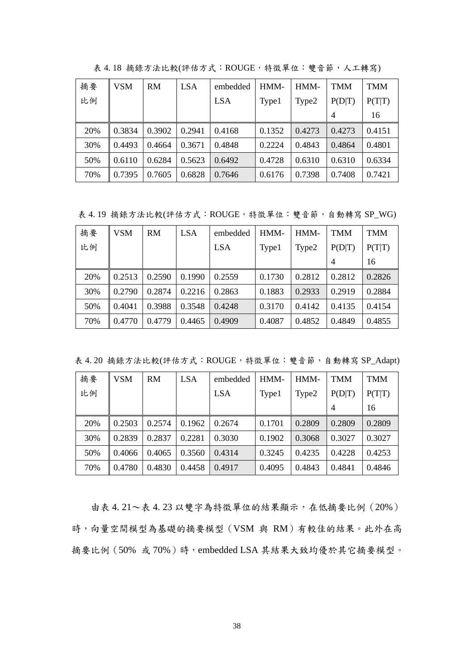| 摘要  | VSM    | <b>RM</b> | LSA    | embedded   | HMM-   | HMM-   | TMM            | <b>TMM</b> |
|-----|--------|-----------|--------|------------|--------|--------|----------------|------------|
| 比例  |        |           |        | <b>LSA</b> | Type1  | Type2  | P(D T)         | P(T T)     |
|     |        |           |        |            |        |        | $\overline{4}$ | 16         |
| 20% | 0.3834 | 0.3902    | 0.2941 | 0.4168     | 0.1352 | 0.4273 | 0.4273         | 0.4151     |
| 30% | 0.4493 | 0.4664    | 0.3671 | 0.4848     | 0.2224 | 0.4843 | 0.4864         | 0.4801     |
| 50% | 0.6110 | 0.6284    | 0.5623 | 0.6492     | 0.4728 | 0.6310 | 0.6310         | 0.6334     |
| 70% | 0.7395 | 0.7605    | 0.6828 | 0.7646     | 0.6176 | 0.7398 | 0.7408         | 0.7421     |

表 4.18 摘錄方法比較(評估方式:ROUGE,特徵單位:雙音節,人工轉寫)

表 4.19 摘錄方法比較(評估方式:ROUGE, 特徵單位:雙音節,自動轉寫 SP\_WG)

| 摘要  | VSM    | RM     | LSA.   | embedded | HMM-   | HMM-   | TMM            | <b>TMM</b> |
|-----|--------|--------|--------|----------|--------|--------|----------------|------------|
| 比例  |        |        |        | LSA      | Type1  | Type2  | P(D T)         | P(T T)     |
|     |        |        |        |          |        |        | $\overline{4}$ | 16         |
| 20% | 0.2513 | 0.2590 | 0.1990 | 0.2559   | 0.1730 | 0.2812 | 0.2812         | 0.2826     |
| 30% | 0.2790 | 0.2874 | 0.2216 | 0.2863   | 0.1883 | 0.2933 | 0.2919         | 0.2884     |
| 50% | 0.4041 | 0.3988 | 0.3548 | 0.4248   | 0.3170 | 0.4142 | 0.4135         | 0.4154     |
| 70% | 0.4770 | 0.4779 | 0.4465 | 0.4909   | 0.4087 | 0.4852 | 0.4849         | 0.4855     |

表 4.20 摘錄方法比較(評估方式:ROUGE,特徵單位:雙音節,自動轉寫 SP\_Adapt)

| 摘要  | VSM    | RM     | LSA    | embedded   | HMM-   | HMM-   | TMM    | <b>TMM</b> |
|-----|--------|--------|--------|------------|--------|--------|--------|------------|
| 比例  |        |        |        | <b>LSA</b> | Type1  | Type2  | P(D T) | P(T T)     |
|     |        |        |        |            |        |        | 4      | 16         |
| 20% | 0.2503 | 0.2574 | 0.1962 | 0.2674     | 0.1701 | 0.2809 | 0.2809 | 0.2809     |
| 30% | 0.2839 | 0.2837 | 0.2281 | 0.3030     | 0.1902 | 0.3068 | 0.3027 | 0.3027     |
| 50% | 0.4066 | 0.4065 | 0.3560 | 0.4314     | 0.3245 | 0.4235 | 0.4228 | 0.4253     |
| 70% | 0.4780 | 0.4830 | 0.4458 | 0.4917     | 0.4095 | 0.4843 | 0.4841 | 0.4846     |

由表 4.21~表 4.23 以雙字為特徵單位的結果顯示,在低摘要比例(20%) 時,向量空間模型為基礎的摘要模型(VSM 與 RM)有較佳的結果。此外在高 摘要比例(50% 或70%)時,embedded LSA 其結果大致均優於其它摘要模型。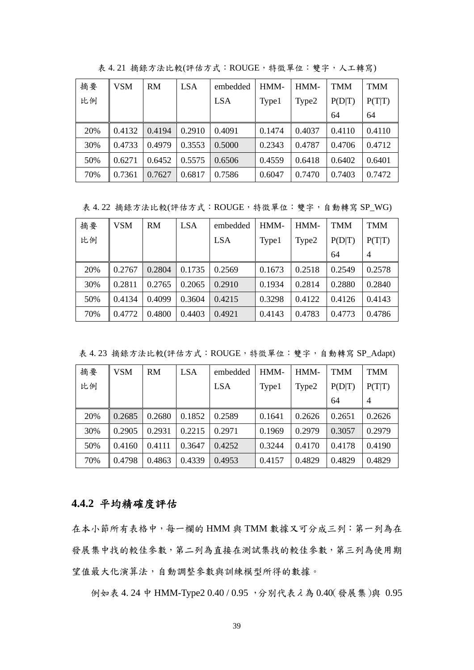| 摘要  | VSM    | RM     | <b>LSA</b> | embedded   | HMM-   | HMM-   | <b>TMM</b> | <b>TMM</b> |
|-----|--------|--------|------------|------------|--------|--------|------------|------------|
| 比例  |        |        |            | <b>LSA</b> | Type1  | Type2  | P(D T)     | P(T T)     |
|     |        |        |            |            |        |        | 64         | 64         |
| 20% | 0.4132 | 0.4194 | 0.2910     | 0.4091     | 0.1474 | 0.4037 | 0.4110     | 0.4110     |
| 30% | 0.4733 | 0.4979 | 0.3553     | 0.5000     | 0.2343 | 0.4787 | 0.4706     | 0.4712     |
| 50% | 0.6271 | 0.6452 | 0.5575     | 0.6506     | 0.4559 | 0.6418 | 0.6402     | 0.6401     |
| 70% | 0.7361 | 0.7627 | 0.6817     | 0.7586     | 0.6047 | 0.7470 | 0.7403     | 0.7472     |

表 4.21 摘錄方法比較(評估方式:ROUGE,特徵單位:雙字,人工轉寫)

表 4. 22 摘錄方法比較(評估方式:ROUGE,特徵單位:雙字,自動轉寫 SP\_WG)

| 摘要  | VSM    | <b>RM</b> | <b>LSA</b> | embedded   | HMM-   | HMM-   | <b>TMM</b> | TMM            |
|-----|--------|-----------|------------|------------|--------|--------|------------|----------------|
| 比例  |        |           |            | <b>LSA</b> | Type1  | Type2  | P(D T)     | P(T T)         |
|     |        |           |            |            |        |        | 64         | $\overline{4}$ |
| 20% | 0.2767 | 0.2804    | 0.1735     | 0.2569     | 0.1673 | 0.2518 | 0.2549     | 0.2578         |
| 30% | 0.2811 | 0.2765    | 0.2065     | 0.2910     | 0.1934 | 0.2814 | 0.2880     | 0.2840         |
| 50% | 0.4134 | 0.4099    | 0.3604     | 0.4215     | 0.3298 | 0.4122 | 0.4126     | 0.4143         |
| 70% | 0.4772 | 0.4800    | 0.4403     | 0.4921     | 0.4143 | 0.4783 | 0.4773     | 0.4786         |

表 4.23 摘錄方法比較(評估方式:ROUGE,特徵單位:雙字,自動轉寫 SP\_Adapt)

| 摘要  | <b>VSM</b> | RM     | LSA    | embedded   | HMM-   | HMM-   | <b>TMM</b> | <b>TMM</b>     |
|-----|------------|--------|--------|------------|--------|--------|------------|----------------|
| 比例  |            |        |        | <b>LSA</b> | Type1  | Type2  | P(D T)     | P(T T)         |
|     |            |        |        |            |        |        | 64         | $\overline{4}$ |
| 20% | 0.2685     | 0.2680 | 0.1852 | 0.2589     | 0.1641 | 0.2626 | 0.2651     | 0.2626         |
| 30% | 0.2905     | 0.2931 | 0.2215 | 0.2971     | 0.1969 | 0.2979 | 0.3057     | 0.2979         |
| 50% | 0.4160     | 0.4111 | 0.3647 | 0.4252     | 0.3244 | 0.4170 | 0.4178     | 0.4190         |
| 70% | 0.4798     | 0.4863 | 0.4339 | 0.4953     | 0.4157 | 0.4829 | 0.4829     | 0.4829         |

### **4.4.2** 平均精確度評估

在本小節所有表格中,每一欄的 HMM 與 TMM 數據又可分成三列:第一列為在 發展集中找的較佳參數,第二列為直接在測試集找的較佳參數,第三列為使用期 望值最大化演算法,自動調整參數與訓練模型所得的數據。

例如表 4. 24 中 HMM-Type2 0.40 / 0.95 ,分別代表λ 為 0.40(發展集)與 0.95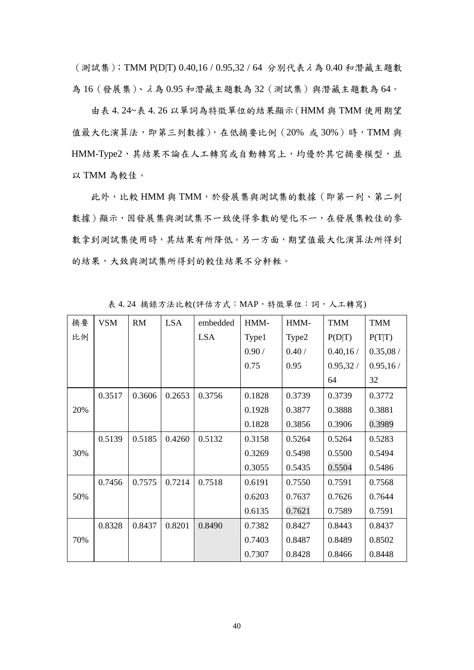(測試集);TMM P(D|T) 0.40,16 / 0.95,32 / 64 分別代表λ 為 0.40 和潛藏主題數 為 16(發展集)、λ 為 0.95 和潛藏主題數為 32(測試集)與潛藏主題數為 64。

由表 4. 24~表 4. 26 以單詞為特徵單位的結果顯示(HMM 與 TMM 使用期望 值最大化演算法,即第三列數據),在低摘要比例(20%或30%)時,TMM與 HMM-Type2,其結果不論在人工轉寫或自動轉寫上,均優於其它摘要模型,並 以 TMM 為較佳。

此外,比較 HMM 與 TMM,於發展集與測試集的數據(即第一列、第二列 數據)顯示,因發展集與測試集不一致使得參數的變化不一,在發展集較佳的參 數拿到測試集使用時,其結果有所降低。另一方面,期望值最大化演算法所得到 的結果,大致與測試集所得到的較佳結果不分軒輊。

| 摘要  | <b>VSM</b> | <b>RM</b> | <b>LSA</b> | embedded   | HMM-   | HMM-   | <b>TMM</b> | <b>TMM</b> |
|-----|------------|-----------|------------|------------|--------|--------|------------|------------|
| 比例  |            |           |            | <b>LSA</b> | Type1  | Type2  | P(D T)     | P(T T)     |
|     |            |           |            |            | 0.90/  | 0.40/  | 0.40, 16/  | 0.35,08/   |
|     |            |           |            |            | 0.75   | 0.95   | 0.95,32/   | 0.95, 16/  |
|     |            |           |            |            |        |        | 64         | 32         |
|     | 0.3517     | 0.3606    | 0.2653     | 0.3756     | 0.1828 | 0.3739 | 0.3739     | 0.3772     |
| 20% |            |           |            |            | 0.1928 | 0.3877 | 0.3888     | 0.3881     |
|     |            |           |            |            | 0.1828 | 0.3856 | 0.3906     | 0.3989     |
|     | 0.5139     | 0.5185    | 0.4260     | 0.5132     | 0.3158 | 0.5264 | 0.5264     | 0.5283     |
| 30% |            |           |            |            | 0.3269 | 0.5498 | 0.5500     | 0.5494     |
|     |            |           |            |            | 0.3055 | 0.5435 | 0.5504     | 0.5486     |
|     | 0.7456     | 0.7575    | 0.7214     | 0.7518     | 0.6191 | 0.7550 | 0.7591     | 0.7568     |
| 50% |            |           |            |            | 0.6203 | 0.7637 | 0.7626     | 0.7644     |
|     |            |           |            |            | 0.6135 | 0.7621 | 0.7589     | 0.7591     |
|     | 0.8328     | 0.8437    | 0.8201     | 0.8490     | 0.7382 | 0.8427 | 0.8443     | 0.8437     |
| 70% |            |           |            |            | 0.7403 | 0.8487 | 0.8489     | 0.8502     |
|     |            |           |            |            | 0.7307 | 0.8428 | 0.8466     | 0.8448     |

表 4.24 摘錄方法比較(評估方式:MAP, 特徵單位:詞,人工轉寫)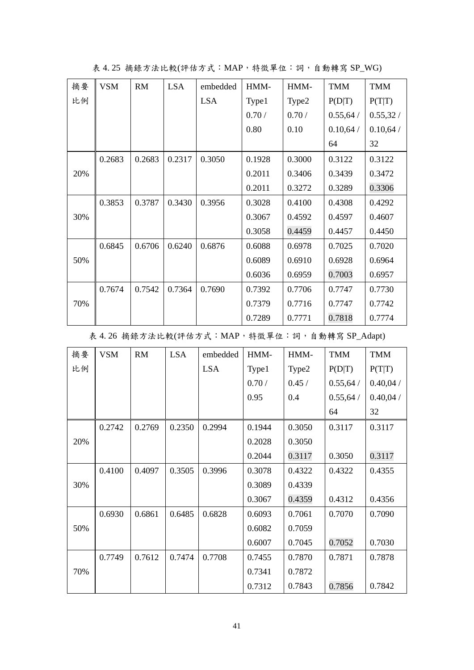| 摘要  | <b>VSM</b> | <b>RM</b> | <b>LSA</b> | embedded   | HMM-   | HMM-   | <b>TMM</b> | <b>TMM</b> |
|-----|------------|-----------|------------|------------|--------|--------|------------|------------|
| 比例  |            |           |            | <b>LSA</b> | Type1  | Type2  | P(D T)     | P(T T)     |
|     |            |           |            |            | 0.70/  | 0.70/  | 0.55,64/   | 0.55,32/   |
|     |            |           |            |            | 0.80   | 0.10   | 0.10,64/   | 0.10,64/   |
|     |            |           |            |            |        |        | 64         | 32         |
|     | 0.2683     | 0.2683    | 0.2317     | 0.3050     | 0.1928 | 0.3000 | 0.3122     | 0.3122     |
| 20% |            |           |            |            | 0.2011 | 0.3406 | 0.3439     | 0.3472     |
|     |            |           |            |            | 0.2011 | 0.3272 | 0.3289     | 0.3306     |
|     | 0.3853     | 0.3787    | 0.3430     | 0.3956     | 0.3028 | 0.4100 | 0.4308     | 0.4292     |
| 30% |            |           |            |            | 0.3067 | 0.4592 | 0.4597     | 0.4607     |
|     |            |           |            |            | 0.3058 | 0.4459 | 0.4457     | 0.4450     |
|     | 0.6845     | 0.6706    | 0.6240     | 0.6876     | 0.6088 | 0.6978 | 0.7025     | 0.7020     |
| 50% |            |           |            |            | 0.6089 | 0.6910 | 0.6928     | 0.6964     |
|     |            |           |            |            | 0.6036 | 0.6959 | 0.7003     | 0.6957     |
|     | 0.7674     | 0.7542    | 0.7364     | 0.7690     | 0.7392 | 0.7706 | 0.7747     | 0.7730     |
| 70% |            |           |            |            | 0.7379 | 0.7716 | 0.7747     | 0.7742     |
|     |            |           |            |            | 0.7289 | 0.7771 | 0.7818     | 0.7774     |

表 4. 25 摘錄方法比較(評估方式:MAP,特徵單位:詞,自動轉寫 SP\_WG)

表 4.26 摘錄方法比較(評估方式: MAP, 特徵單位:詞, 自動轉寫 SP\_Adapt)

| 摘要  | <b>VSM</b> | RM     | <b>LSA</b> | embedded   | HMM-   | HMM-   | <b>TMM</b> | <b>TMM</b> |
|-----|------------|--------|------------|------------|--------|--------|------------|------------|
| 比例  |            |        |            | <b>LSA</b> | Type1  | Type2  | P(D T)     | P(T T)     |
|     |            |        |            |            | 0.70/  | 0.45/  | 0.55,64/   | 0.40,04/   |
|     |            |        |            |            | 0.95   | 0.4    | 0.55,64/   | 0.40,04/   |
|     |            |        |            |            |        |        | 64         | 32         |
|     | 0.2742     | 0.2769 | 0.2350     | 0.2994     | 0.1944 | 0.3050 | 0.3117     | 0.3117     |
| 20% |            |        |            |            | 0.2028 | 0.3050 |            |            |
|     |            |        |            |            | 0.2044 | 0.3117 | 0.3050     | 0.3117     |
|     | 0.4100     | 0.4097 | 0.3505     | 0.3996     | 0.3078 | 0.4322 | 0.4322     | 0.4355     |
| 30% |            |        |            |            | 0.3089 | 0.4339 |            |            |
|     |            |        |            |            | 0.3067 | 0.4359 | 0.4312     | 0.4356     |
|     | 0.6930     | 0.6861 | 0.6485     | 0.6828     | 0.6093 | 0.7061 | 0.7070     | 0.7090     |
| 50% |            |        |            |            | 0.6082 | 0.7059 |            |            |
|     |            |        |            |            | 0.6007 | 0.7045 | 0.7052     | 0.7030     |
|     | 0.7749     | 0.7612 | 0.7474     | 0.7708     | 0.7455 | 0.7870 | 0.7871     | 0.7878     |
| 70% |            |        |            |            | 0.7341 | 0.7872 |            |            |
|     |            |        |            |            | 0.7312 | 0.7843 | 0.7856     | 0.7842     |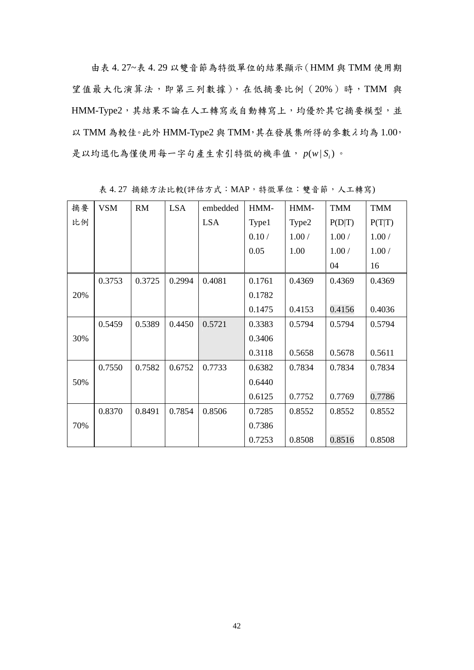由表 4. 27~表 4. 29 以雙音節為特徵單位的結果顯示(HMM 與 TMM 使用期 望值最大化演算法,即第三列數據),在低摘要比例(20%)時,TMM 與 HMM-Type2,其結果不論在人工轉寫或自動轉寫上,均優於其它摘要模型,並  $U$  TMM 為較佳。此外 HMM-Type2 與 TMM, 其在發展集所得的參數 $\lambda$  均為 1.00, 是以均退化為僅使用每一字句產生索引特徵的機率值,  $p(w|S_i)$ 。

| 摘要  | <b>VSM</b> | RM     | <b>LSA</b> | embedded   | HMM-   | HMM-   | <b>TMM</b> | <b>TMM</b> |
|-----|------------|--------|------------|------------|--------|--------|------------|------------|
| 比例  |            |        |            | <b>LSA</b> | Type1  | Type2  | P(D T)     | P(T T)     |
|     |            |        |            |            | 0.10/  | 1.00/  | 1.00/      | 1.00/      |
|     |            |        |            |            | 0.05   | 1.00   | 1.00/      | 1.00/      |
|     |            |        |            |            |        |        | 04         | 16         |
|     | 0.3753     | 0.3725 | 0.2994     | 0.4081     | 0.1761 | 0.4369 | 0.4369     | 0.4369     |
| 20% |            |        |            |            | 0.1782 |        |            |            |
|     |            |        |            |            | 0.1475 | 0.4153 | 0.4156     | 0.4036     |
|     | 0.5459     | 0.5389 | 0.4450     | 0.5721     | 0.3383 | 0.5794 | 0.5794     | 0.5794     |
| 30% |            |        |            |            | 0.3406 |        |            |            |
|     |            |        |            |            | 0.3118 | 0.5658 | 0.5678     | 0.5611     |
|     | 0.7550     | 0.7582 | 0.6752     | 0.7733     | 0.6382 | 0.7834 | 0.7834     | 0.7834     |
| 50% |            |        |            |            | 0.6440 |        |            |            |
|     |            |        |            |            | 0.6125 | 0.7752 | 0.7769     | 0.7786     |
|     | 0.8370     | 0.8491 | 0.7854     | 0.8506     | 0.7285 | 0.8552 | 0.8552     | 0.8552     |
| 70% |            |        |            |            | 0.7386 |        |            |            |
|     |            |        |            |            | 0.7253 | 0.8508 | 0.8516     | 0.8508     |

表 4. 27 摘錄方法比較(評估方式:MAP,特徵單位:雙音節,人工轉寫)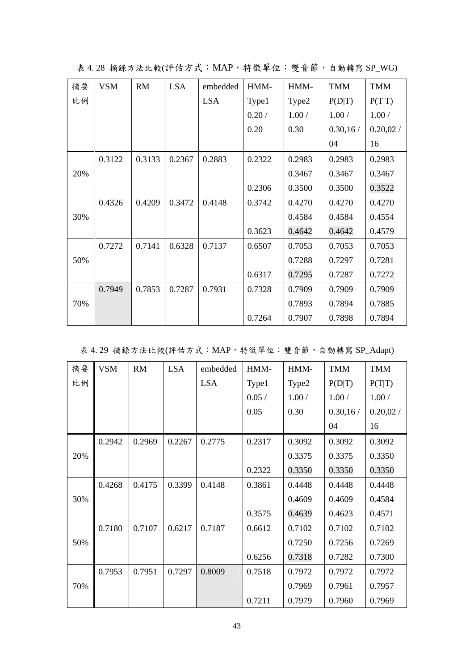| 摘要  | <b>VSM</b> | RM     | <b>LSA</b> | embedded   | HMM-   | HMM-   | <b>TMM</b> | <b>TMM</b> |
|-----|------------|--------|------------|------------|--------|--------|------------|------------|
| 比例  |            |        |            | <b>LSA</b> | Type1  | Type2  | P(D T)     | P(T T)     |
|     |            |        |            |            | 0.20/  | 1.00/  | 1.00/      | 1.00/      |
|     |            |        |            |            | 0.20   | 0.30   | 0.30, 16/  | 0.20,02/   |
|     |            |        |            |            |        |        | 04         | 16         |
|     | 0.3122     | 0.3133 | 0.2367     | 0.2883     | 0.2322 | 0.2983 | 0.2983     | 0.2983     |
| 20% |            |        |            |            |        | 0.3467 | 0.3467     | 0.3467     |
|     |            |        |            |            | 0.2306 | 0.3500 | 0.3500     | 0.3522     |
|     | 0.4326     | 0.4209 | 0.3472     | 0.4148     | 0.3742 | 0.4270 | 0.4270     | 0.4270     |
| 30% |            |        |            |            |        | 0.4584 | 0.4584     | 0.4554     |
|     |            |        |            |            | 0.3623 | 0.4642 | 0.4642     | 0.4579     |
|     | 0.7272     | 0.7141 | 0.6328     | 0.7137     | 0.6507 | 0.7053 | 0.7053     | 0.7053     |
| 50% |            |        |            |            |        | 0.7288 | 0.7297     | 0.7281     |
|     |            |        |            |            | 0.6317 | 0.7295 | 0.7287     | 0.7272     |
|     | 0.7949     | 0.7853 | 0.7287     | 0.7931     | 0.7328 | 0.7909 | 0.7909     | 0.7909     |
| 70% |            |        |            |            |        | 0.7893 | 0.7894     | 0.7885     |
|     |            |        |            |            | 0.7264 | 0.7907 | 0.7898     | 0.7894     |

表 4.28 摘錄方法比較(評估方式: MAP, 特徵單位:雙音節,自動轉寫 SP\_WG)

|  | 表 4.29 摘錄方法比較(評估方式:MAP, 特徵單位:雙音節, 自動轉寫 SP_Adapt) |  |  |  |  |  |
|--|--------------------------------------------------|--|--|--|--|--|
|--|--------------------------------------------------|--|--|--|--|--|

| 摘要  | <b>VSM</b> | <b>RM</b> | <b>LSA</b> | embedded   | HMM-   | HMM-   | <b>TMM</b> | <b>TMM</b> |
|-----|------------|-----------|------------|------------|--------|--------|------------|------------|
| 比例  |            |           |            | <b>LSA</b> | Type1  | Type2  | P(D T)     | P(T T)     |
|     |            |           |            |            | 0.05/  | 1.00/  | 1.00/      | 1.00/      |
|     |            |           |            |            | 0.05   | 0.30   | 0.30, 16/  | 0.20,02/   |
|     |            |           |            |            |        |        | 04         | 16         |
|     | 0.2942     | 0.2969    | 0.2267     | 0.2775     | 0.2317 | 0.3092 | 0.3092     | 0.3092     |
| 20% |            |           |            |            |        | 0.3375 | 0.3375     | 0.3350     |
|     |            |           |            |            | 0.2322 | 0.3350 | 0.3350     | 0.3350     |
|     | 0.4268     | 0.4175    | 0.3399     | 0.4148     | 0.3861 | 0.4448 | 0.4448     | 0.4448     |
| 30% |            |           |            |            |        | 0.4609 | 0.4609     | 0.4584     |
|     |            |           |            |            | 0.3575 | 0.4639 | 0.4623     | 0.4571     |
|     | 0.7180     | 0.7107    | 0.6217     | 0.7187     | 0.6612 | 0.7102 | 0.7102     | 0.7102     |
| 50% |            |           |            |            |        | 0.7250 | 0.7256     | 0.7269     |
|     |            |           |            |            | 0.6256 | 0.7318 | 0.7282     | 0.7300     |
|     | 0.7953     | 0.7951    | 0.7297     | 0.8009     | 0.7518 | 0.7972 | 0.7972     | 0.7972     |
| 70% |            |           |            |            |        | 0.7969 | 0.7961     | 0.7957     |
|     |            |           |            |            | 0.7211 | 0.7979 | 0.7960     | 0.7969     |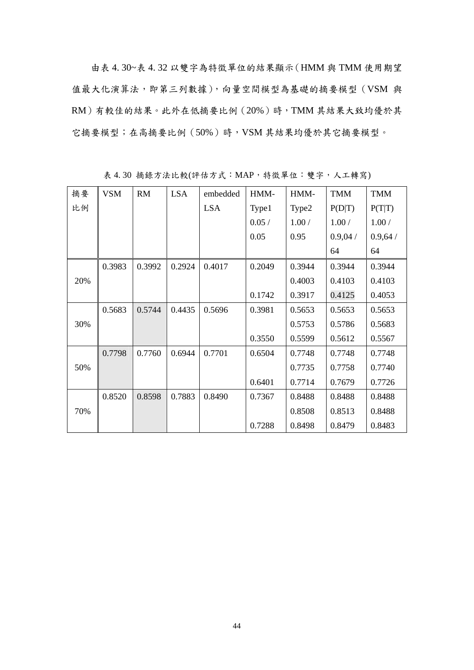由表 4. 30~表 4. 32 以雙字為特徵單位的結果顯示(HMM 與 TMM 使用期望 值最大化演算法,即第三列數據),向量空間模型為基礎的摘要模型(VSM 與 RM)有較佳的結果。此外在低摘要比例(20%)時,TMM 其結果大致均優於其 它摘要模型;在高摘要比例(50%)時,VSM 其結果均優於其它摘要模型。

| 摘要  | <b>VSM</b> | <b>RM</b> | <b>LSA</b> | embedded   | HMM-   | HMM-   | <b>TMM</b> | <b>TMM</b> |
|-----|------------|-----------|------------|------------|--------|--------|------------|------------|
| 比例  |            |           |            | <b>LSA</b> | Type1  | Type2  | P(D T)     | P(T T)     |
|     |            |           |            |            | 0.05/  | 1.00/  | 1.00/      | 1.00/      |
|     |            |           |            |            | 0.05   | 0.95   | 0.9,04/    | 0.9,64/    |
|     |            |           |            |            |        |        | 64         | 64         |
|     | 0.3983     | 0.3992    | 0.2924     | 0.4017     | 0.2049 | 0.3944 | 0.3944     | 0.3944     |
| 20% |            |           |            |            |        | 0.4003 | 0.4103     | 0.4103     |
|     |            |           |            |            | 0.1742 | 0.3917 | 0.4125     | 0.4053     |
|     | 0.5683     | 0.5744    | 0.4435     | 0.5696     | 0.3981 | 0.5653 | 0.5653     | 0.5653     |
| 30% |            |           |            |            |        | 0.5753 | 0.5786     | 0.5683     |
|     |            |           |            |            | 0.3550 | 0.5599 | 0.5612     | 0.5567     |
|     | 0.7798     | 0.7760    | 0.6944     | 0.7701     | 0.6504 | 0.7748 | 0.7748     | 0.7748     |
| 50% |            |           |            |            |        | 0.7735 | 0.7758     | 0.7740     |
|     |            |           |            |            | 0.6401 | 0.7714 | 0.7679     | 0.7726     |
|     | 0.8520     | 0.8598    | 0.7883     | 0.8490     | 0.7367 | 0.8488 | 0.8488     | 0.8488     |
| 70% |            |           |            |            |        | 0.8508 | 0.8513     | 0.8488     |
|     |            |           |            |            | 0.7288 | 0.8498 | 0.8479     | 0.8483     |

表 4. 30 摘錄方法比較(評估方式:MAP,特徵單位:雙字,人工轉寫)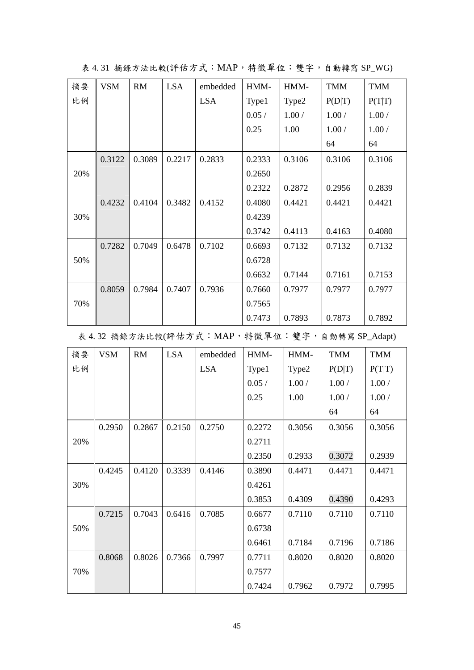| 摘要  | <b>VSM</b> | RM     | <b>LSA</b> | embedded   | HMM-   | HMM-   | <b>TMM</b> | <b>TMM</b> |
|-----|------------|--------|------------|------------|--------|--------|------------|------------|
| 比例  |            |        |            | <b>LSA</b> | Type1  | Type2  | P(D T)     | P(T T)     |
|     |            |        |            |            | 0.05/  | 1.00/  | 1.00/      | 1.00/      |
|     |            |        |            |            | 0.25   | 1.00   | 1.00/      | 1.00/      |
|     |            |        |            |            |        |        | 64         | 64         |
|     | 0.3122     | 0.3089 | 0.2217     | 0.2833     | 0.2333 | 0.3106 | 0.3106     | 0.3106     |
| 20% |            |        |            |            | 0.2650 |        |            |            |
|     |            |        |            |            | 0.2322 | 0.2872 | 0.2956     | 0.2839     |
|     | 0.4232     | 0.4104 | 0.3482     | 0.4152     | 0.4080 | 0.4421 | 0.4421     | 0.4421     |
| 30% |            |        |            |            | 0.4239 |        |            |            |
|     |            |        |            |            | 0.3742 | 0.4113 | 0.4163     | 0.4080     |
|     | 0.7282     | 0.7049 | 0.6478     | 0.7102     | 0.6693 | 0.7132 | 0.7132     | 0.7132     |
| 50% |            |        |            |            | 0.6728 |        |            |            |
|     |            |        |            |            | 0.6632 | 0.7144 | 0.7161     | 0.7153     |
|     | 0.8059     | 0.7984 | 0.7407     | 0.7936     | 0.7660 | 0.7977 | 0.7977     | 0.7977     |
| 70% |            |        |            |            | 0.7565 |        |            |            |
|     |            |        |            |            | 0.7473 | 0.7893 | 0.7873     | 0.7892     |

表 4.31 摘錄方法比較(評估方式:MAP, 特徵單位:雙字, 自動轉寫 SP\_WG)

表 4.32 摘錄方法比較(評估方式: MAP, 特徵單位:雙字, 自動轉寫 SP\_Adapt)

| 摘要  | <b>VSM</b> | <b>RM</b> | <b>LSA</b> | embedded   | HMM-   | HMM-   | <b>TMM</b> | <b>TMM</b> |
|-----|------------|-----------|------------|------------|--------|--------|------------|------------|
| 比例  |            |           |            | <b>LSA</b> | Type1  | Type2  | P(D T)     | P(T T)     |
|     |            |           |            |            | 0.05/  | 1.00/  | 1.00/      | 1.00/      |
|     |            |           |            |            | 0.25   | 1.00   | 1.00/      | 1.00/      |
|     |            |           |            |            |        |        | 64         | 64         |
|     | 0.2950     | 0.2867    | 0.2150     | 0.2750     | 0.2272 | 0.3056 | 0.3056     | 0.3056     |
| 20% |            |           |            |            | 0.2711 |        |            |            |
|     |            |           |            |            | 0.2350 | 0.2933 | 0.3072     | 0.2939     |
|     | 0.4245     | 0.4120    | 0.3339     | 0.4146     | 0.3890 | 0.4471 | 0.4471     | 0.4471     |
| 30% |            |           |            |            | 0.4261 |        |            |            |
|     |            |           |            |            | 0.3853 | 0.4309 | 0.4390     | 0.4293     |
|     | 0.7215     | 0.7043    | 0.6416     | 0.7085     | 0.6677 | 0.7110 | 0.7110     | 0.7110     |
| 50% |            |           |            |            | 0.6738 |        |            |            |
|     |            |           |            |            | 0.6461 | 0.7184 | 0.7196     | 0.7186     |
|     | 0.8068     | 0.8026    | 0.7366     | 0.7997     | 0.7711 | 0.8020 | 0.8020     | 0.8020     |
| 70% |            |           |            |            | 0.7577 |        |            |            |
|     |            |           |            |            | 0.7424 | 0.7962 | 0.7972     | 0.7995     |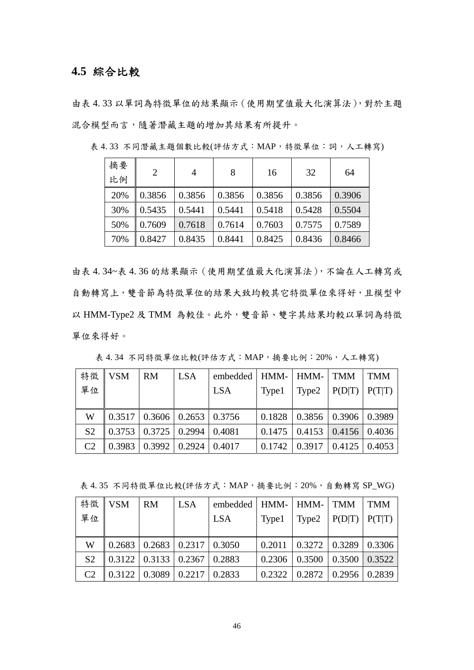## **4.5** 綜合比較

由表 4. 33 以單詞為特徵單位的結果顯示(使用期望值最大化演算法),對於主題 混合模型而言,隨著潛藏主題的增加其結果有所提升。

| 摘要<br>比例 | 2      | 4      | 8      | 16     | 32     | 64     |
|----------|--------|--------|--------|--------|--------|--------|
| 20%      | 0.3856 | 0.3856 | 0.3856 | 0.3856 | 0.3856 | 0.3906 |
| 30%      | 0.5435 | 0.5441 | 0.5441 | 0.5418 | 0.5428 | 0.5504 |
| 50%      | 0.7609 | 0.7618 | 0.7614 | 0.7603 | 0.7575 | 0.7589 |
| 70%      | 0.8427 | 0.8435 | 0.8441 | 0.8425 | 0.8436 | 0.8466 |

表 4. 33 不同潛藏主題個數比較(評估方式:MAP,特徵單位:詞,人工轉寫)

由表 4. 34~表 4. 36 的結果顯示(使用期望值最大化演算法),不論在人工轉寫或 自動轉寫上,雙音節為特徵單位的結果大致均較其它特徵單位來得好,且模型中 以 HMM-Type2 及 TMM 為較佳。此外, 雙音節、雙字其結果均較以單詞為特徵 單位來得好。

|                | 特徵 VSM                                                      | <b>RM</b> | <b>LSA</b> | embedded   HMM-   HMM-   TMM |       |                                              | $\overline{\rm TMM}$ |
|----------------|-------------------------------------------------------------|-----------|------------|------------------------------|-------|----------------------------------------------|----------------------|
| 單位             |                                                             |           |            | LSA                          | Type1 | $  \text{Type2}   P(D T)   P(T T)$           |                      |
|                |                                                             |           |            |                              |       |                                              |                      |
| W              | $\vert 0.3517 \vert 0.3606 \vert 0.2653 \vert 0.3756 \vert$ |           |            |                              |       | $0.1828$   0.3856   0.3906   0.3989          |                      |
| S <sub>2</sub> | $\vert 0.3753 \vert 0.3725 \vert 0.2994 \vert 0.4081$       |           |            |                              |       | $0.1475$   0.4153   0.4156   0.4036          |                      |
| C2             | $\vert 0.3983 \vert 0.3992 \vert 0.2924 \vert 0.4017$       |           |            |                              |       | $0.1742 \mid 0.3917 \mid 0.4125 \mid 0.4053$ |                      |

表 4.34 不同特徵單位比較(評估方式:MAP,摘要比例:20%,人工轉寫)

表 4.35 不同特徵單位比較(評估方式: MAP, 摘要比例: 20%, 自動轉寫 SP\_WG)

|                | 特徵 VSM                                                | RM | LSA | embedded   HMM-   HMM-   TMM   TMM |                                                       |  |
|----------------|-------------------------------------------------------|----|-----|------------------------------------|-------------------------------------------------------|--|
| 單位             |                                                       |    |     | LSA                                | Type1   Type2   $P(D T)$   $P(T T)$                   |  |
|                |                                                       |    |     |                                    |                                                       |  |
| W              | $\vert 0.2683 \vert 0.2683 \vert 0.2317 \vert 0.3050$ |    |     |                                    | $\vert 0.2011 \vert 0.3272 \vert 0.3289 \vert 0.3306$ |  |
| S <sub>2</sub> | $\vert 0.3122 \vert 0.3133 \vert 0.2367 \vert 0.2883$ |    |     |                                    | $0.2306$   $0.3500$   $0.3500$   $0.3522$             |  |
| C2             | $\vert 0.3122 \vert 0.3089 \vert 0.2217 \vert 0.2833$ |    |     |                                    | $\vert 0.2322 \vert 0.2872 \vert 0.2956 \vert 0.2839$ |  |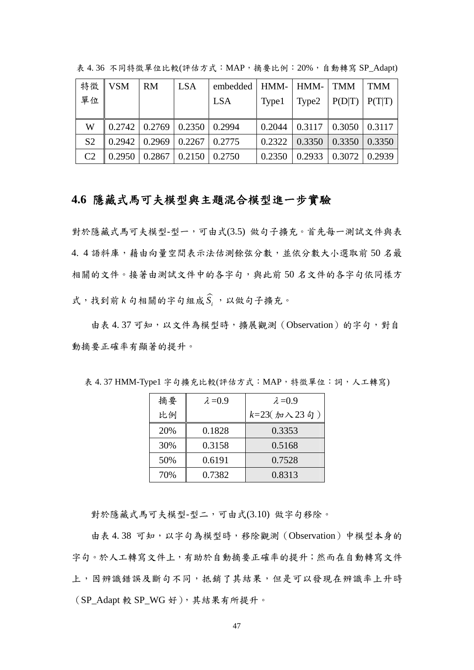| 特徵             | $\overline{\phantom{a}}$ VSM                          | <b>RM</b> | <b>LSA</b> | embedded   HMM-   HMM-   TMM   TMM |       |                                     |  |
|----------------|-------------------------------------------------------|-----------|------------|------------------------------------|-------|-------------------------------------|--|
| 單位             |                                                       |           |            | LSA                                | Type1 | Type2   $P(D T)$   $P(T T)$         |  |
|                |                                                       |           |            |                                    |       |                                     |  |
| W              | $\vert 0.2742 \vert 0.2769 \vert 0.2350 \vert 0.2994$ |           |            |                                    |       | $0.2044$   0.3117   0.3050   0.3117 |  |
| S <sub>2</sub> | $\vert 0.2942 \vert 0.2969 \vert 0.2267 \vert 0.2775$ |           |            |                                    |       | $0.2322$   0.3350   0.3350   0.3350 |  |
| C2             | $\vert 0.2950 \vert 0.2867 \vert 0.2150 \vert 0.2750$ |           |            |                                    |       | $0.2350$   0.2933   0.3072   0.2939 |  |

表 4.36 不同特徵單位比較(評估方式: MAP, 摘要比例: 20%, 自動轉寫 SP\_Adapt)

## **4.6** 隱藏式馬可夫模型與主題混合模型進一步實驗

對於隱藏式馬可夫模型-型一,可由式(3.5) 做句子擴充。首先每一測試文件與表 4. 4 語料庫,藉由向量空間表示法估測餘弦分數,並依分數大小選取前 50 名最 相關的文件。接著由測試文件中的各字句,與此前 50 名文件的各字句依同樣方 式,找到前  $k$  句相關的字句組成 $\widehat{S}_i$ , 以做句子擴充。

由表 4.37可知,以文件為模型時,擴展觀測(Observation)的字句,對自 動摘要正確率有顯著的提升。

| 摘要  | $\lambda = 0.9$ | $\lambda = 0.9$         |  |  |
|-----|-----------------|-------------------------|--|--|
| 比例  |                 | $k=23(jm\lambda)23(jm)$ |  |  |
| 20% | 0.1828          | 0.3353                  |  |  |
| 30% | 0.3158          | 0.5168                  |  |  |
| 50% | 0.6191          | 0.7528                  |  |  |
| 70% | 0.7382          | 0.8313                  |  |  |

表 4. 37 HMM-Type1 字句擴充比較(評估方式:MAP,特徵單位:詞,人工轉寫)

對於隱藏式馬可夫模型-型二,可由式(3.10) 做字句移除。

由表 4.38 可知,以字句為模型時,移除觀測(Observation)中模型本身的 字句。於人工轉寫文件上,有助於自動摘要正確率的提升;然而在自動轉寫文件 上,因辨識錯誤及斷句不同,抵銷了其結果,但是可以發現在辨識率上升時 (SP\_Adapt 較 SP\_WG 好),其結果有所提升。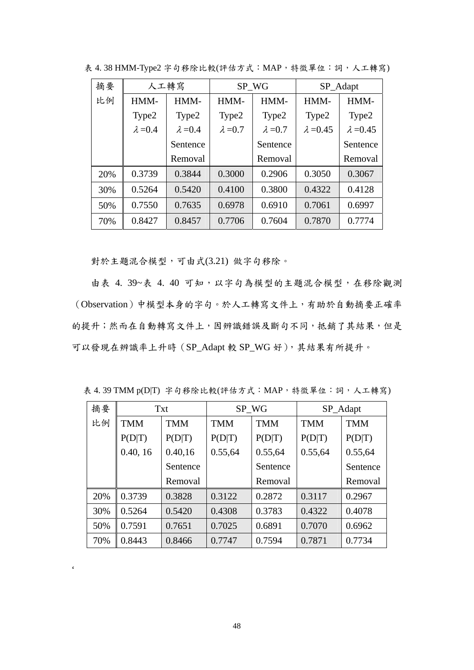| 摘要  | 人工轉寫            |                 | SP_WG           |                 | SP_Adapt         |                  |
|-----|-----------------|-----------------|-----------------|-----------------|------------------|------------------|
| 比例  | HMM-            | HMM-            | HMM-            | HMM-            |                  | HMM-             |
|     | Type2           | Type2           | Type2           | Type2           | Type2            | Type2            |
|     | $\lambda = 0.4$ | $\lambda = 0.4$ | $\lambda = 0.7$ | $\lambda = 0.7$ | $\lambda = 0.45$ | $\lambda = 0.45$ |
|     |                 | Sentence        |                 | Sentence        |                  | Sentence         |
|     |                 | Removal         |                 | Removal         |                  | Removal          |
| 20% | 0.3739          | 0.3844          | 0.3000          | 0.2906          | 0.3050           | 0.3067           |
| 30% | 0.5264          | 0.5420          | 0.4100          | 0.3800          | 0.4322           | 0.4128           |
| 50% | 0.7550          | 0.7635          | 0.6978          | 0.6910          | 0.7061           | 0.6997           |
| 70% | 0.8427          | 0.8457          | 0.7706          | 0.7604          | 0.7870           | 0.7774           |

表 4.38 HMM-Type2 字句移除比較(評估方式: MAP, 特徵單位:詞, 人工轉寫)

對於主題混合模型,可由式(3.21) 做字句移除。

由表 4. 39~表 4. 40 可知,以字句為模型的主題混合模型,在移除觀測 (Observation)中模型本身的字句。於人工轉寫文件上,有助於自動摘要正確率 的提升;然而在自動轉寫文件上,因辨識錯誤及斷句不同,抵銷了其結果,但是 可以發現在辨識率上升時(SP\_Adapt 較 SP\_WG 好),其結果有所提升。

表 4.39 TMM p(D|T)字句移除比較(評估方式:MAP, 特徵單位:詞,人工轉寫)

| 摘要  | <b>Txt</b> |            | SP_WG      |            | SP_Adapt   |            |
|-----|------------|------------|------------|------------|------------|------------|
| 比例  | <b>TMM</b> | <b>TMM</b> | <b>TMM</b> | <b>TMM</b> | <b>TMM</b> | <b>TMM</b> |
|     | P(D T)     | P(D T)     | P(D T)     | P(D T)     | P(D T)     | P(D T)     |
|     | 0.40, 16   | 0.40,16    | 0.55,64    | 0.55,64    | 0.55,64    | 0.55,64    |
|     |            | Sentence   |            | Sentence   |            | Sentence   |
|     |            | Removal    |            | Removal    |            | Removal    |
| 20% | 0.3739     | 0.3828     | 0.3122     | 0.2872     | 0.3117     | 0.2967     |
| 30% | 0.5264     | 0.5420     | 0.4308     | 0.3783     | 0.4322     | 0.4078     |
| 50% | 0.7591     | 0.7651     | 0.7025     | 0.6891     | 0.7070     | 0.6962     |
| 70% | 0.8443     | 0.8466     | 0.7747     | 0.7594     | 0.7871     | 0.7734     |

 $\hat{\pmb{\zeta}}$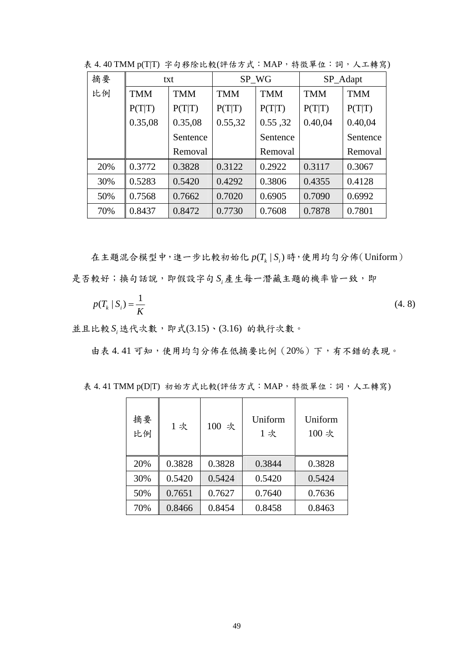| 摘要  | txt        |            | SP WG              |                          | SP_Adapt |            |
|-----|------------|------------|--------------------|--------------------------|----------|------------|
| 比例  | <b>TMM</b> | <b>TMM</b> | <b>TMM</b>         | <b>TMM</b><br><b>TMM</b> |          | <b>TMM</b> |
|     | P(T T)     | P(T T)     | P(T T)             | P(T T)                   | P(T T)   | P(T T)     |
|     | 0.35,08    | 0.35,08    | 0.55,32<br>0.55,32 |                          | 0.40,04  | 0.40,04    |
|     |            | Sentence   | Sentence           |                          |          | Sentence   |
|     |            | Removal    |                    | Removal                  |          | Removal    |
| 20% | 0.3772     | 0.3828     | 0.3122             | 0.2922                   | 0.3117   | 0.3067     |
| 30% | 0.5283     | 0.5420     | 0.4292             | 0.3806                   | 0.4355   | 0.4128     |
| 50% | 0.7568     | 0.7662     | 0.7020             | 0.6905                   | 0.7090   | 0.6992     |
| 70% | 0.8437     | 0.8472     | 0.7730             | 0.7608                   | 0.7878   | 0.7801     |

表 4.40 TMM p(T|T)字句移除比較(評估方式: MAP, 特徵單位:詞, 人工轉寫)

在主題混合模型中,進一步比較初始化  $p(T_k | S_i)$ 時,使用均勻分佈(Uniform) 是否較好;換句話說,即假設字句 S 產生每一潛藏主題的機率皆一致,即

$$
p(T_k \mid S_i) = \frac{1}{K} \tag{4.8}
$$

並且比較 *<sup>i</sup> S* 迭代次數,即式(3.15)、(3.16) 的執行次數。

由表 4.41 可知,使用均勻分佈在低摘要比例(20%)下,有不錯的表現。

| 摘要<br>比例 | 1次     | 100 次  | Uniform<br>1次 | Uniform<br>100 次 |
|----------|--------|--------|---------------|------------------|
| 20%      | 0.3828 | 0.3828 | 0.3844        | 0.3828           |
| 30%      | 0.5420 | 0.5424 | 0.5420        | 0.5424           |
| 50%      | 0.7651 | 0.7627 | 0.7640        | 0.7636           |
| 70%      | 0.8466 | 0.8454 | 0.8458        | 0.8463           |

表 4.41 TMM p(D|T) 初始方式比較(評估方式:MAP, 特徵單位:詞,人工轉寫)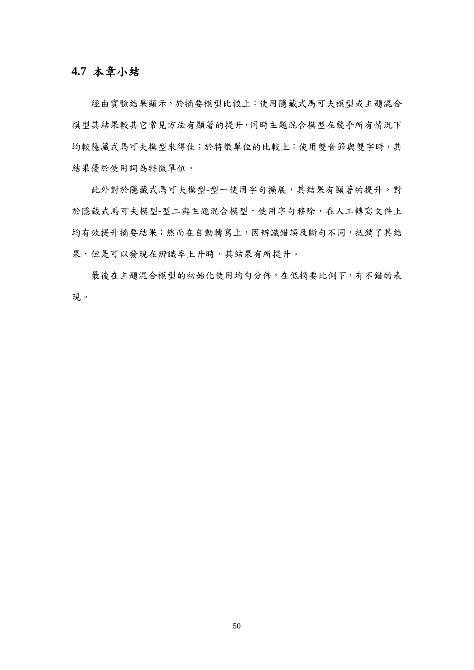## **4.7** 本章小結

經由實驗結果顯示,於摘要模型比較上:使用隱藏式馬可夫模型或主題混合 模型其結果較其它常見方法有顯著的提升,同時主題混合模型在幾乎所有情況下 均較隱藏式馬可夫模型來得佳;於特徵單位的比較上:使用雙音節與雙字時,其 結果優於使用詞為特徵單位。

此外對於隱藏式馬可夫模型-型一使用字句擴展,其結果有顯著的提升。對 於隱藏式馬可夫模型二與主題混合模型,使用字句移除,在人工轉寫文件上 均有效提升摘要結果;然而在自動轉寫上,因辨識錯誤及斷句不同,抵銷了其結 果,但是可以發現在辨識率上升時,其結果有所提升。

最後在主題混合模型的初始化使用均勻分佈,在低摘要比例下,有不錯的表 現。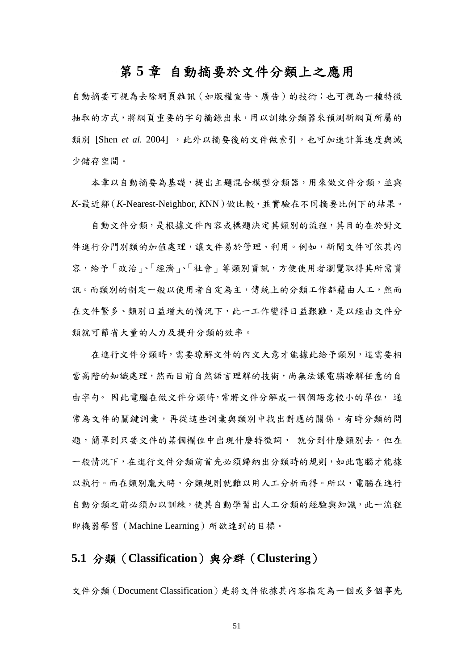## 第 **5** 章 自動摘要於文件分類上之應用

自動摘要可視為去除網頁雜訊(如版權宣告、廣告)的技術;也可視為一種特徵 抽取的方式,將網頁重要的字句摘錄出來,用以訓練分類器來預測新網頁所屬的 類別 [Shen et al. 2004], 此外以摘要後的文件做索引, 也可加速計算速度與減 少儲存空間。

本章以自動摘要為基礎,提出主題混合模型分類器,用來做文件分類,並與 *K*-最近鄰(*K*-Nearest-Neighbor, *K*NN)做比較,並實驗在不同摘要比例下的結果。

自動文件分類,是根據文件內容或標題決定其類別的流程,其目的在於對文 件進行分門別類的加值處理,讓文件易於管理、利用。例如,新聞文件可依其內 容,給予「政治」、「經濟」、「社會」等類別資訊,方便使用者瀏覽取得其所需資 訊。而類別的制定一般以使用者自定為主,傳統上的分類工作都藉由人工,然而 在文件繁多、類別日益增大的情況下,此一工作變得日益艱難,是以經由文件分 類就可節省大量的人力及提升分類的效率。

在進行文件分類時,需要瞭解文件的內文大意才能據此給予類別,這需要相 當高階的知識處理,然而目前自然語言理解的技術,尚無法讓電腦瞭解任意的自 由字句。 因此電腦在做文件分類時,常將文件分解成一個個語意較小的單位, 通 常為文件的關鍵詞彙,再從這些詞彙與類別中找出對應的關係。有時分類的問 題,簡單到只要文件的某個欄位中出現什麼特徵詞, 就分到什麼類別去。但在 一般情況下,在進行文件分類前首先必須歸納出分類時的規則,如此電腦才能據 以執行。而在類別龐大時,分類規則就難以用人工分析而得。所以,電腦在進行 自動分類之前必須加以訓練,使其自動學習出人工分類的經驗與知識,此一流程 即機器學習(Machine Learning)所欲達到的目標。

## **5.1** 分類(**Classification**)與分群(**Clustering**)

文件分類(Document Classification)是將文件依據其內容指定為一個或多個事先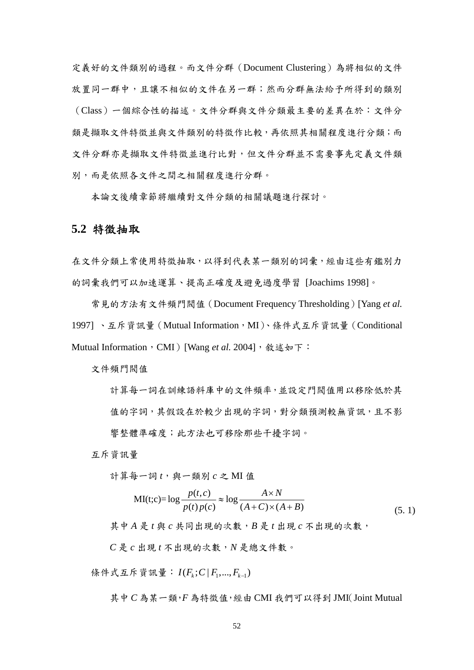定義好的文件類別的過程。而文件分群(Document Clustering)為將相似的文件 放置同一群中,且讓不相似的文件在另一群;然而分群無法給予所得到的類別 (Class)一個綜合性的描述。文件分群與文件分類最主要的差異在於:文件分 類是擷取文件特徵並與文件類別的特徵作比較,再依照其相關程度進行分類;而 文件分群亦是擷取文件特徵並進行比對,但文件分群並不需要事先定義文件類 別,而是依照各文件之間之相關程度進行分群。

本論文後續章節將繼續對文件分類的相關議題進行探討。

### **5.2** 特徵抽取

在文件分類上常使用特徵抽取,以得到代表某一類別的詞彙,經由這些有鑑別力 的詞彙我們可以加速運算、提高正確度及避免過度學習 [Joachims 1998]。

常見的方法有文件頻門閥值(Document Frequency Thresholding)[Yang *et al.*  1997]、互斥資訊量 (Mutual Information,MI)、條件式互斥資訊量 (Conditional Mutual Information, CMI) [Wang et al. 2004], 敘述如下:

文件頻門閥值

計算每一詞在訓練語料庫中的文件頻率,並設定門閥值用以移除低於其 值的字詞,其假設在於較少出現的字詞,對分類預測較無資訊,且不影 響整體準確度;此方法也可移除那些干擾字詞。

互斥資訊量

計算每一詞  $t$ , 與一類別  $c$  之 MI 值

$$
MI(t; c) = \log \frac{p(t, c)}{p(t)p(c)} \approx \log \frac{A \times N}{(A+C) \times (A+B)}
$$
(5.1)

其中 *A* 是 *t* 與 *c* 共同出現的次數,*B* 是 *t* 出現 *c* 不出現的次數,

*C* 是 *c* 出現 *t* 不出現的次數,*N* 是總文件數。

條件式互斥資訊量:  $I(F_i; C | F_1, ..., F_{k-1})$ 

其中 *C* 為某一類,*F* 為特徵值,經由 CMI 我們可以得到 JMI(Joint Mutual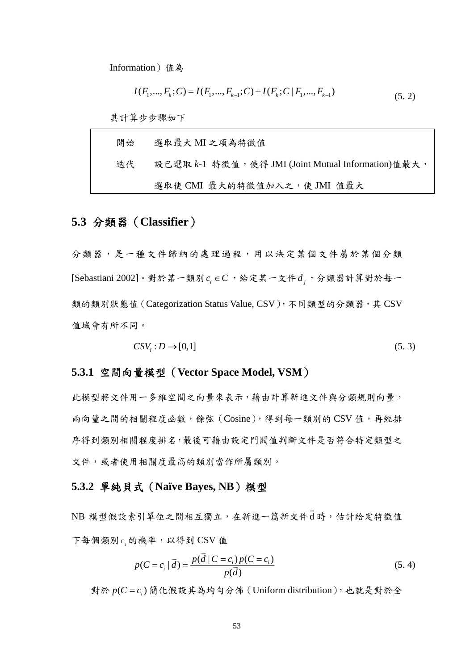Information)值為

$$
I(F_1, ..., F_k; C) = I(F_1, ..., F_{k-1}; C) + I(F_k; C | F_1, ..., F_{k-1})
$$
\n(5.2)

其計算步步驟如下

| 開始 | 選取最大 MI 之項為特徵值                                     |
|----|----------------------------------------------------|
| 迭代 | 設已選取 k-1 特徵值,使得 JMI (Joint Mutual Information)值最大, |
|    | 選取使 CMI 最大的特徵值加入之, 使 JMI 值最大                       |

## **5.3** 分類器(**Classifier**)

分類器,是一種文件歸納的處理過程,用以決定某個文件屬於某個分類 [Sebastiani 2002]。對於某一類別  $c_i$  ∈  $C$ , 给定某一文件  $d_i$ , 分類器計算對於每一 類的類別狀態值 (Categorization Status Value, CSV), 不同類型的分類器, 其 CSV 值域會有所不同。

$$
CSVi: D \to [0,1]
$$
 (5.3)

### **5.3.1** 空間向量模型(**Vector Space Model, VSM**)

此模型將文件用一多維空間之向量來表示,藉由計算新進文件與分類規則向量, 兩向量之間的相關程度函數,餘弦(Cosine),得到每一類別的 CSV 值,再經排 序得到類別相關程度排名,最後可藉由設定門閥值判斷文件是否符合特定類型之 文件,或者使用相關度最高的類別當作所屬類別。

### **5.3.2** 單純貝式(**Naïve Bayes, NB**)模型

NB 模型假設索引單位之間相互獨立,在新進一篇新文件d  $\overline{a}$ 時,估計給定特徵值 下每個類別c的機率,以得到 CSV 值

$$
p(C = c_i | \vec{d}) = \frac{p(\vec{d} | C = c_i) p(C = c_i)}{p(\vec{d})}
$$
\n(5.4)

對於  $p(C = c_i)$  簡化假設其為均勻分佈 (Uniform distribution), 也就是對於全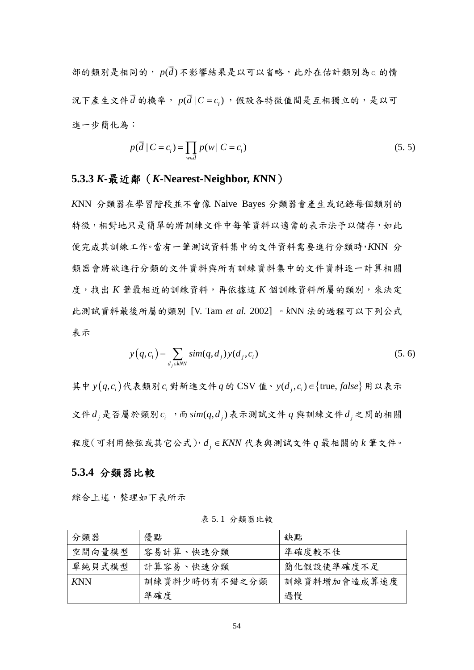部的類別是相同的,  $p(\overline{d})$ 不影響結果是以可以省略,此外在估計類別為 $c_{\textrm{\tiny{I}}}$ 的情 況下產生文件*d* \_<br>d 的機率, p(d | C = c<sub>i</sub>),假設各特徵值間是互相獨立的,是以可 進一步簡化為:

$$
p(\vec{d} \mid C = c_i) = \prod_{w \in \vec{d}} p(w \mid C = c_i)
$$
\n(5.5)

### **5.3.3** *K***-**最近鄰(*K***-Nearest-Neighbor,** *K***NN**)

*K*NN 分類器在學習階段並不會像 Naive Bayes 分類器會產生或記錄每個類別的 特徵,相對地只是簡單的將訓練文件中每筆資料以適當的表示法予以儲存,如此 便完成其訓練工作。當有一筆測試資料集中的文件資料需要進行分類時,*K*NN 分 類器會將欲進行分類的文件資料與所有訓練資料集中的文件資料逐一計算相關 度,找出 *K* 筆最相近的訓練資料,再依據這 *K* 個訓練資料所屬的類別,來決定 此測試資料最後所屬的類別 [V. Tam *et al.* 2002] 。*k*NN 法的過程可以下列公式 表示

$$
y(q, c_i) = \sum_{d_j \in kNN} sim(q, d_j) y(d_j, c_i)
$$
 (5.6)

其中  $y(q, c)$ 代表類別 $c_i$ 對新進文件 $q$  的 CSV 值、 $y(d_i, c_i)$ ∈{true,  $false$ } 用以表示 文件 $d_i$ 是否屬於類別 $c_i$ , 而  $\text{sim}(q, d_i)$ 表示測試文件  $q$  與訓練文件 $d_i$ 之問的相關 程度(可利用餘弦或其它公式), *<sup>j</sup> d KNN* ∈ 代表與測試文件 *q* 最相關的 *k* 筆文件。

### **5.3.4** 分類器比較

綜合上述,整理如下表所示

| 分類器        | 優點            | 缺點           |
|------------|---------------|--------------|
| 空間向量模型     | 容易計算、快速分類     | 準確度較不佳       |
| 單純貝式模型     | 計算容易、快速分類     | 簡化假設使準確度不足   |
| <b>KNN</b> | 訓練資料少時仍有不錯之分類 | 訓練資料增加會造成算速度 |
|            | 準確度           | 過慢           |

表 5. 1 分類器比較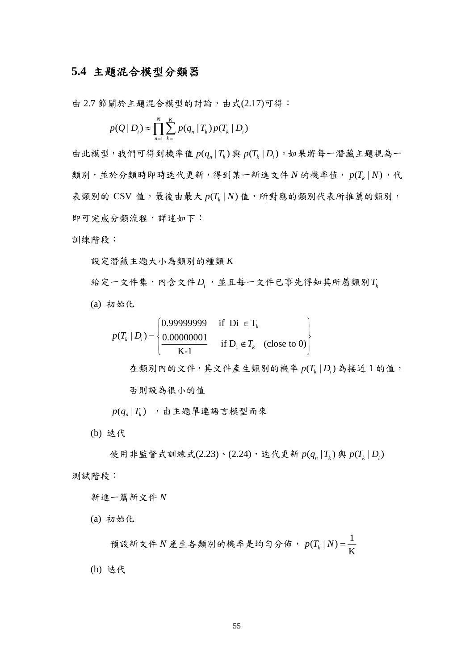## **5.4** 主題混合模型分類器

由 2.7 節關於主題混合模型的討論,由式(2.17)可得:

$$
p(Q | D_i) \approx \prod_{n=1}^{N} \sum_{k=1}^{K} p(q_n | T_k) p(T_k | D_i)
$$

由此模型,我們可得到機率值  $p(q_n | T_k)$ 與  $p(T_k | D_i)$ 。如果將每一潛藏主題視為一 類別,並於分類時即時迭代更新,得到某一新進文件  $N$  的機率值,  $p(T_{k} | N)$ , 代 表類別的 CSV 值。最後由最大  $p(T_k | N)$ 值,所對應的類別代表所推薦的類別, 即可完成分類流程,詳述如下:

訓練階段:

設定潛藏主題大小為類別的種類 *K*

給定一文件集,內含文件*D<sub>i</sub>*,並且每一文件已事先得知其所屬類別T

(a) 初始化

$$
p(T_k | D_i) = \begin{cases} 0.99999999 & \text{if } Di \in T_k \\ \frac{0.00000001}{K-1} & \text{if } D_i \notin T_k \end{cases} \text{ (close to 0)}
$$

在類別內的文件,其文件產生類別的機率  $p(T<sub>k</sub> | D<sub>k</sub>)$  為接近 1 的值,

否則設為很小的值

 $p(q_n|T_i)$ ,由主題單連語言模型而來

(b) 迭代

使用非監督式訓練式(2.23)、(2.24), 迭代更新  $p(q_n | T_k)$  與  $p(T_k | D_i)$ 測試階段:

新進一篇新文件 *N*

(a) 初始化

$$
\\{\mathfrak{H}}\,\mathop{\tilde{\mathfrak{X}}}\,\mathop{\tilde{\mathfrak{R}}}\,N\,{\mathop{\tilde{\mathfrak{E}}}}\,\mathop{\tilde{\mathfrak{E}}}\,4\,{\mathop{\tilde{\mathfrak{R}}}}\,\mathop{\tilde{\mathfrak{R}}}\,N\,{\mathop{\tilde{\mathfrak{R}}}}\,\mathop{\tilde{\mathfrak{R}}}\,N\,{\mathop{\tilde{\mathfrak{R}}}}\,N\,{\mathop{\tilde{\mathfrak{R}}}}\,N\,{\mathop{\tilde{\mathfrak{R}}}}\,N\,{\mathop{\tilde{\mathfrak{R}}}}\,N\,{\mathop{\tilde{\mathfrak{R}}}}\,N\,{\mathop{\tilde{\mathfrak{R}}}}\,N\,{\mathop{\tilde{\mathfrak{R}}}}\,N\,{\mathop{\tilde{\mathfrak{R}}}}\,N\,{\mathop{\tilde{\mathfrak{R}}}}\,N\,{\mathop{\tilde{\mathfrak{R}}}}\,N\,{\mathop{\tilde{\mathfrak{R}}}}\,N\,{\mathop{\tilde{\mathfrak{R}}}}\,N\,{\mathop{\tilde{\mathfrak{R}}}}\,N\,{\mathop{\tilde{\mathfrak{R}}}}\,N\,{\mathop{\tilde{\mathfrak{R}}}}\,N\,{\mathop{\tilde{\mathfrak{R}}}}\,N\,{\mathop{\tilde{\mathfrak{R}}}}\,N\,{\mathop{\tilde{\mathfrak{R}}}}\,N\,{\mathop{\tilde{\mathfrak{R}}}}\,N\,{\mathop{\tilde{\mathfrak{R}}}}\,N\,{\mathop{\tilde{\mathfrak{R}}}}\,N\,{\mathop{\tilde{\mathfrak{R}}}}\,N\,{\mathop{\tilde{\mathfrak{R}}}}\,N\,{\mathop{\tilde{\mathfrak{R}}}}\,N\,{\mathop{\tilde{\mathfrak{R}}}}\,N\,{\mathop{\tilde{\mathfrak{R}}}}\,N\,{\mathop{\tilde{\mathfrak{R}}}}\,N\,{\mathop{\tilde{\mathfrak{R}}}}\,N\,{\mathop{\tilde{\mathfrak{R}}}}\,N\,{\mathop{\tilde{\mathfrak{R}}}}\,N\,{\mathop{\tilde{\mathfrak{R}}}}\,N\,{\mathop{\tilde{\mathfrak{R}}}}\,N\,{\mathop{\tilde{\mathfr
$$

(b) 迭代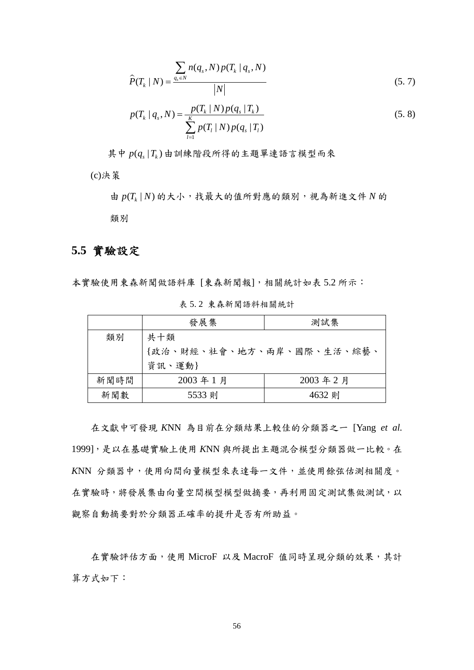$$
\hat{P}(T_k \mid N) = \frac{\sum_{q_s \in N} n(q_s, N) p(T_k \mid q_s, N)}{|N|}
$$
\n(5.7)

$$
p(T_k | q_s, N) = \frac{p(T_k | N) p(q_s | T_k)}{\sum_{l=1}^{K} p(T_l | N) p(q_s | T_l)}
$$
(5.8)

其中  $p(q, |T_i)$ 由訓練階段所得的主題單連語言模型而來

(c)決策

由 (|) *<sup>k</sup> p T N* 的大小,找最大的值所對應的類別,視為新進文件 *N* 的 類別

## **5.5** 實驗設定

本實驗使用東森新聞做語料庫 [東森新聞報],相關統計如表 5.2 所示:

|                 | 發展集                       | 測試集     |  |  |  |  |  |
|-----------------|---------------------------|---------|--|--|--|--|--|
| 類別              | 共十類                       |         |  |  |  |  |  |
|                 | {政治、財經、社會、地方、兩岸、國際、生活、綜藝、 |         |  |  |  |  |  |
|                 | 資訊、運動}                    |         |  |  |  |  |  |
| 新聞時間<br>2003年1月 |                           | 2003年2月 |  |  |  |  |  |
| 新聞數             | 5533 則                    | 4632 則  |  |  |  |  |  |

表 5. 2 東森新聞語料相關統計

在文獻中可發現 *K*NN 為目前在分類結果上較佳的分類器之一 [Yang *et al.* 1999],是以在基礎實驗上使用 *K*NN 與所提出主題混合模型分類器做一比較。在 *K*NN 分類器中,使用向間向量模型來表達每一文件,並使用餘弦估測相關度。 在實驗時,將發展集由向量空間模型模型做摘要,再利用固定測試集做測試,以 觀察自動摘要對於分類器正確率的提升是否有所助益。

在實驗評估方面,使用 MicroF 以及 MacroF 值同時呈現分類的效果,其計 算方式如下: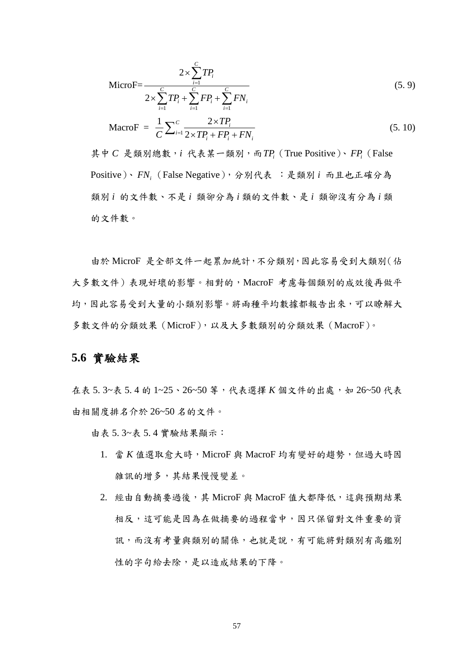$$
\text{MicroF} = \frac{2 \times \sum_{i=1}^{C} TP_i}{2 \times \sum_{i=1}^{C} TP_i + \sum_{i=1}^{C} FP_i + \sum_{i=1}^{C} FN_i}
$$
(5.9)

$$
\text{MacroF} = \frac{1}{C} \sum_{i=1}^{C} \frac{2 \times TP_i}{2 \times TP_i + FP_i + FN_i} \tag{5.10}
$$

其中 *C* 是類別總數,*i* 代表某一類別,而*TPi* (True Positive)、*FPi* (False Positive)、 *FNi* (False Negative),分別代表 :是類別 *i* 而且也正確分為 類別 *i* 的文件數、不是 *i* 類卻分為 *i* 類的文件數、是 *i* 類卻沒有分為 *i* 類 的文件數。

由於 MicroF 是全部文件一起累加統計,不分類別,因此容易受到大類別(佔 大多數文件)表現好壞的影響。相對的,MacroF 考慮每個類別的成效後再做平 均,因此容易受到大量的小類別影響。將兩種平均數據都報告出來,可以瞭解大 多數文件的分類效果(MicroF),以及大多數類別的分類效果(MacroF)。

### **5.6** 實驗結果

在表 5.3~表 5.4 的 1~25、26~50 等,代表選擇 *K* 個文件的出處, 如 26~50 代表 由相關度排名介於 26~50 名的文件。

由表 5. 3~表 5. 4 實驗結果顯示:

- 1. 當 K 值選取愈大時, MicroF 與 MacroF 均有變好的趨勢, 但過大時因 雜訊的增多,其結果慢慢變差。
- 2. 經由自動摘要過後,其 MicroF與 MacroF 值大都降低,這與預期結果 相反,這可能是因為在做摘要的過程當中,因只保留對文件重要的資 訊,而沒有考量與類別的關係,也就是說,有可能將對類別有高鑑別 性的字句給去除,是以造成結果的下降。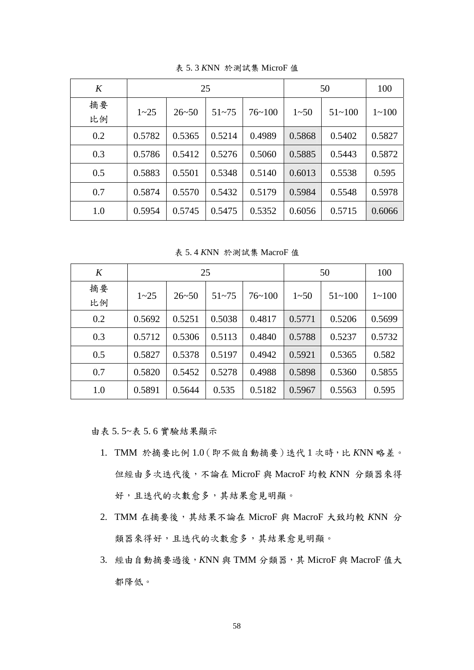| K        |          |           | 25        | 50         |          | 100        |           |
|----------|----------|-----------|-----------|------------|----------|------------|-----------|
| 摘要<br>比例 | $1 - 25$ | $26 - 50$ | $51 - 75$ | $76 - 100$ | $1 - 50$ | $51 - 100$ | $1 - 100$ |
| 0.2      | 0.5782   | 0.5365    | 0.5214    | 0.4989     | 0.5868   | 0.5402     | 0.5827    |
| 0.3      | 0.5786   | 0.5412    | 0.5276    | 0.5060     | 0.5885   | 0.5443     | 0.5872    |
| 0.5      | 0.5883   | 0.5501    | 0.5348    | 0.5140     | 0.6013   | 0.5538     | 0.595     |
| 0.7      | 0.5874   | 0.5570    | 0.5432    | 0.5179     | 0.5984   | 0.5548     | 0.5978    |
| 1.0      | 0.5954   | 0.5745    | 0.5475    | 0.5352     | 0.6056   | 0.5715     | 0.6066    |

表 5. 3 *K*NN 於測試集 MicroF 值

表 5. 4 *K*NN 於測試集 MacroF 值

| K        |          |           | 25        | 50         |          | 100        |           |
|----------|----------|-----------|-----------|------------|----------|------------|-----------|
| 摘要<br>比例 | $1 - 25$ | $26 - 50$ | $51 - 75$ | $76 - 100$ | $1 - 50$ | $51 - 100$ | $1 - 100$ |
| 0.2      | 0.5692   | 0.5251    | 0.5038    | 0.4817     | 0.5771   | 0.5206     | 0.5699    |
| 0.3      | 0.5712   | 0.5306    | 0.5113    | 0.4840     | 0.5788   | 0.5237     | 0.5732    |
| 0.5      | 0.5827   | 0.5378    | 0.5197    | 0.4942     | 0.5921   | 0.5365     | 0.582     |
| 0.7      | 0.5820   | 0.5452    | 0.5278    | 0.4988     | 0.5898   | 0.5360     | 0.5855    |
| 1.0      | 0.5891   | 0.5644    | 0.535     | 0.5182     | 0.5967   | 0.5563     | 0.595     |

由表 5. 5~表 5. 6 實驗結果顯示

- 1. TMM 於摘要比例 1.0(即不做自動摘要)迭代 1 次時,比 *K*NN 略差。 但經由多次迭代後,不論在 MicroF 與 MacroF 均較 *K*NN 分類器來得 好,且迭代的次數愈多,其結果愈見明顯。
- 2. TMM 在摘要後,其結果不論在 MicroF 與 MacroF 大致均較 *K*NN 分 類器來得好,且迭代的次數愈多,其結果愈見明顯。
- 3. 經由自動摘要過後,*K*NN 與 TMM 分類器,其 MicroF 與 MacroF 值大 都降低。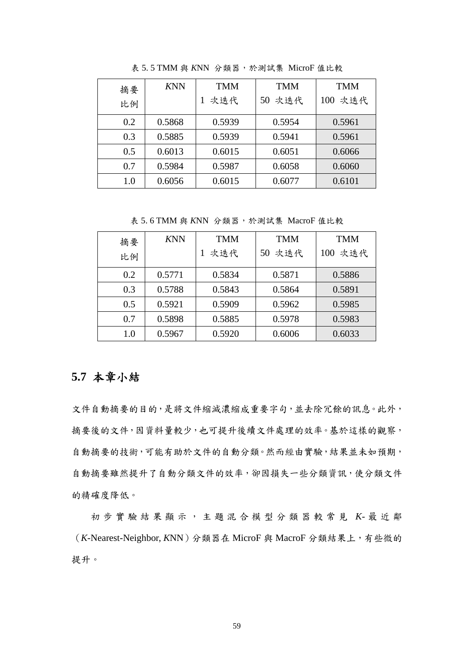| 摘要<br>比例 | <b>KNN</b> | <b>TMM</b><br>次迭代 | <b>TMM</b><br>50 次迭代 | <b>TMM</b><br>100 次迭代 |
|----------|------------|-------------------|----------------------|-----------------------|
| 0.2      | 0.5868     | 0.5939            | 0.5954               | 0.5961                |
| 0.3      | 0.5885     | 0.5939            | 0.5941               | 0.5961                |
| 0.5      | 0.6013     | 0.6015            | 0.6051               | 0.6066                |
| 0.7      | 0.5984     | 0.5987            | 0.6058               | 0.6060                |
| $1.0\,$  | 0.6056     | 0.6015            | 0.6077               | 0.6101                |

表 5. 5 TMM 與 *K*NN 分類器,於測試集 MicroF 值比較

表 5. 6 TMM 與 *K*NN 分類器,於測試集 MacroF 值比較

| 摘要<br>比例 | <b>KNN</b> | <b>TMM</b><br>次迭代 | <b>TMM</b><br>50 次迭代 | <b>TMM</b><br>100 次迭代 |
|----------|------------|-------------------|----------------------|-----------------------|
| 0.2      | 0.5771     | 0.5834            | 0.5871               | 0.5886                |
| 0.3      | 0.5788     | 0.5843            | 0.5864               | 0.5891                |
| 0.5      | 0.5921     | 0.5909            | 0.5962               | 0.5985                |
| 0.7      | 0.5898     | 0.5885            | 0.5978               | 0.5983                |
| 1.0      | 0.5967     | 0.5920            | 0.6006               | 0.6033                |

## **5.7** 本章小結

文件自動摘要的目的,是將文件縮減濃縮成重要字句,並去除冗餘的訊息。此外, 摘要後的文件,因資料量較少,也可提升後續文件處理的效率。基於這樣的觀察, 自動摘要的技術,可能有助於文件的自動分類。然而經由實驗,結果並未如預期, 自動摘要雖然提升了自動分類文件的效率,卻因損失一些分類資訊,使分類文件 的精確度降低。

初步實驗結果顯示,主題混 合模型分類器較常見 *K*- 最近鄰 (*K*-Nearest-Neighbor, *K*NN)分類器在 MicroF 與 MacroF 分類結果上,有些微的 提升。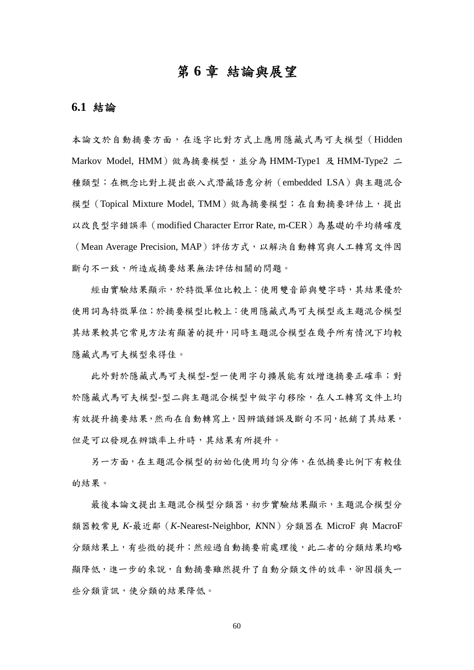## 第 **6** 章 結論與展望

### **6.1** 結論

本論文於自動摘要方面,在逐字比對方式上應用隱藏式馬可夫模型(Hidden Markov Model, HMM) 做為摘要模型,並分為 HMM-Type1 及 HMM-Type2 二 種類型;在概念比對上提出嵌入式潛藏語意分析(embedded LSA)與主題混合 模型(Topical Mixture Model, TMM)做為摘要模型;在自動摘要評估上,提出 以改良型字錯誤率(modified Character Error Rate, m-CER)為基礎的平均精確度 (Mean Average Precision, MAP)評估方式,以解決自動轉寫與人工轉寫文件因 斷句不一致,所造成摘要結果無法評估相關的問題。

經由實驗結果顯示,於特徵單位比較上:使用雙音節與雙字時,其結果優於 使用詞為特徵單位;於摘要模型比較上:使用隱藏式馬可夫模型或主題混合模型 其結果較其它常見方法有顯著的提升,同時主題混合模型在幾乎所有情況下均較 隱藏式馬可夫模型來得佳。

此外對於隱藏式馬可夫模型-型一使用字句擴展能有效增進摘要正確率;對 於隱藏式馬可夫模型-型二與主題混合模型中做字句移除,在人工轉寫文件上均 有效提升摘要結果,然而在自動轉寫上,因辨識錯誤及斷句不同,抵銷了其結果, 但是可以發現在辨識率上升時,其結果有所提升。

另一方面,在主題混合模型的初始化使用均勻分佈,在低摘要比例下有較佳 的結果。

最後本論文提出主題混合模型分類器,初步實驗結果顯示,主題混合模型分 類器較常見 *K*-最近鄰(*K*-Nearest-Neighbor, *K*NN)分類器在 MicroF 與 MacroF 分類結果上,有些微的提升;然經過自動摘要前處理後,此二者的分類結果均略 顯降低,進一步的來說,自動摘要雖然提升了自動分類文件的效率,卻因損失一 些分類資訊,使分類的結果降低。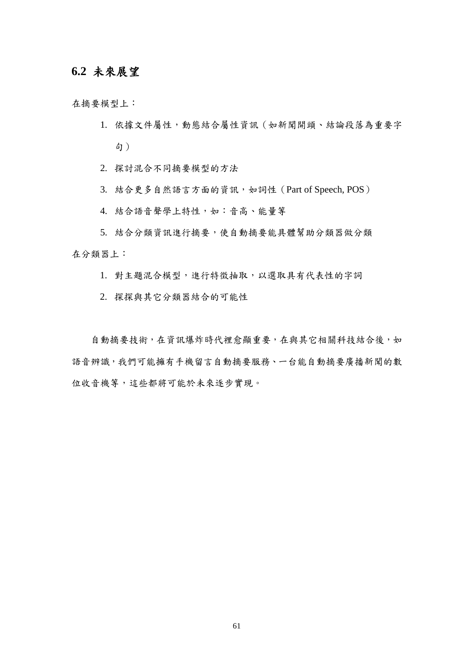## **6.2** 未來展望

在摘要模型上:

1. 依據文件屬性,動態結合屬性資訊(如新聞開頭、結論段落為重要字 句)

2. 探討混合不同摘要模型的方法

3. 結合更多自然語言方面的資訊,如詞性 (Part of Speech, POS)

4. 結合語音聲學上特性,如:音高、能量等

5. 結合分類資訊進行摘要,使自動摘要能具體幫助分類器做分類 在分類器上:

1. 對主題混合模型,進行特徵抽取,以選取具有代表性的字詞

2. 探探與其它分類器結合的可能性

自動摘要技術,在資訊爆炸時代裡愈顯重要,在與其它相關科技結合後,如 語音辨識,我們可能擁有手機留言自動摘要服務、一台能自動摘要廣播新聞的數 位收音機等,這些都將可能於未來逐步實現。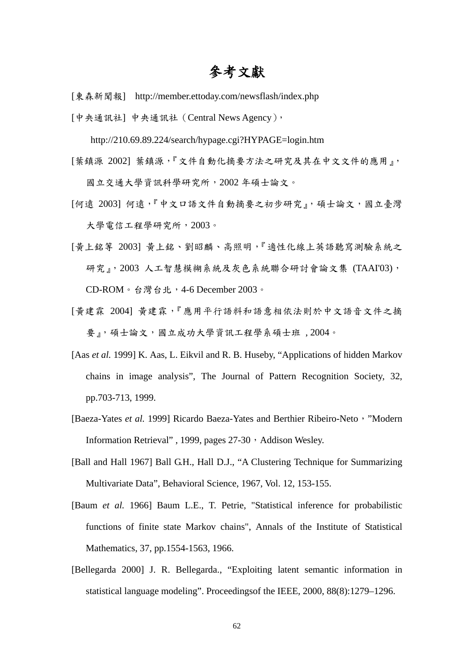## 參考文獻

- [東森新聞報] http://member.ettoday.com/newsflash/index.php
- [中央通訊社] 中央通訊社(Central News Agency),

http://210.69.89.224/search/hypage.cgi?HYPAGE=login.htm

[葉鎮源 2002] 葉鎮源,『文件自動化摘要方法之研究及其在中文文件的應用』,

國立交通大學資訊科學研究所,2002 年碩士論文。

- [何遠 2003] 何遠, 『中文口語文件自動摘要之初步研究』, 碩士論文,國立臺灣 大學電信工程學研究所,2003。
- [黃上銘等 2003] 黃上銘、劉昭麟、高照明,『適性化線上英語聽寫測驗系統之 研究』, 2003 人工智慧模糊系統及灰色系統聯合研討會論文集 (TAAI'03), CD-ROM。台灣台北,4-6 December 2003。
- [黃建霖 2004] 黃建霖,『應用平行語料和語意相依法則於中文語音文件之摘 要』,碩士論文,國立成功大學資訊工程學系碩士班,2004。
- [Aas *et al.* 1999] K. Aas, L. Eikvil and R. B. Huseby, "Applications of hidden Markov chains in image analysis", The Journal of Pattern Recognition Society, 32, pp.703-713, 1999.
- [Baeza-Yates et al. 1999] Ricardo Baeza-Yates and Berthier Ribeiro-Neto, "Modern Information Retrieval", 1999, pages 27-30, Addison Wesley.
- [Ball and Hall 1967] Ball G.H., Hall D.J., "A Clustering Technique for Summarizing Multivariate Data", Behavioral Science, 1967, Vol. 12, 153-155.
- [Baum *et al.* 1966] Baum L.E., T. Petrie, "Statistical inference for probabilistic functions of finite state Markov chains", Annals of the Institute of Statistical Mathematics, 37, pp.1554-1563, 1966.
- [Bellegarda 2000] J. R. Bellegarda., "Exploiting latent semantic information in statistical language modeling". Proceedingsof the IEEE, 2000, 88(8):1279–1296.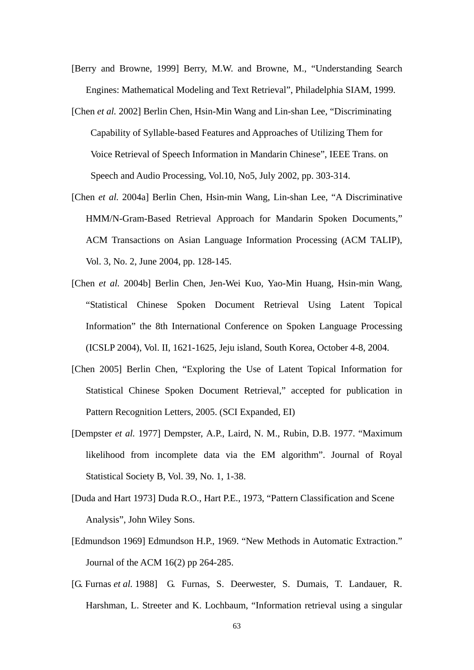- [Berry and Browne, 1999] Berry, M.W. and Browne, M., "Understanding Search Engines: Mathematical Modeling and Text Retrieval", Philadelphia SIAM, 1999.
- [Chen *et al.* 2002] Berlin Chen, Hsin-Min Wang and Lin-shan Lee, "Discriminating Capability of Syllable-based Features and Approaches of Utilizing Them for Voice Retrieval of Speech Information in Mandarin Chinese", IEEE Trans. on Speech and Audio Processing, Vol.10, No5, July 2002, pp. 303-314.
- [Chen *et al.* 2004a] Berlin Chen, Hsin-min Wang, Lin-shan Lee, "A Discriminative HMM/N-Gram-Based Retrieval Approach for Mandarin Spoken Documents," ACM Transactions on Asian Language Information Processing (ACM TALIP), Vol. 3, No. 2, June 2004, pp. 128-145.
- [Chen *et al.* 2004b] Berlin Chen, Jen-Wei Kuo, Yao-Min Huang, Hsin-min Wang, "Statistical Chinese Spoken Document Retrieval Using Latent Topical Information" the 8th International Conference on Spoken Language Processing (ICSLP 2004), Vol. II, 1621-1625, Jeju island, South Korea, October 4-8, 2004.
- [Chen 2005] Berlin Chen, "Exploring the Use of Latent Topical Information for Statistical Chinese Spoken Document Retrieval," accepted for publication in Pattern Recognition Letters, 2005. (SCI Expanded, EI)
- [Dempster *et al.* 1977] Dempster, A.P., Laird, N. M., Rubin, D.B. 1977. "Maximum likelihood from incomplete data via the EM algorithm". Journal of Royal Statistical Society B, Vol. 39, No. 1, 1-38.
- [Duda and Hart 1973] Duda R.O., Hart P.E., 1973, "Pattern Classification and Scene Analysis", John Wiley Sons.
- [Edmundson 1969] Edmundson H.P., 1969. "New Methods in Automatic Extraction." Journal of the ACM 16(2) pp 264-285.
- [G. Furnas *et al.* 1988] G. Furnas, S. Deerwester, S. Dumais, T. Landauer, R. Harshman, L. Streeter and K. Lochbaum, "Information retrieval using a singular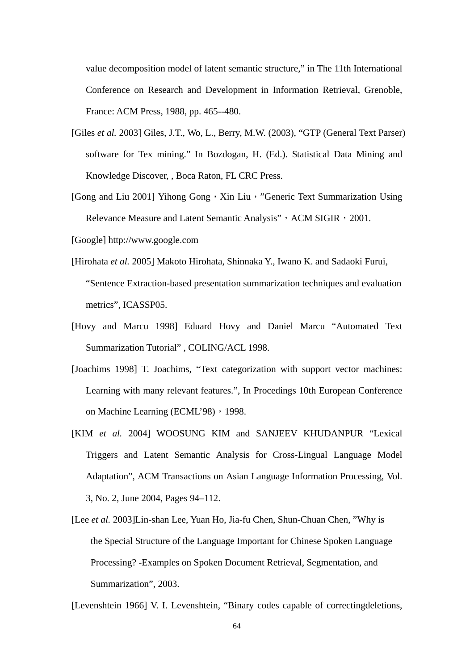value decomposition model of latent semantic structure," in The 11th International Conference on Research and Development in Information Retrieval, Grenoble, France: ACM Press, 1988, pp. 465--480.

- [Giles *et al.* 2003] Giles, J.T., Wo, L., Berry, M.W. (2003), "GTP (General Text Parser) software for Tex mining." In Bozdogan, H. (Ed.). Statistical Data Mining and Knowledge Discover, , Boca Raton, FL CRC Press.
- [Gong and Liu 2001] Yihong Gong, Xin Liu, "Generic Text Summarization Using Relevance Measure and Latent Semantic Analysis", ACM SIGIR, 2001.
- [Google] http://www.google.com
- [Hirohata *et al.* 2005] Makoto Hirohata, Shinnaka Y., Iwano K. and Sadaoki Furui, "Sentence Extraction-based presentation summarization techniques and evaluation metrics", ICASSP05.
- [Hovy and Marcu 1998] Eduard Hovy and Daniel Marcu "Automated Text Summarization Tutorial" , COLING/ACL 1998.
- [Joachims 1998] T. Joachims, "Text categorization with support vector machines: Learning with many relevant features.", In Procedings 10th European Conference on Machine Learning (ECML'98), 1998.
- [KIM *et al.* 2004] WOOSUNG KIM and SANJEEV KHUDANPUR "Lexical Triggers and Latent Semantic Analysis for Cross-Lingual Language Model Adaptation", ACM Transactions on Asian Language Information Processing, Vol. 3, No. 2, June 2004, Pages 94–112.
- [Lee *et al.* 2003]Lin-shan Lee, Yuan Ho, Jia-fu Chen, Shun-Chuan Chen, "Why is the Special Structure of the Language Important for Chinese Spoken Language Processing? -Examples on Spoken Document Retrieval, Segmentation, and Summarization", 2003.

[Levenshtein 1966] V. I. Levenshtein, "Binary codes capable of correctingdeletions,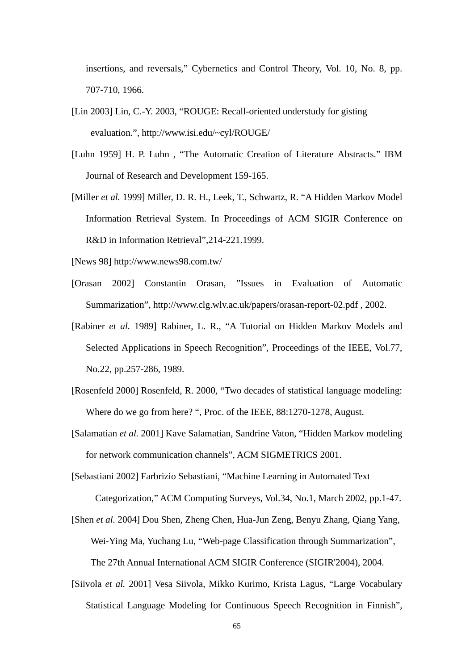insertions, and reversals," Cybernetics and Control Theory, Vol. 10, No. 8, pp. 707-710, 1966.

- [Lin 2003] Lin, C.-Y. 2003, "ROUGE: Recall-oriented understudy for gisting evaluation.", http://www.isi.edu/~cyl/ROUGE/
- [Luhn 1959] H. P. Luhn , "The Automatic Creation of Literature Abstracts." IBM Journal of Research and Development 159-165.
- [Miller *et al.* 1999] Miller, D. R. H., Leek, T., Schwartz, R. "A Hidden Markov Model Information Retrieval System. In Proceedings of ACM SIGIR Conference on R&D in Information Retrieval",214-221.1999.
- [News 98] http://www.news98.com.tw/
- [Orasan 2002] Constantin Orasan, "Issues in Evaluation of Automatic Summarization", http://www.clg.wlv.ac.uk/papers/orasan-report-02.pdf , 2002.
- [Rabiner *et al.* 1989] Rabiner, L. R., "A Tutorial on Hidden Markov Models and Selected Applications in Speech Recognition", Proceedings of the IEEE, Vol.77, No.22, pp.257-286, 1989.
- [Rosenfeld 2000] Rosenfeld, R. 2000, "Two decades of statistical language modeling: Where do we go from here? ", Proc. of the IEEE, 88:1270-1278, August.
- [Salamatian *et al.* 2001] Kave Salamatian, Sandrine Vaton, "Hidden Markov modeling for network communication channels", ACM SIGMETRICS 2001.
- [Sebastiani 2002] Farbrizio Sebastiani, "Machine Learning in Automated Text Categorization," ACM Computing Surveys, Vol.34, No.1, March 2002, pp.1-47.
- [Shen *et al.* 2004] Dou Shen, Zheng Chen, Hua-Jun Zeng, Benyu Zhang, Qiang Yang, Wei-Ying Ma, Yuchang Lu, "Web-page Classification through Summarization", The 27th Annual International ACM SIGIR Conference (SIGIR'2004), 2004.
- [Siivola *et al.* 2001] Vesa Siivola, Mikko Kurimo, Krista Lagus, "Large Vocabulary Statistical Language Modeling for Continuous Speech Recognition in Finnish",